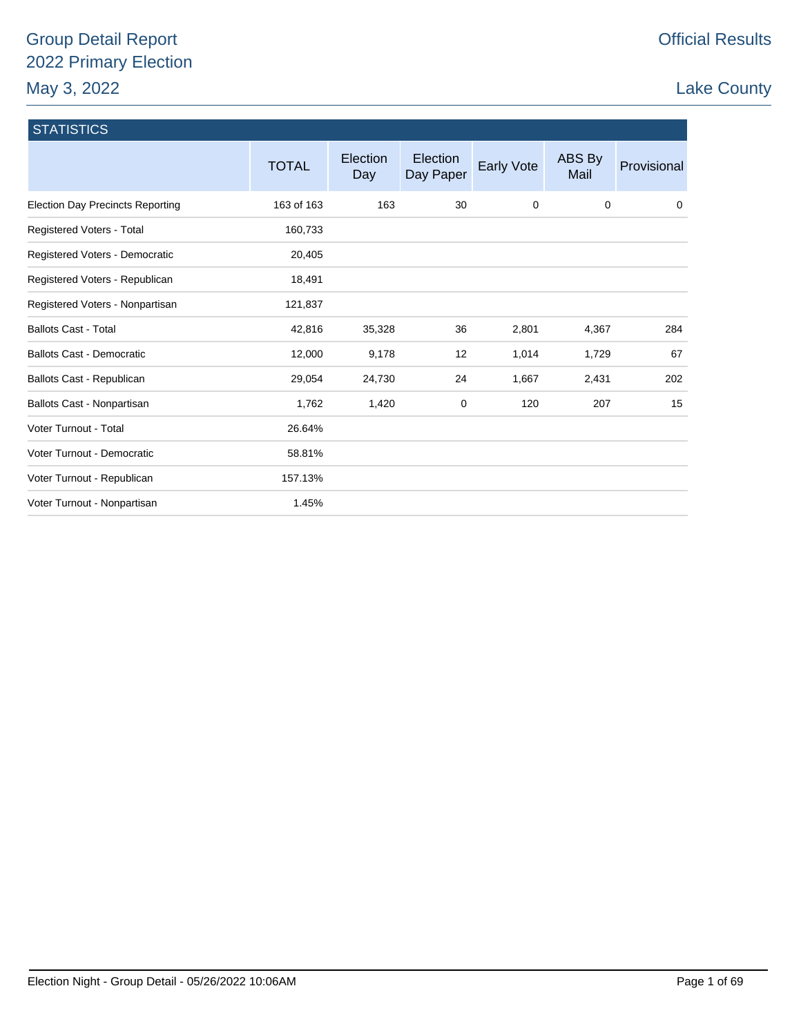# Group Detail Report 2022 Primary Election May 3, 2022

# Lake County

| <b>STATISTICS</b>                       |              |                        |                       |            |                |             |
|-----------------------------------------|--------------|------------------------|-----------------------|------------|----------------|-------------|
|                                         | <b>TOTAL</b> | <b>Election</b><br>Day | Election<br>Day Paper | Early Vote | ABS By<br>Mail | Provisional |
| <b>Election Day Precincts Reporting</b> | 163 of 163   | 163                    | 30                    | 0          | 0              | 0           |
| Registered Voters - Total               | 160,733      |                        |                       |            |                |             |
| Registered Voters - Democratic          | 20,405       |                        |                       |            |                |             |
| Registered Voters - Republican          | 18,491       |                        |                       |            |                |             |
| Registered Voters - Nonpartisan         | 121,837      |                        |                       |            |                |             |
| <b>Ballots Cast - Total</b>             | 42,816       | 35,328                 | 36                    | 2,801      | 4,367          | 284         |
| <b>Ballots Cast - Democratic</b>        | 12,000       | 9,178                  | 12                    | 1,014      | 1,729          | 67          |
| Ballots Cast - Republican               | 29,054       | 24,730                 | 24                    | 1,667      | 2,431          | 202         |
| Ballots Cast - Nonpartisan              | 1,762        | 1,420                  | 0                     | 120        | 207            | 15          |
| Voter Turnout - Total                   | 26.64%       |                        |                       |            |                |             |
| Voter Turnout - Democratic              | 58.81%       |                        |                       |            |                |             |
| Voter Turnout - Republican              | 157.13%      |                        |                       |            |                |             |
| Voter Turnout - Nonpartisan             | 1.45%        |                        |                       |            |                |             |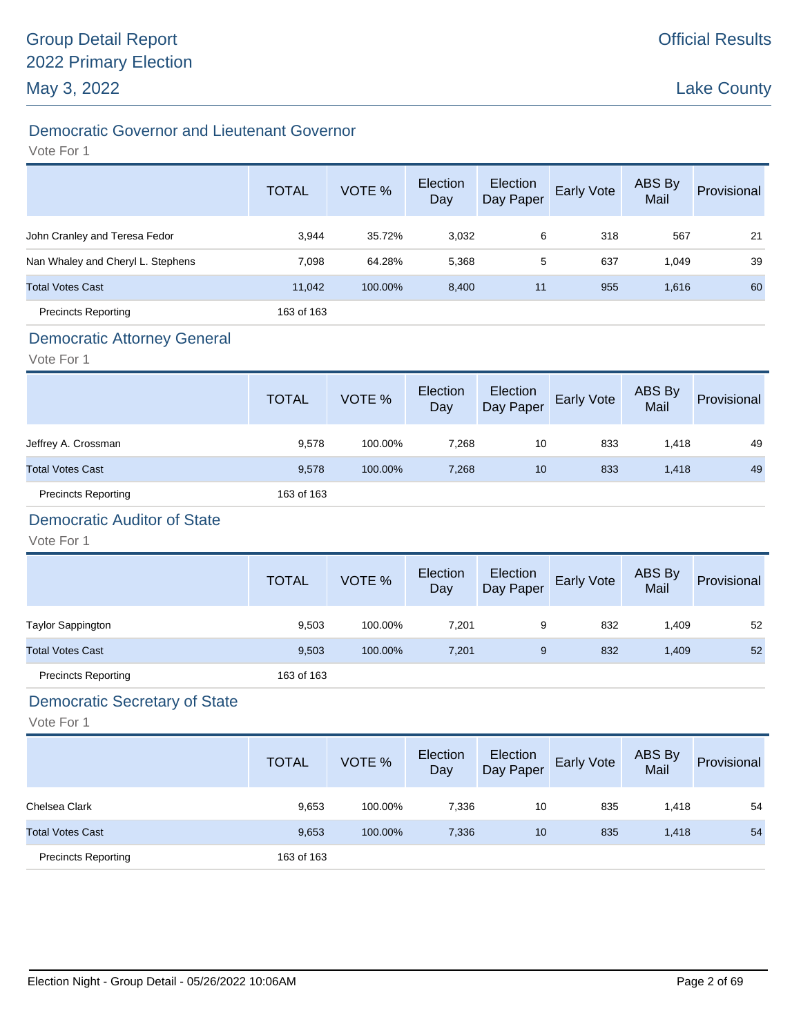# Democratic Governor and Lieutenant Governor

#### Vote For 1

|                                   | <b>TOTAL</b> | VOTE %  | Election<br>Day | Election<br>Day Paper | Early Vote | ABS By<br>Mail | Provisional |
|-----------------------------------|--------------|---------|-----------------|-----------------------|------------|----------------|-------------|
| John Cranley and Teresa Fedor     | 3,944        | 35.72%  | 3,032           | 6                     | 318        | 567            | 21          |
| Nan Whaley and Cheryl L. Stephens | 7,098        | 64.28%  | 5,368           | 5                     | 637        | 1,049          | 39          |
| <b>Total Votes Cast</b>           | 11,042       | 100.00% | 8,400           | 11                    | 955        | 1,616          | 60          |
| <b>Precincts Reporting</b>        | 163 of 163   |         |                 |                       |            |                |             |

### Democratic Attorney General

Vote For 1

|                            | <b>TOTAL</b> | VOTE %  | Election<br>Day | Election<br>Day Paper | <b>Early Vote</b> | ABS By<br>Mail | Provisional |
|----------------------------|--------------|---------|-----------------|-----------------------|-------------------|----------------|-------------|
| Jeffrey A. Crossman        | 9,578        | 100.00% | 7,268           | 10                    | 833               | 1.418          | 49          |
| <b>Total Votes Cast</b>    | 9,578        | 100.00% | 7,268           | 10                    | 833               | 1,418          | 49          |
| <b>Precincts Reporting</b> | 163 of 163   |         |                 |                       |                   |                |             |

# Democratic Auditor of State

Vote For 1

|                            | <b>TOTAL</b> | VOTE %  | Election<br>Day | Election<br>Day Paper | Early Vote | ABS By<br>Mail | Provisional |
|----------------------------|--------------|---------|-----------------|-----------------------|------------|----------------|-------------|
| <b>Taylor Sappington</b>   | 9,503        | 100.00% | 7,201           | 9                     | 832        | 409. ا         | 52          |
| <b>Total Votes Cast</b>    | 9,503        | 100.00% | 7,201           | 9                     | 832        | 1,409          | 52          |
| <b>Precincts Reporting</b> | 163 of 163   |         |                 |                       |            |                |             |

# Democratic Secretary of State

|                            | <b>TOTAL</b> | VOTE %  | Election<br>Day | Election<br>Day Paper | Early Vote | ABS By<br>Mail | Provisional |
|----------------------------|--------------|---------|-----------------|-----------------------|------------|----------------|-------------|
| Chelsea Clark              | 9,653        | 100.00% | 7,336           | 10                    | 835        | 1,418          | 54          |
| <b>Total Votes Cast</b>    | 9,653        | 100.00% | 7,336           | 10                    | 835        | 1,418          | 54          |
| <b>Precincts Reporting</b> | 163 of 163   |         |                 |                       |            |                |             |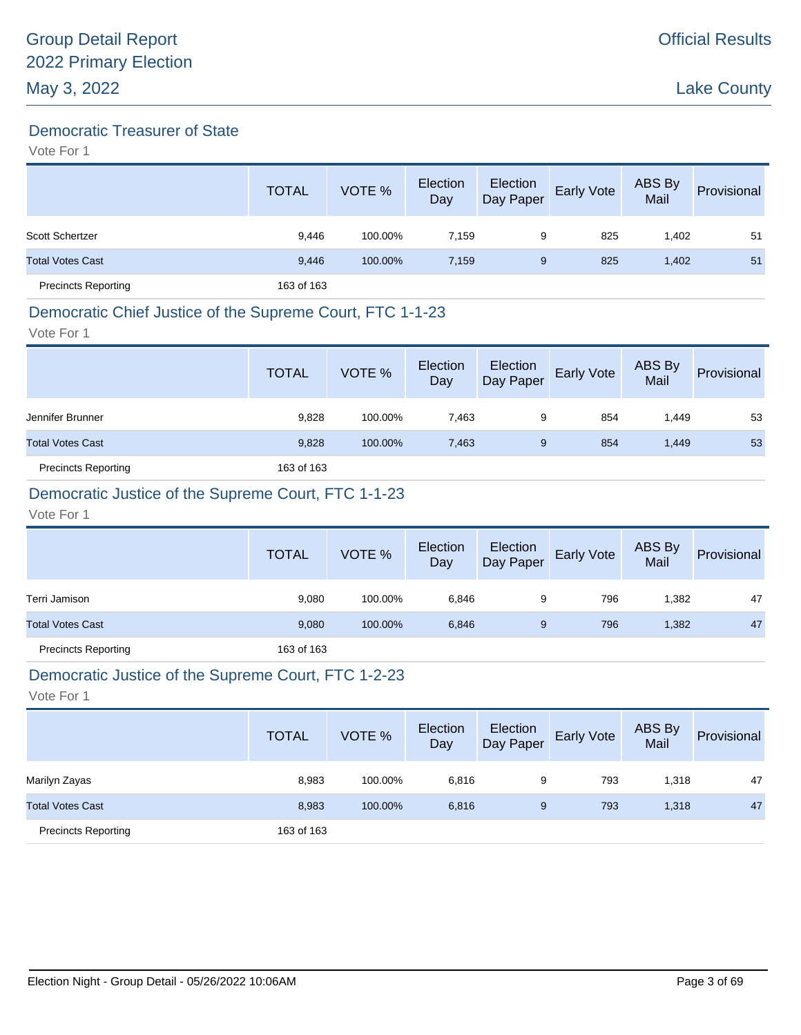### Democratic Treasurer of State

Vote For 1

|                            | <b>TOTAL</b> | VOTE %  | Election<br>Day | Election<br>Day Paper | Early Vote | ABS By<br>Mail | Provisional |
|----------------------------|--------------|---------|-----------------|-----------------------|------------|----------------|-------------|
| Scott Schertzer            | 9.446        | 100.00% | 7.159           | 9                     | 825        | 1,402          | 51          |
| <b>Total Votes Cast</b>    | 9,446        | 100.00% | 7,159           | 9                     | 825        | 1,402          | 51          |
| <b>Precincts Reporting</b> | 163 of 163   |         |                 |                       |            |                |             |

# Democratic Chief Justice of the Supreme Court, FTC 1-1-23

Vote For 1

|                            | <b>TOTAL</b> | VOTE %  | Election<br>Day | Election<br>Day Paper | <b>Early Vote</b> | ABS By<br>Mail | Provisional |
|----------------------------|--------------|---------|-----------------|-----------------------|-------------------|----------------|-------------|
| Jennifer Brunner           | 9,828        | 100.00% | 7.463           | 9                     | 854               | 1.449          | 53          |
| <b>Total Votes Cast</b>    | 9,828        | 100.00% | 7,463           | 9                     | 854               | 1,449          | 53          |
| <b>Precincts Reporting</b> | 163 of 163   |         |                 |                       |                   |                |             |

# Democratic Justice of the Supreme Court, FTC 1-1-23

Vote For 1

|                            | <b>TOTAL</b> | VOTE %  | Election<br>Day | Election<br>Day Paper | <b>Early Vote</b> | ABS By<br>Mail | Provisional |
|----------------------------|--------------|---------|-----------------|-----------------------|-------------------|----------------|-------------|
| Terri Jamison              | 9,080        | 100.00% | 6,846           | 9                     | 796               | 1,382          | 47          |
| <b>Total Votes Cast</b>    | 9,080        | 100.00% | 6,846           | 9                     | 796               | 1,382          | 47          |
| <b>Precincts Reporting</b> | 163 of 163   |         |                 |                       |                   |                |             |

### Democratic Justice of the Supreme Court, FTC 1-2-23

|                            | <b>TOTAL</b> | VOTE %  | Election<br>Day | Election<br>Day Paper | Early Vote | ABS By<br>Mail | Provisional |
|----------------------------|--------------|---------|-----------------|-----------------------|------------|----------------|-------------|
| Marilyn Zayas              | 8,983        | 100.00% | 6,816           | 9                     | 793        | 1,318          | 47          |
| <b>Total Votes Cast</b>    | 8,983        | 100.00% | 6,816           | 9                     | 793        | 1,318          | 47          |
| <b>Precincts Reporting</b> | 163 of 163   |         |                 |                       |            |                |             |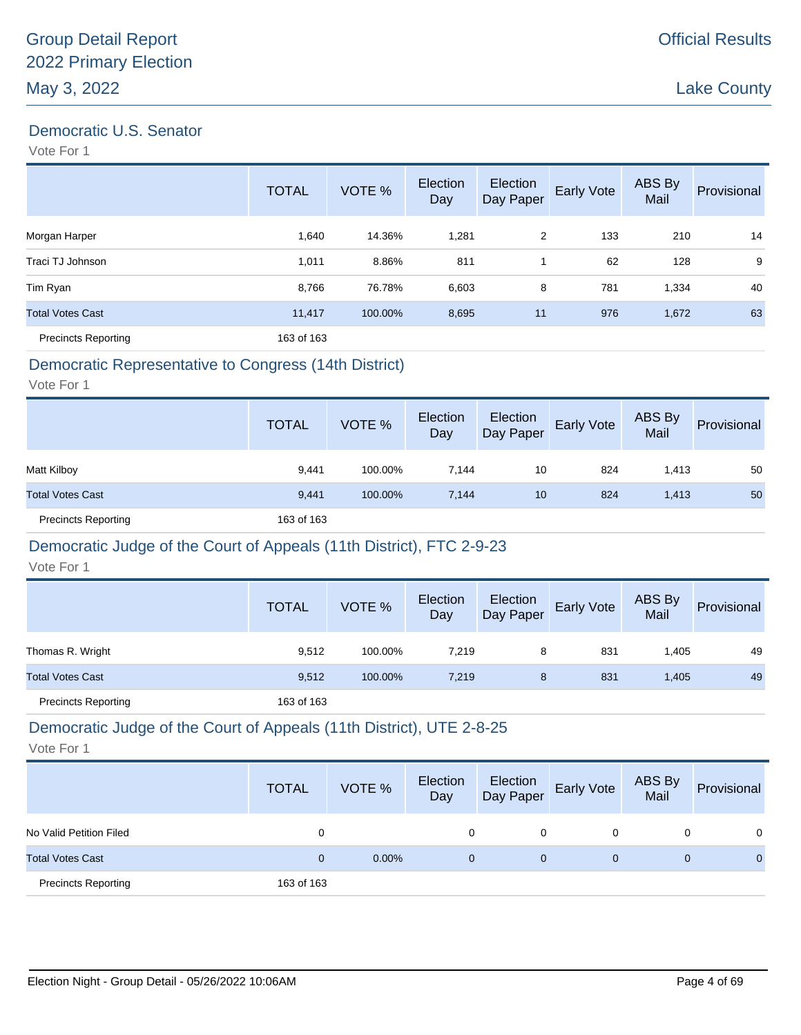### Democratic U.S. Senator

Vote For 1

|                            | <b>TOTAL</b> | VOTE %  | Election<br>Day | Election<br>Day Paper | Early Vote | ABS By<br>Mail | Provisional |
|----------------------------|--------------|---------|-----------------|-----------------------|------------|----------------|-------------|
| Morgan Harper              | 1,640        | 14.36%  | 1,281           | 2                     | 133        | 210            | 14          |
| Traci TJ Johnson           | 1,011        | 8.86%   | 811             |                       | 62         | 128            | 9           |
| Tim Ryan                   | 8,766        | 76.78%  | 6,603           | 8                     | 781        | 1,334          | 40          |
| <b>Total Votes Cast</b>    | 11,417       | 100.00% | 8,695           | 11                    | 976        | 1,672          | 63          |
| <b>Precincts Reporting</b> | 163 of 163   |         |                 |                       |            |                |             |

### Democratic Representative to Congress (14th District)

Vote For 1

|                            | <b>TOTAL</b> | VOTE %  | Election<br>Day | Election<br>Day Paper | <b>Early Vote</b> | ABS By<br>Mail | Provisional |
|----------------------------|--------------|---------|-----------------|-----------------------|-------------------|----------------|-------------|
| Matt Kilboy                | 9.441        | 100.00% | 7.144           | 10                    | 824               | 1.413          | 50          |
| <b>Total Votes Cast</b>    | 9,441        | 100.00% | 7,144           | 10                    | 824               | 1,413          | 50          |
| <b>Precincts Reporting</b> | 163 of 163   |         |                 |                       |                   |                |             |

#### Democratic Judge of the Court of Appeals (11th District), FTC 2-9-23

Vote For 1

|                            | <b>TOTAL</b> | VOTE %  | Election<br>Day | Election<br>Day Paper | <b>Early Vote</b> | ABS By<br>Mail | Provisional |
|----------------------------|--------------|---------|-----------------|-----------------------|-------------------|----------------|-------------|
| Thomas R. Wright           | 9,512        | 100.00% | 7.219           | 8                     | 831               | 1.405          | 49          |
| <b>Total Votes Cast</b>    | 9,512        | 100.00% | 7.219           | 8                     | 831               | 1.405          | 49          |
| <b>Precincts Reporting</b> | 163 of 163   |         |                 |                       |                   |                |             |

### Democratic Judge of the Court of Appeals (11th District), UTE 2-8-25

|                            | <b>TOTAL</b> | VOTE %   | Election<br>Day | Election<br>Day Paper | <b>Early Vote</b> | ABS By<br>Mail | Provisional |
|----------------------------|--------------|----------|-----------------|-----------------------|-------------------|----------------|-------------|
| No Valid Petition Filed    |              |          | 0               | 0                     |                   |                | 0           |
| <b>Total Votes Cast</b>    |              | $0.00\%$ | 0               | $\mathbf 0$           | 0                 |                | $\Omega$    |
| <b>Precincts Reporting</b> | 163 of 163   |          |                 |                       |                   |                |             |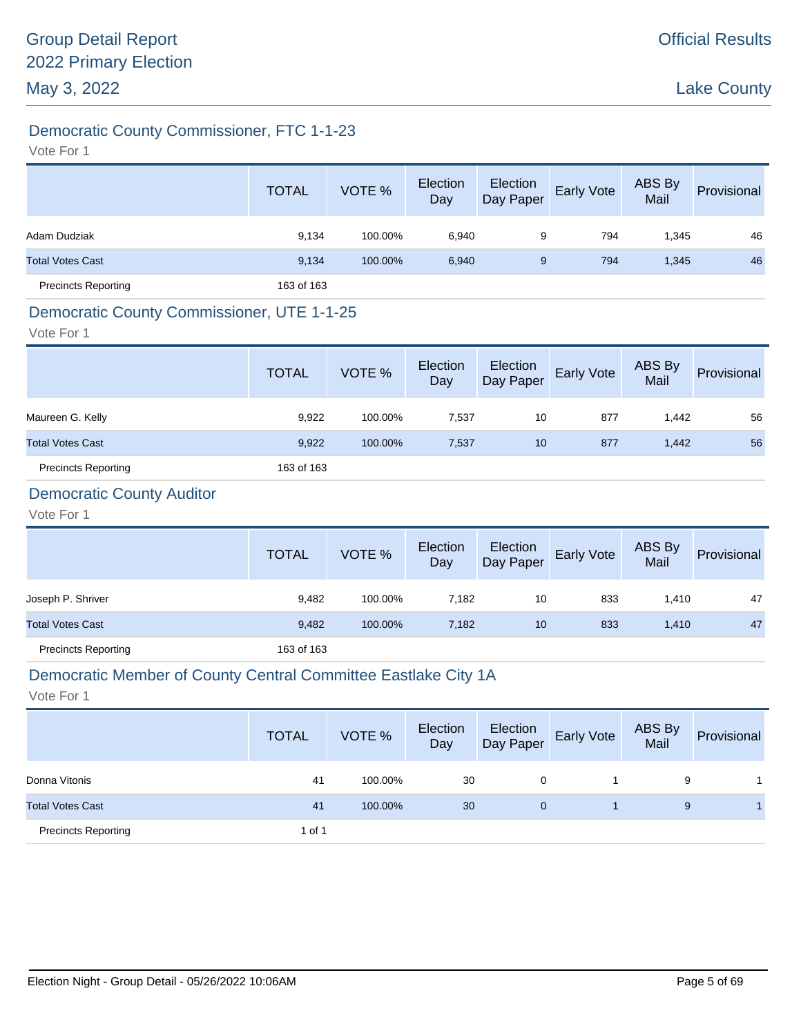# Democratic County Commissioner, FTC 1-1-23

Vote For 1

|                            | <b>TOTAL</b> | VOTE %  | Election<br>Day | Election<br>Day Paper | Early Vote | ABS By<br>Mail | Provisional |
|----------------------------|--------------|---------|-----------------|-----------------------|------------|----------------|-------------|
| Adam Dudziak               | 9,134        | 100.00% | 6,940           | 9                     | 794        | 1,345          | 46          |
| <b>Total Votes Cast</b>    | 9,134        | 100.00% | 6,940           | 9                     | 794        | 1,345          | 46          |
| <b>Precincts Reporting</b> | 163 of 163   |         |                 |                       |            |                |             |

### Democratic County Commissioner, UTE 1-1-25

Vote For 1

|                            | <b>TOTAL</b> | VOTE %  | Election<br>Day | Election<br>Day Paper | <b>Early Vote</b> | ABS By<br>Mail | Provisional |
|----------------------------|--------------|---------|-----------------|-----------------------|-------------------|----------------|-------------|
| Maureen G. Kelly           | 9,922        | 100.00% | 7,537           | 10                    | 877               | 1.442          | 56          |
| <b>Total Votes Cast</b>    | 9,922        | 100.00% | 7,537           | 10                    | 877               | 1,442          | 56          |
| <b>Precincts Reporting</b> | 163 of 163   |         |                 |                       |                   |                |             |

# Democratic County Auditor

Vote For 1

|                            | <b>TOTAL</b> | VOTE %  | Election<br>Day | Election<br>Day Paper | <b>Early Vote</b> | ABS By<br>Mail | Provisional |
|----------------------------|--------------|---------|-----------------|-----------------------|-------------------|----------------|-------------|
| Joseph P. Shriver          | 9,482        | 100.00% | 7.182           | 10                    | 833               | 1,410          | 47          |
| <b>Total Votes Cast</b>    | 9,482        | 100.00% | 7,182           | 10                    | 833               | 1,410          | 47          |
| <b>Precincts Reporting</b> | 163 of 163   |         |                 |                       |                   |                |             |

#### Democratic Member of County Central Committee Eastlake City 1A

|                            | <b>TOTAL</b> | VOTE %  | Election<br>Day | Election<br>Day Paper | <b>Early Vote</b> | ABS By<br>Mail | Provisional |
|----------------------------|--------------|---------|-----------------|-----------------------|-------------------|----------------|-------------|
| Donna Vitonis              | 41           | 100.00% | 30              | 0                     |                   | 9              |             |
| <b>Total Votes Cast</b>    | 41           | 100.00% | 30              | 0                     |                   | 9              |             |
| <b>Precincts Reporting</b> | 1 of 1       |         |                 |                       |                   |                |             |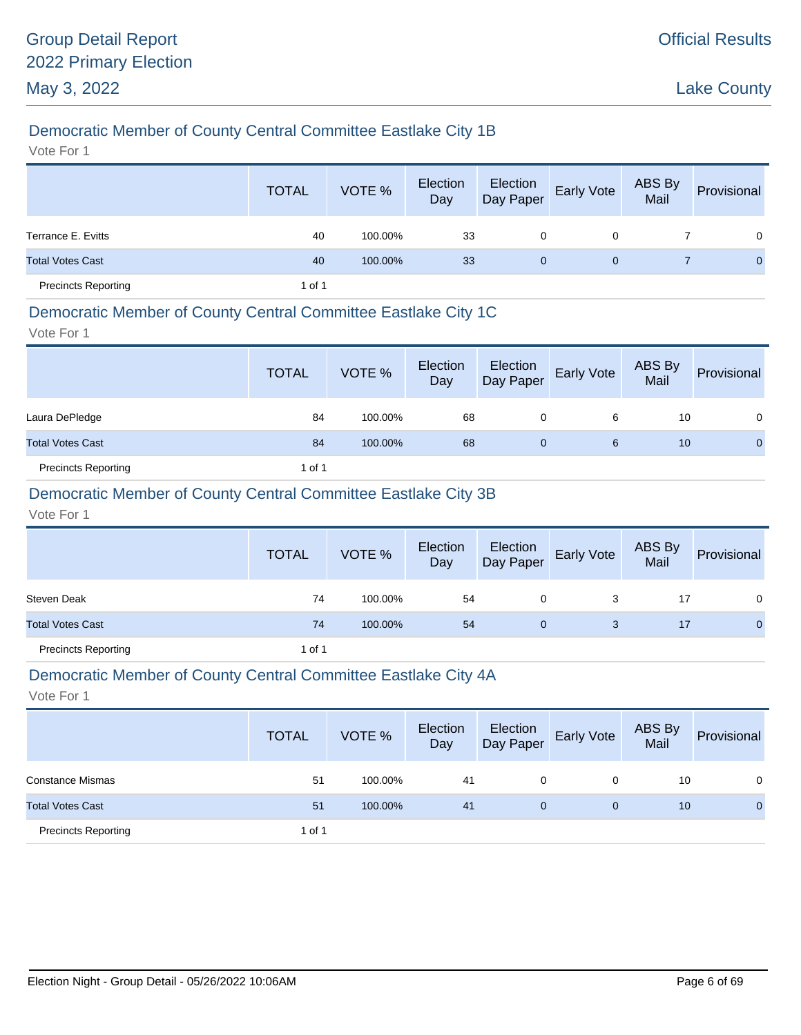# Democratic Member of County Central Committee Eastlake City 1B

Vote For 1

|                            | <b>TOTAL</b> | VOTE %  | Election<br>Day | Election<br>Day Paper | Early Vote   | ABS By<br>Mail | Provisional    |
|----------------------------|--------------|---------|-----------------|-----------------------|--------------|----------------|----------------|
| Terrance E. Evitts         | 40           | 100.00% | 33              | 0                     | 0            |                | $\overline{0}$ |
| <b>Total Votes Cast</b>    | 40           | 100.00% | 33              | $\mathbf{0}$          | $\mathbf{0}$ |                | $\mathbf{0}$   |
| <b>Precincts Reporting</b> | 1 of 1       |         |                 |                       |              |                |                |

### Democratic Member of County Central Committee Eastlake City 1C

Vote For 1

|                            | <b>TOTAL</b> | VOTE %  | Election<br>Day | Election<br>Day Paper | <b>Early Vote</b> | ABS By<br>Mail | Provisional  |
|----------------------------|--------------|---------|-----------------|-----------------------|-------------------|----------------|--------------|
| Laura DePledge             | 84           | 100.00% | 68              | 0                     | 6                 | 10             | 0            |
| <b>Total Votes Cast</b>    | 84           | 100.00% | 68              | 0                     | 6                 | 10             | $\mathbf{0}$ |
| <b>Precincts Reporting</b> | 1 of 1       |         |                 |                       |                   |                |              |

### Democratic Member of County Central Committee Eastlake City 3B

Vote For 1

|                            | <b>TOTAL</b> | VOTE %  | Election<br>Day | Election<br>Day Paper | Early Vote | ABS By<br>Mail | Provisional  |
|----------------------------|--------------|---------|-----------------|-----------------------|------------|----------------|--------------|
| <b>Steven Deak</b>         | 74           | 100.00% | 54              | 0                     |            | 17             | 0            |
| <b>Total Votes Cast</b>    | 74           | 100.00% | 54              | $\mathbf 0$           | 3          | 17             | $\mathbf{0}$ |
| <b>Precincts Reporting</b> | 1 of 1       |         |                 |                       |            |                |              |

#### Democratic Member of County Central Committee Eastlake City 4A

|                            | <b>TOTAL</b> | VOTE %  | Election<br>Day | Election<br>Day Paper | <b>Early Vote</b> | ABS By<br>Mail | Provisional |
|----------------------------|--------------|---------|-----------------|-----------------------|-------------------|----------------|-------------|
| <b>Constance Mismas</b>    | 51           | 100.00% | 41              | 0                     | 0                 | 10             | 0           |
| <b>Total Votes Cast</b>    | 51           | 100.00% | 41              | $\mathbf{0}$          | $\mathbf 0$       | 10             | $\mathbf 0$ |
| <b>Precincts Reporting</b> | 1 of 1       |         |                 |                       |                   |                |             |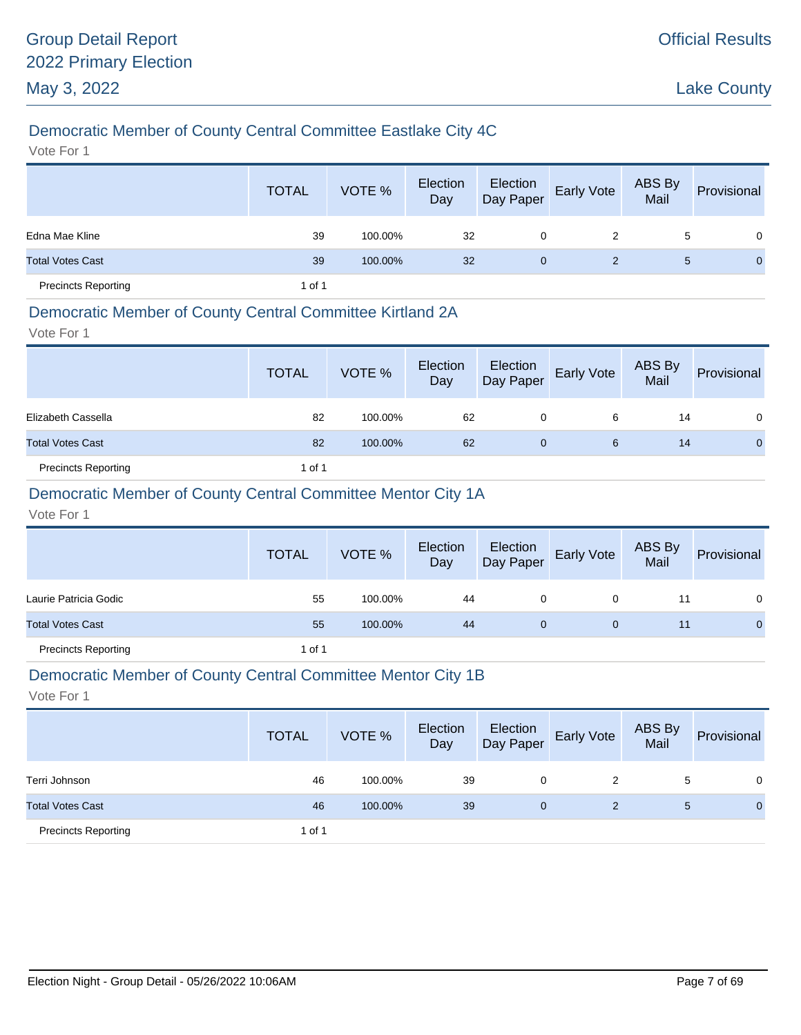# Democratic Member of County Central Committee Eastlake City 4C

Vote For 1

|                            | <b>TOTAL</b> | VOTE %  | Election<br>Day | Election<br>Day Paper | <b>Early Vote</b> | ABS By<br>Mail | Provisional  |
|----------------------------|--------------|---------|-----------------|-----------------------|-------------------|----------------|--------------|
| Edna Mae Kline             | 39           | 100.00% | 32              | 0                     | 2                 | 5              | $\Omega$     |
| <b>Total Votes Cast</b>    | 39           | 100.00% | 32              | $\mathbf{0}$          | $\overline{2}$    | 5              | $\mathbf{0}$ |
| <b>Precincts Reporting</b> | 1 of 1       |         |                 |                       |                   |                |              |

### Democratic Member of County Central Committee Kirtland 2A

Vote For 1

|                            | <b>TOTAL</b> | VOTE %  | Election<br>Day | Election<br>Day Paper | <b>Early Vote</b> | ABS By<br>Mail | Provisional |
|----------------------------|--------------|---------|-----------------|-----------------------|-------------------|----------------|-------------|
| Elizabeth Cassella         | 82           | 100.00% | 62              | 0                     | 6                 | 14             | 0           |
| <b>Total Votes Cast</b>    | 82           | 100.00% | 62              | 0                     | 6                 | 14             | $\Omega$    |
| <b>Precincts Reporting</b> | 1 of 1       |         |                 |                       |                   |                |             |

### Democratic Member of County Central Committee Mentor City 1A

Vote For 1

|                            | <b>TOTAL</b> | VOTE %  | Election<br>Day | Election<br>Day Paper | <b>Early Vote</b> | ABS By<br>Mail | Provisional    |
|----------------------------|--------------|---------|-----------------|-----------------------|-------------------|----------------|----------------|
| Laurie Patricia Godic      | 55           | 100.00% | 44              | 0                     | 0                 | 11             | $\mathbf{0}$   |
| <b>Total Votes Cast</b>    | 55           | 100.00% | 44              | 0                     | 0                 | 11             | $\overline{0}$ |
| <b>Precincts Reporting</b> | 1 of 1       |         |                 |                       |                   |                |                |

#### Democratic Member of County Central Committee Mentor City 1B

|                            | <b>TOTAL</b> | VOTE %  | Election<br>Day | Election<br>Day Paper | <b>Early Vote</b> | ABS By<br>Mail | Provisional  |
|----------------------------|--------------|---------|-----------------|-----------------------|-------------------|----------------|--------------|
| Terri Johnson              | 46           | 100.00% | 39              | 0                     | 2                 | 5              | 0            |
| <b>Total Votes Cast</b>    | 46           | 100.00% | 39              | 0                     | 2                 | 5              | $\mathbf{0}$ |
| <b>Precincts Reporting</b> | 1 of 1       |         |                 |                       |                   |                |              |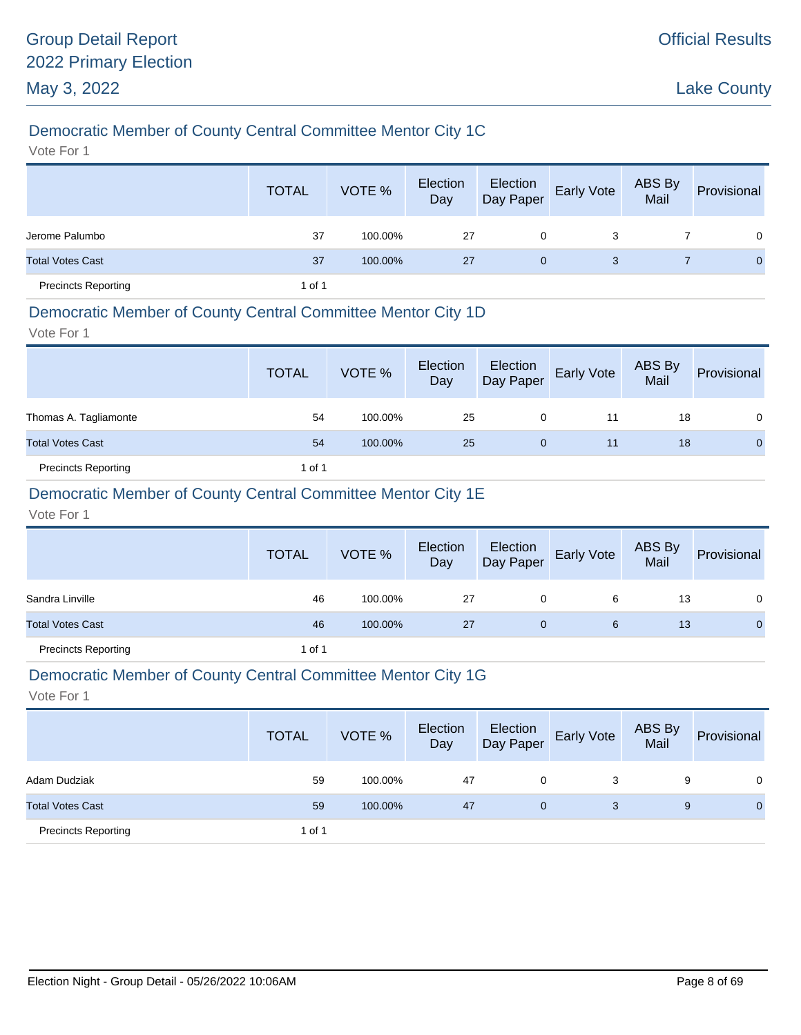# Democratic Member of County Central Committee Mentor City 1C

Vote For 1

|                            | <b>TOTAL</b> | VOTE %  | Election<br>Day | Election<br>Day Paper | Early Vote | ABS By<br>Mail | Provisional  |
|----------------------------|--------------|---------|-----------------|-----------------------|------------|----------------|--------------|
| Jerome Palumbo             | 37           | 100.00% | 27              | 0                     | 3          |                | $\Omega$     |
| <b>Total Votes Cast</b>    | 37           | 100.00% | 27              | $\mathbf{0}$          | 3          |                | $\mathbf{0}$ |
| <b>Precincts Reporting</b> | 1 of 1       |         |                 |                       |            |                |              |

#### Democratic Member of County Central Committee Mentor City 1D

Vote For 1

|                            | <b>TOTAL</b> | VOTE %  | Election<br>Day | Election<br>Day Paper | Early Vote | ABS By<br>Mail | Provisional |
|----------------------------|--------------|---------|-----------------|-----------------------|------------|----------------|-------------|
| Thomas A. Tagliamonte      | 54           | 100.00% | 25              | 0                     | 11         | 18             | 0           |
| <b>Total Votes Cast</b>    | 54           | 100.00% | 25              | 0                     | 11         | 18             | 0           |
| <b>Precincts Reporting</b> | 1 of 1       |         |                 |                       |            |                |             |

# Democratic Member of County Central Committee Mentor City 1E

Vote For 1

|                            | <b>TOTAL</b> | VOTE %  | Election<br>Day | Election<br>Day Paper | <b>Early Vote</b> | <b>ABS By</b><br>Mail | Provisional    |
|----------------------------|--------------|---------|-----------------|-----------------------|-------------------|-----------------------|----------------|
| Sandra Linville            | 46           | 100.00% | 27              | 0                     | 6                 | 13                    | $\mathbf{0}$   |
| <b>Total Votes Cast</b>    | 46           | 100.00% | 27              | 0                     | 6                 | 13                    | $\overline{0}$ |
| <b>Precincts Reporting</b> | 1 of 1       |         |                 |                       |                   |                       |                |

#### Democratic Member of County Central Committee Mentor City 1G

|                            | <b>TOTAL</b> | VOTE %  | Election<br>Day | Election<br>Day Paper | <b>Early Vote</b> | ABS By<br>Mail | Provisional |
|----------------------------|--------------|---------|-----------------|-----------------------|-------------------|----------------|-------------|
| Adam Dudziak               | 59           | 100.00% | 47              | 0                     | 3                 | 9              | $\Omega$    |
| <b>Total Votes Cast</b>    | 59           | 100.00% | 47              | 0                     | 3                 | 9              | 0           |
| <b>Precincts Reporting</b> | 1 of 1       |         |                 |                       |                   |                |             |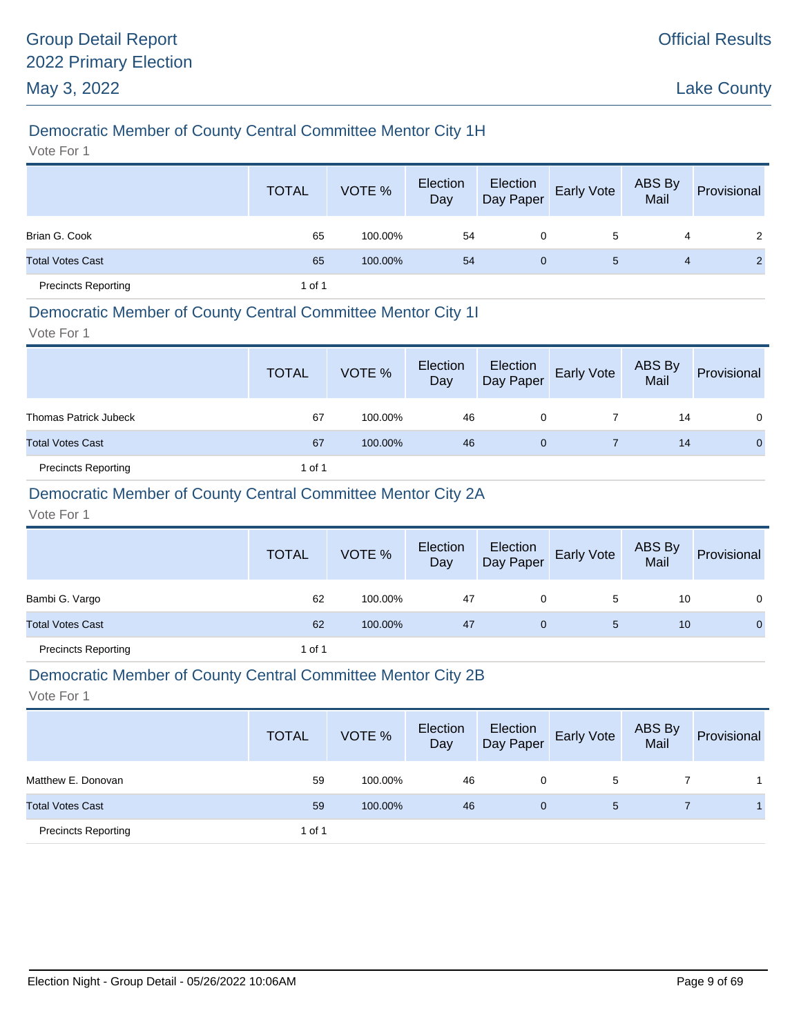# Democratic Member of County Central Committee Mentor City 1H

Vote For 1

|                            | <b>TOTAL</b> | VOTE %  | Election<br>Day | Election<br>Day Paper | <b>Early Vote</b> | ABS By<br>Mail | Provisional    |
|----------------------------|--------------|---------|-----------------|-----------------------|-------------------|----------------|----------------|
| Brian G. Cook              | 65           | 100.00% | 54              | 0                     | 5                 | 4              | 2              |
| <b>Total Votes Cast</b>    | 65           | 100.00% | 54              | $\mathbf{0}$          | 5                 | 4              | $\overline{2}$ |
| <b>Precincts Reporting</b> | 1 of 1       |         |                 |                       |                   |                |                |

### Democratic Member of County Central Committee Mentor City 1I

Vote For 1

|                              | <b>TOTAL</b> | VOTE %  | Election<br>Day | Election<br>Day Paper | Early Vote | ABS By<br>Mail | Provisional  |
|------------------------------|--------------|---------|-----------------|-----------------------|------------|----------------|--------------|
| <b>Thomas Patrick Jubeck</b> | 67           | 100.00% | 46              | 0                     |            | 14             | $\Omega$     |
| <b>Total Votes Cast</b>      | 67           | 100.00% | 46              | 0                     |            | 14             | $\mathbf{0}$ |
| <b>Precincts Reporting</b>   | 1 of 1       |         |                 |                       |            |                |              |

### Democratic Member of County Central Committee Mentor City 2A

Vote For 1

|                            | <b>TOTAL</b> | VOTE %  | Election<br>Day | Election<br>Day Paper | <b>Early Vote</b> | ABS By<br>Mail | Provisional    |
|----------------------------|--------------|---------|-----------------|-----------------------|-------------------|----------------|----------------|
| Bambi G. Vargo             | 62           | 100.00% | 47              | 0                     | 5                 | 10             | $\mathbf{0}$   |
| <b>Total Votes Cast</b>    | 62           | 100.00% | 47              | 0                     | 5                 | 10             | $\overline{0}$ |
| <b>Precincts Reporting</b> | 1 of 1       |         |                 |                       |                   |                |                |

#### Democratic Member of County Central Committee Mentor City 2B

|                            | <b>TOTAL</b> | VOTE %  | Election<br>Day | Election<br>Day Paper | Early Vote | ABS By<br>Mail | Provisional |
|----------------------------|--------------|---------|-----------------|-----------------------|------------|----------------|-------------|
| Matthew E. Donovan         | 59           | 100.00% | 46              | 0                     | 5          |                |             |
| <b>Total Votes Cast</b>    | 59           | 100.00% | 46              | $\mathbf{0}$          | 5          |                |             |
| <b>Precincts Reporting</b> | 1 of 1       |         |                 |                       |            |                |             |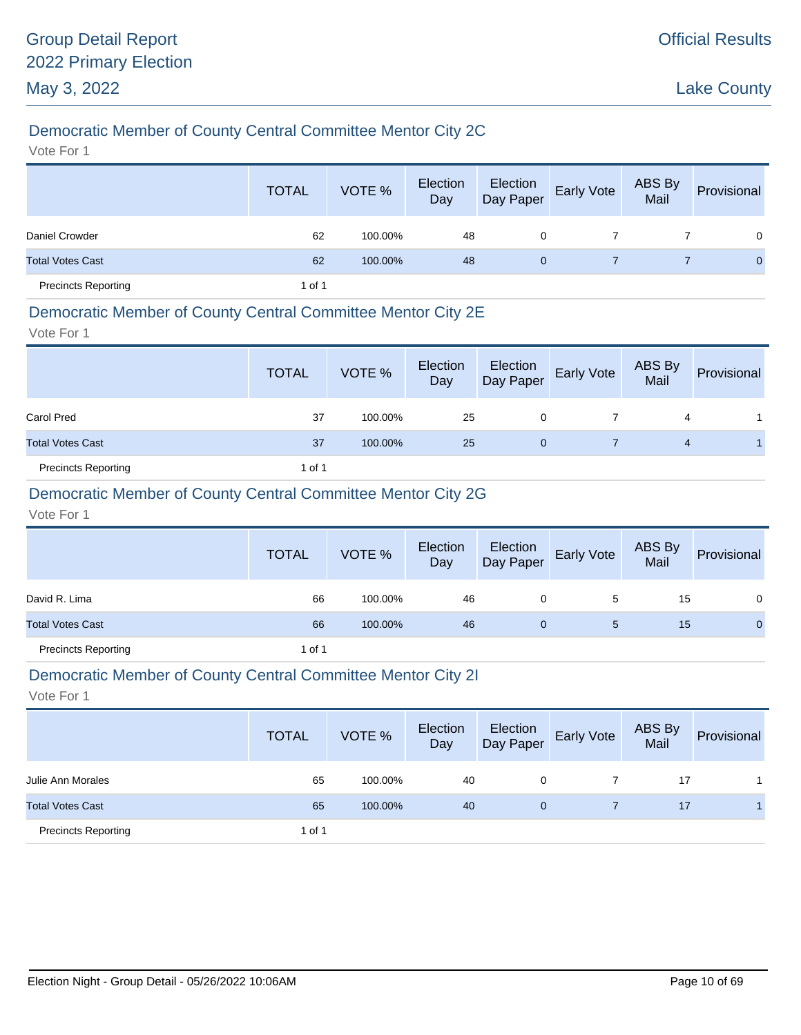# Democratic Member of County Central Committee Mentor City 2C

Vote For 1

|                            | <b>TOTAL</b> | VOTE %  | Election<br>Day | Election<br>Day Paper | Early Vote | ABS By<br>Mail | Provisional  |
|----------------------------|--------------|---------|-----------------|-----------------------|------------|----------------|--------------|
| Daniel Crowder             | 62           | 100.00% | 48              | 0                     |            |                | $\Omega$     |
| <b>Total Votes Cast</b>    | 62           | 100.00% | 48              | $\mathbf{0}$          |            |                | $\mathbf{0}$ |
| <b>Precincts Reporting</b> | 1 of 1       |         |                 |                       |            |                |              |

### Democratic Member of County Central Committee Mentor City 2E

Vote For 1

|                            | <b>TOTAL</b> | VOTE %  | Election<br>Day |   | Election<br>Day Paper Early Vote | ABS By<br>Mail | Provisional |
|----------------------------|--------------|---------|-----------------|---|----------------------------------|----------------|-------------|
| <b>Carol Pred</b>          | 37           | 100.00% | 25              | 0 |                                  | 4              |             |
| <b>Total Votes Cast</b>    | 37           | 100.00% | 25              | 0 |                                  | 4              |             |
| <b>Precincts Reporting</b> | 1 of 1       |         |                 |   |                                  |                |             |

### Democratic Member of County Central Committee Mentor City 2G

Vote For 1

|                            | <b>TOTAL</b> | VOTE %  | Election<br>Day | Election<br>Day Paper | Early Vote | ABS By<br>Mail | Provisional  |
|----------------------------|--------------|---------|-----------------|-----------------------|------------|----------------|--------------|
| David R. Lima              | 66           | 100.00% | 46              | 0                     | 5          | 15             | $\mathbf{0}$ |
| <b>Total Votes Cast</b>    | 66           | 100.00% | 46              | 0                     | 5          | 15             | $\mathbf 0$  |
| <b>Precincts Reporting</b> | 1 of 1       |         |                 |                       |            |                |              |

#### Democratic Member of County Central Committee Mentor City 2I

|                            | <b>TOTAL</b> | VOTE %  | Election<br>Day | Election<br>Day Paper | <b>Early Vote</b> | ABS By<br>Mail | Provisional |
|----------------------------|--------------|---------|-----------------|-----------------------|-------------------|----------------|-------------|
| Julie Ann Morales          | 65           | 100.00% | 40              | 0                     |                   | 17             |             |
| <b>Total Votes Cast</b>    | 65           | 100.00% | 40              | $\overline{0}$        |                   | 17             |             |
| <b>Precincts Reporting</b> | 1 of 1       |         |                 |                       |                   |                |             |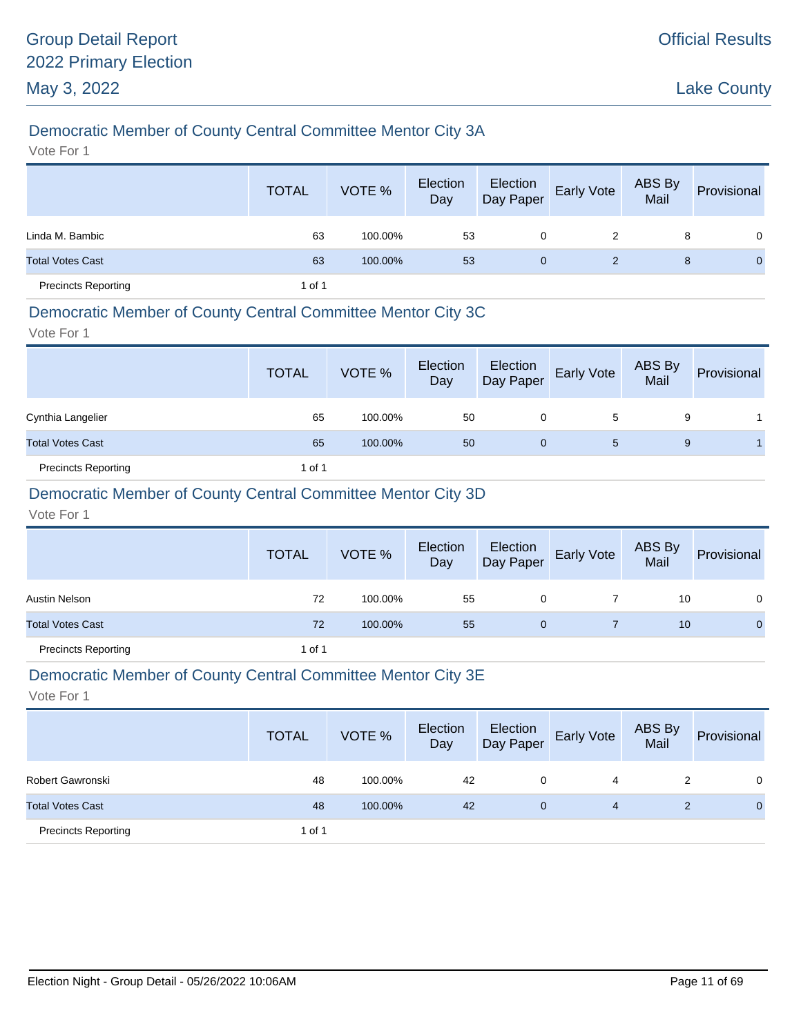# Democratic Member of County Central Committee Mentor City 3A

Vote For 1

|                            | <b>TOTAL</b> | VOTE %  | Election<br>Day | Election<br>Day Paper | <b>Early Vote</b> | ABS By<br>Mail | Provisional  |
|----------------------------|--------------|---------|-----------------|-----------------------|-------------------|----------------|--------------|
| Linda M. Bambic            | 63           | 100.00% | 53              | 0                     | 2                 | 8              | $\Omega$     |
| <b>Total Votes Cast</b>    | 63           | 100.00% | 53              | $\mathbf{0}$          | 2                 | 8              | $\mathbf{0}$ |
| <b>Precincts Reporting</b> | 1 of 1       |         |                 |                       |                   |                |              |

### Democratic Member of County Central Committee Mentor City 3C

Vote For 1

|                            | <b>TOTAL</b> | VOTE %  | Election<br>Day | Election<br>Day Paper | Early Vote | ABS By<br>Mail | Provisional |
|----------------------------|--------------|---------|-----------------|-----------------------|------------|----------------|-------------|
| Cynthia Langelier          | 65           | 100.00% | 50              | 0                     | 5          | 9              |             |
| <b>Total Votes Cast</b>    | 65           | 100.00% | 50              | 0                     | 5          | 9              |             |
| <b>Precincts Reporting</b> | 1 of 1       |         |                 |                       |            |                |             |

### Democratic Member of County Central Committee Mentor City 3D

Vote For 1

|                            | <b>TOTAL</b> | VOTE %  | Election<br>Day | Election<br>Day Paper | Early Vote | ABS By<br>Mail | Provisional  |
|----------------------------|--------------|---------|-----------------|-----------------------|------------|----------------|--------------|
| Austin Nelson              | 72           | 100.00% | 55              | 0                     |            | 10             | 0            |
| <b>Total Votes Cast</b>    | 72           | 100.00% | 55              | 0                     |            | 10             | $\mathbf{0}$ |
| <b>Precincts Reporting</b> | 1 of 1       |         |                 |                       |            |                |              |

#### Democratic Member of County Central Committee Mentor City 3E

|                            | <b>TOTAL</b> | VOTE %  | Election<br>Day | Election<br>Day Paper | <b>Early Vote</b> | ABS By<br>Mail | Provisional |
|----------------------------|--------------|---------|-----------------|-----------------------|-------------------|----------------|-------------|
| Robert Gawronski           | 48           | 100.00% | 42              | 0                     | 4                 |                | $\Omega$    |
| <b>Total Votes Cast</b>    | 48           | 100.00% | 42              | 0                     | 4                 |                | 0           |
| <b>Precincts Reporting</b> | 1 of 1       |         |                 |                       |                   |                |             |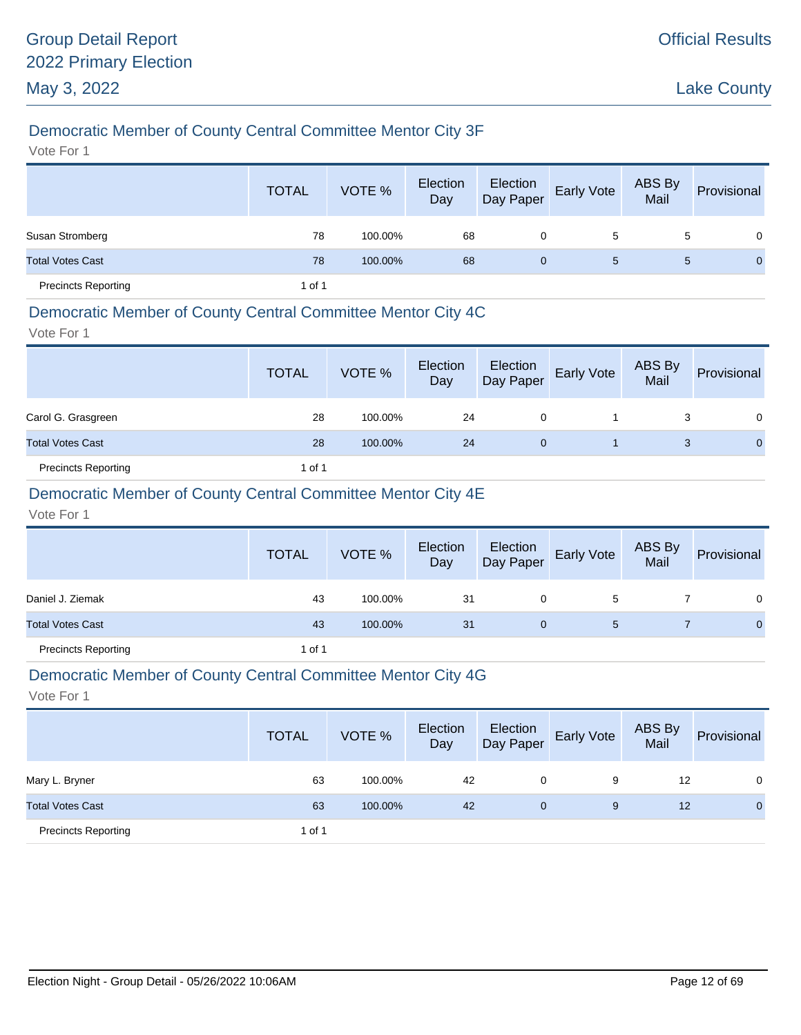# Democratic Member of County Central Committee Mentor City 3F

Vote For 1

|                            | <b>TOTAL</b> | VOTE %  | Election<br>Day | Election<br>Day Paper | Early Vote | ABS By<br>Mail | Provisional    |
|----------------------------|--------------|---------|-----------------|-----------------------|------------|----------------|----------------|
| Susan Stromberg            | 78           | 100.00% | 68              | 0                     | 5          | 5              | $\Omega$       |
| <b>Total Votes Cast</b>    | 78           | 100.00% | 68              | $\mathbf{0}$          | 5          | 5              | $\overline{0}$ |
| <b>Precincts Reporting</b> | 1 of 1       |         |                 |                       |            |                |                |

#### Democratic Member of County Central Committee Mentor City 4C

Vote For 1

|                            | <b>TOTAL</b> | VOTE %  | Election<br>Day | Election<br>Day Paper | Early Vote | ABS By<br>Mail | Provisional |
|----------------------------|--------------|---------|-----------------|-----------------------|------------|----------------|-------------|
| Carol G. Grasgreen         | 28           | 100.00% | 24              | 0                     |            |                | $\Omega$    |
| <b>Total Votes Cast</b>    | 28           | 100.00% | 24              | 0                     |            | 3              | $\Omega$    |
| <b>Precincts Reporting</b> | 1 of 1       |         |                 |                       |            |                |             |

### Democratic Member of County Central Committee Mentor City 4E

Vote For 1

|                            | <b>TOTAL</b> | VOTE %  | Election<br>Day | Election<br>Day Paper | <b>Early Vote</b> | ABS By<br>Mail | Provisional |
|----------------------------|--------------|---------|-----------------|-----------------------|-------------------|----------------|-------------|
| Daniel J. Ziemak           | 43           | 100.00% | 31              | 0                     | 5                 |                | 0           |
| <b>Total Votes Cast</b>    | 43           | 100.00% | 31              | 0                     | 5                 |                | $\mathbf 0$ |
| <b>Precincts Reporting</b> | 1 of 1       |         |                 |                       |                   |                |             |

#### Democratic Member of County Central Committee Mentor City 4G

|                            | <b>TOTAL</b> | VOTE %  | Election<br>Day | Election<br>Day Paper | <b>Early Vote</b> | <b>ABS By</b><br>Mail | Provisional  |
|----------------------------|--------------|---------|-----------------|-----------------------|-------------------|-----------------------|--------------|
| Mary L. Bryner             | 63           | 100.00% | 42              | 0                     | 9                 | 12                    | $\Omega$     |
| <b>Total Votes Cast</b>    | 63           | 100.00% | 42              | 0                     | 9                 | 12                    | $\mathbf{0}$ |
| <b>Precincts Reporting</b> | 1 of 1       |         |                 |                       |                   |                       |              |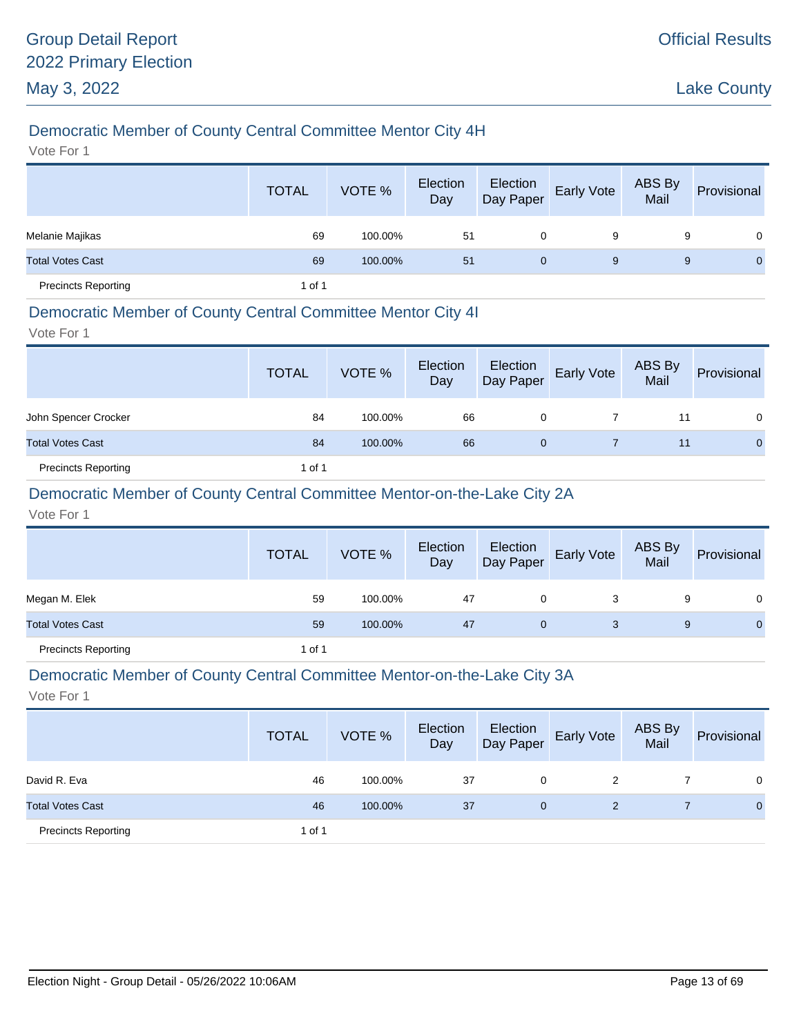# Democratic Member of County Central Committee Mentor City 4H

Vote For 1

|                            | <b>TOTAL</b> | VOTE %  | Election<br>Day | Election<br>Day Paper | Early Vote | ABS By<br>Mail | Provisional  |
|----------------------------|--------------|---------|-----------------|-----------------------|------------|----------------|--------------|
| Melanie Majikas            | 69           | 100.00% | 51              | 0                     | 9          | 9              | $\mathbf{0}$ |
| <b>Total Votes Cast</b>    | 69           | 100.00% | 51              | 0                     | 9          | 9              | $\mathbf{0}$ |
| <b>Precincts Reporting</b> | 1 of 1       |         |                 |                       |            |                |              |

#### Democratic Member of County Central Committee Mentor City 4I

Vote For 1

|                            | <b>TOTAL</b> | VOTE %  | Election<br>Day | Election<br>Day Paper | Early Vote | ABS By<br>Mail | Provisional  |
|----------------------------|--------------|---------|-----------------|-----------------------|------------|----------------|--------------|
| John Spencer Crocker       | 84           | 100.00% | 66              | 0                     |            | 11             | $\Omega$     |
| <b>Total Votes Cast</b>    | 84           | 100.00% | 66              | 0                     |            | 11             | $\mathbf{0}$ |
| <b>Precincts Reporting</b> | 1 of 1       |         |                 |                       |            |                |              |

### Democratic Member of County Central Committee Mentor-on-the-Lake City 2A

Vote For 1

|                            | <b>TOTAL</b> | VOTE %  | Election<br>Day |   | Election<br>Day Paper Early Vote | ABS By<br>Mail | Provisional  |
|----------------------------|--------------|---------|-----------------|---|----------------------------------|----------------|--------------|
| Megan M. Elek              | 59           | 100.00% | 47              | 0 |                                  | 9              | 0            |
| <b>Total Votes Cast</b>    | 59           | 100.00% | 47              | 0 | 3                                | 9              | $\mathbf{0}$ |
| <b>Precincts Reporting</b> | 1 of 1       |         |                 |   |                                  |                |              |

#### Democratic Member of County Central Committee Mentor-on-the-Lake City 3A

|                            | <b>TOTAL</b> | VOTE %  | Election<br>Day | Election<br>Day Paper | <b>Early Vote</b> | ABS By<br>Mail | Provisional  |
|----------------------------|--------------|---------|-----------------|-----------------------|-------------------|----------------|--------------|
| David R. Eva               | 46           | 100.00% | 37              | 0                     | 2                 |                | 0            |
| <b>Total Votes Cast</b>    | 46           | 100.00% | 37              | $\mathbf{0}$          | 2                 |                | $\mathbf{0}$ |
| <b>Precincts Reporting</b> | 1 of 1       |         |                 |                       |                   |                |              |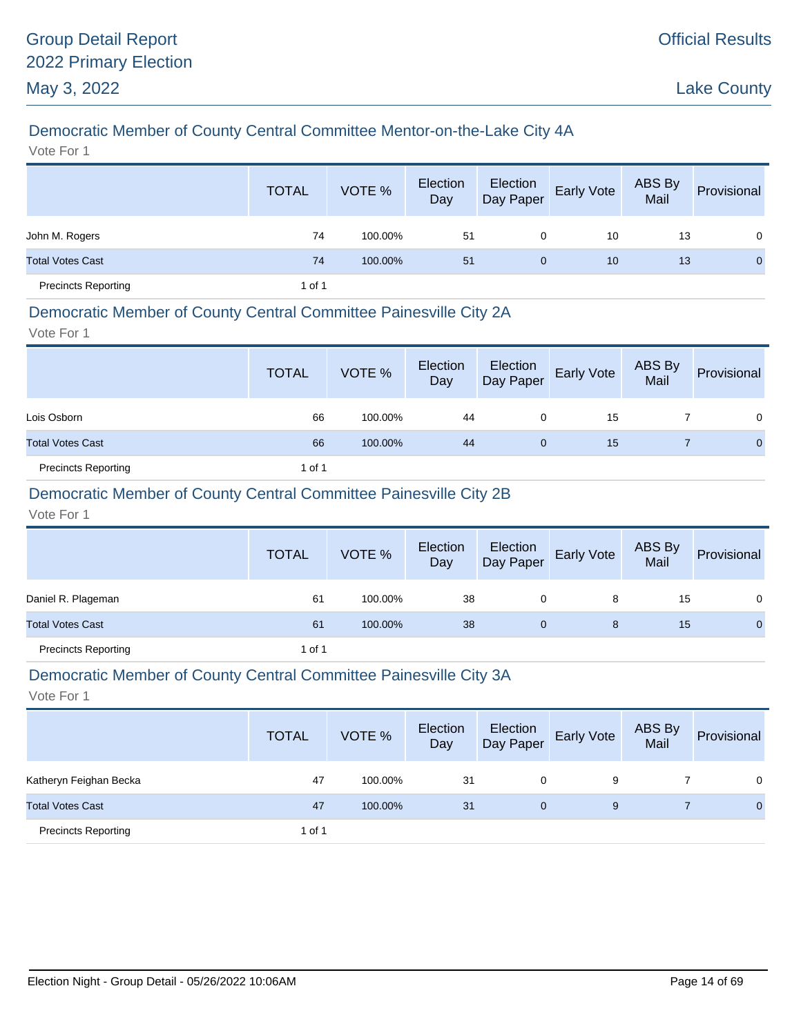# Democratic Member of County Central Committee Mentor-on-the-Lake City 4A

Vote For 1

|                            | <b>TOTAL</b> | VOTE %  | Election<br>Day | Election<br>Day Paper | <b>Early Vote</b> | ABS By<br>Mail | Provisional    |
|----------------------------|--------------|---------|-----------------|-----------------------|-------------------|----------------|----------------|
| John M. Rogers             | 74           | 100.00% | 51              | 0                     | 10                | 13             | $\overline{0}$ |
| <b>Total Votes Cast</b>    | 74           | 100.00% | 51              | $\mathbf{0}$          | 10                | 13             | $\mathbf{0}$   |
| <b>Precincts Reporting</b> | 1 of 1       |         |                 |                       |                   |                |                |

#### Democratic Member of County Central Committee Painesville City 2A

Vote For 1

|                            | <b>TOTAL</b> | VOTE %  | Election<br>Day | Election<br>Day Paper | Early Vote | ABS By<br>Mail | Provisional  |
|----------------------------|--------------|---------|-----------------|-----------------------|------------|----------------|--------------|
| Lois Osborn                | 66           | 100.00% | 44              | 0                     | 15         |                | $\Omega$     |
| <b>Total Votes Cast</b>    | 66           | 100.00% | 44              | $\mathbf{0}$          | 15         |                | $\mathbf{0}$ |
| <b>Precincts Reporting</b> | 1 of 1       |         |                 |                       |            |                |              |

### Democratic Member of County Central Committee Painesville City 2B

Vote For 1

|                            | <b>TOTAL</b> | VOTE %  | Election<br>Day | Election<br>Day Paper | Early Vote | ABS By<br>Mail | Provisional  |
|----------------------------|--------------|---------|-----------------|-----------------------|------------|----------------|--------------|
| Daniel R. Plageman         | 61           | 100.00% | 38              | 0                     | 8          | 15             | 0            |
| <b>Total Votes Cast</b>    | 61           | 100.00% | 38              | 0                     | 8          | 15             | $\mathbf{0}$ |
| <b>Precincts Reporting</b> | 1 of 1       |         |                 |                       |            |                |              |

#### Democratic Member of County Central Committee Painesville City 3A

|                            | <b>TOTAL</b> | VOTE %  | Election<br>Day | Election<br>Day Paper | <b>Early Vote</b> | ABS By<br>Mail | Provisional |
|----------------------------|--------------|---------|-----------------|-----------------------|-------------------|----------------|-------------|
| Katheryn Feighan Becka     | 47           | 100.00% | 31              | 0                     | 9                 |                | $\Omega$    |
| <b>Total Votes Cast</b>    | 47           | 100.00% | 31              | $\mathbf{0}$          | 9                 |                | $\Omega$    |
| <b>Precincts Reporting</b> | 1 of 1       |         |                 |                       |                   |                |             |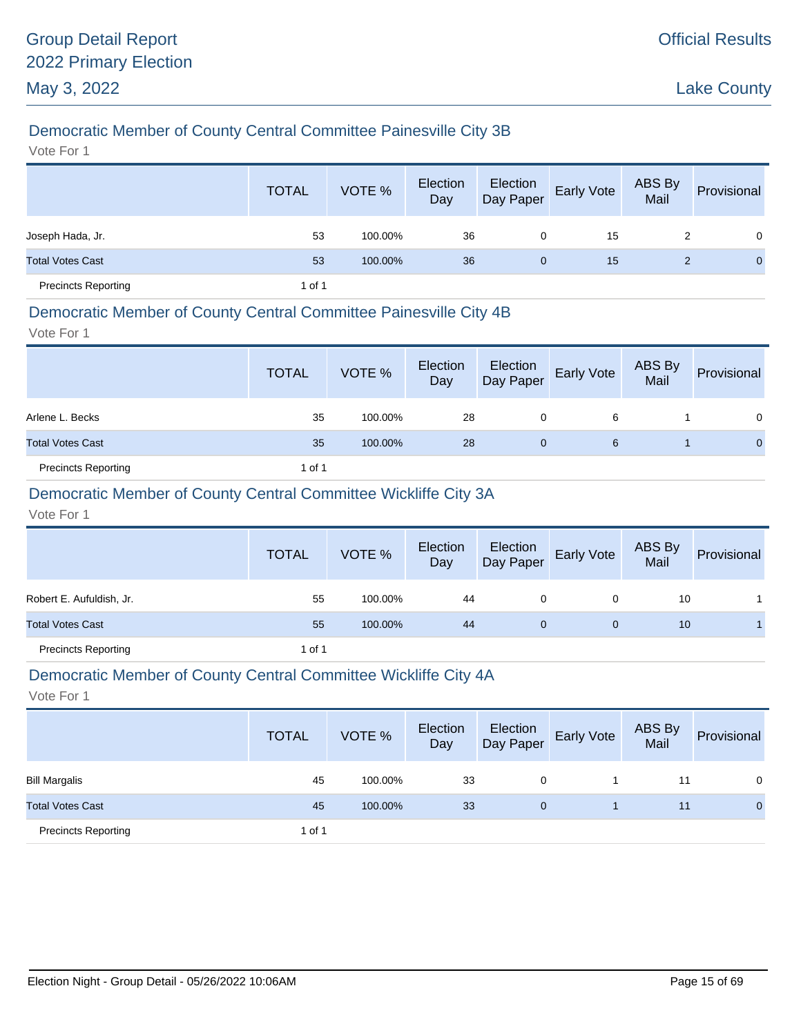# Democratic Member of County Central Committee Painesville City 3B

Vote For 1

|                            | <b>TOTAL</b> | VOTE %  | Election<br>Day | Election<br>Day Paper | Early Vote | ABS By<br>Mail | Provisional    |
|----------------------------|--------------|---------|-----------------|-----------------------|------------|----------------|----------------|
| Joseph Hada, Jr.           | 53           | 100.00% | 36              | 0                     | 15         | 2              | $\overline{0}$ |
| <b>Total Votes Cast</b>    | 53           | 100.00% | 36              | $\mathbf{0}$          | 15         | 2              | $\overline{0}$ |
| <b>Precincts Reporting</b> | 1 of 1       |         |                 |                       |            |                |                |

### Democratic Member of County Central Committee Painesville City 4B

Vote For 1

|                            | <b>TOTAL</b> | VOTE %  | Election<br>Day | Election<br>Day Paper | Early Vote | ABS By<br>Mail | Provisional  |
|----------------------------|--------------|---------|-----------------|-----------------------|------------|----------------|--------------|
| Arlene L. Becks            | 35           | 100.00% | 28              | 0                     | 6          |                | 0            |
| <b>Total Votes Cast</b>    | 35           | 100.00% | 28              | $\mathbf 0$           | 6          |                | $\mathbf{0}$ |
| <b>Precincts Reporting</b> | 1 of 1       |         |                 |                       |            |                |              |

### Democratic Member of County Central Committee Wickliffe City 3A

Vote For 1

|                            | <b>TOTAL</b> | VOTE %  | Election<br>Day | Election<br>Day Paper | Early Vote | ABS By<br>Mail | Provisional |
|----------------------------|--------------|---------|-----------------|-----------------------|------------|----------------|-------------|
| Robert E. Aufuldish, Jr.   | 55           | 100.00% | 44              | 0                     | 0          | 10             |             |
| <b>Total Votes Cast</b>    | 55           | 100.00% | 44              | 0                     | $\Omega$   | 10             |             |
| <b>Precincts Reporting</b> | 1 of 1       |         |                 |                       |            |                |             |

#### Democratic Member of County Central Committee Wickliffe City 4A

|                            | <b>TOTAL</b> | VOTE %  | Election<br>Day | Election<br>Day Paper | <b>Early Vote</b> | ABS By<br>Mail | Provisional |
|----------------------------|--------------|---------|-----------------|-----------------------|-------------------|----------------|-------------|
| <b>Bill Margalis</b>       | 45           | 100.00% | 33              | 0                     |                   | 11             | 0           |
| <b>Total Votes Cast</b>    | 45           | 100.00% | 33              | 0                     |                   | 11             | 0           |
| <b>Precincts Reporting</b> | 1 of 1       |         |                 |                       |                   |                |             |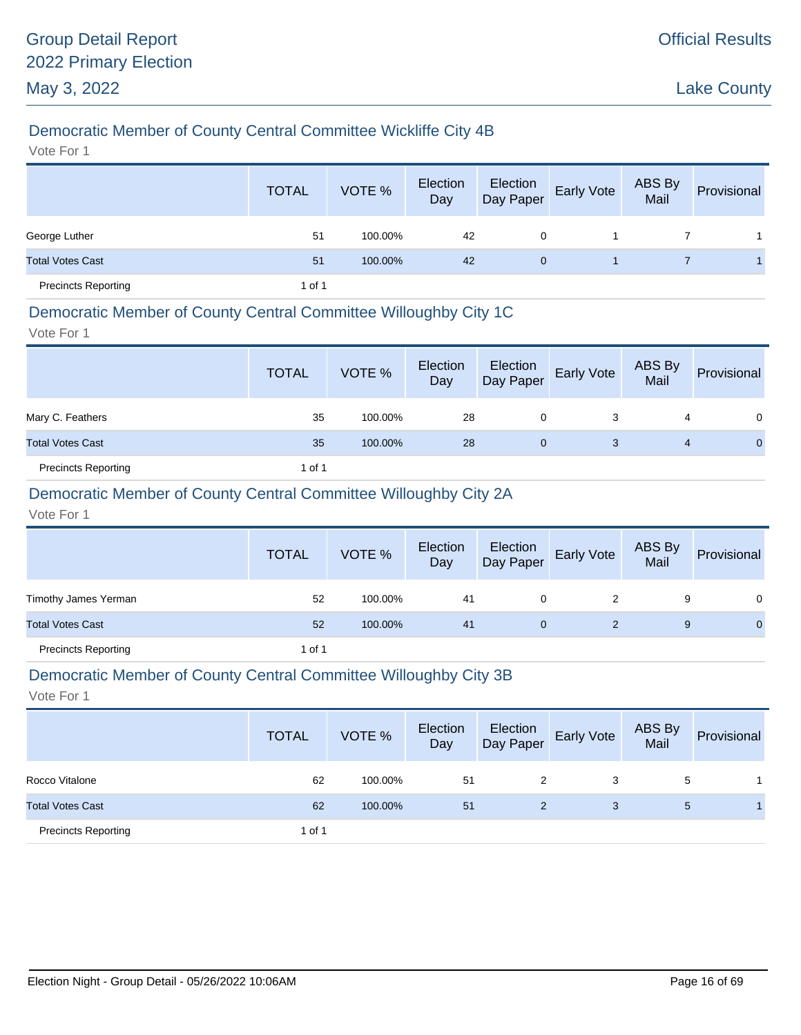# Democratic Member of County Central Committee Wickliffe City 4B

Vote For 1

|                            | <b>TOTAL</b> | VOTE %  | Election<br>Day | Election<br>Day Paper | <b>Early Vote</b> | ABS By<br>Mail | Provisional |
|----------------------------|--------------|---------|-----------------|-----------------------|-------------------|----------------|-------------|
| George Luther              | 51           | 100.00% | 42              | 0                     |                   |                |             |
| <b>Total Votes Cast</b>    | 51           | 100.00% | 42              | $\mathbf{0}$          |                   |                |             |
| <b>Precincts Reporting</b> | 1 of 1       |         |                 |                       |                   |                |             |

### Democratic Member of County Central Committee Willoughby City 1C

Vote For 1

|                            | <b>TOTAL</b> | VOTE %  | Election<br>Day | Election<br>Day Paper | Early Vote | ABS By<br>Mail | Provisional |
|----------------------------|--------------|---------|-----------------|-----------------------|------------|----------------|-------------|
| Mary C. Feathers           | 35           | 100.00% | 28              | 0                     | 3          | 4              | 0           |
| <b>Total Votes Cast</b>    | 35           | 100.00% | 28              | 0                     | 3          | 4              | 0           |
| <b>Precincts Reporting</b> | 1 of 1       |         |                 |                       |            |                |             |

# Democratic Member of County Central Committee Willoughby City 2A

Vote For 1

|                            | <b>TOTAL</b> | VOTE %  | Election<br>Day | Election<br>Day Paper | Early Vote | ABS By<br>Mail | Provisional  |
|----------------------------|--------------|---------|-----------------|-----------------------|------------|----------------|--------------|
| Timothy James Yerman       | 52           | 100.00% | 41              | 0                     |            | 9              | 0            |
| <b>Total Votes Cast</b>    | 52           | 100.00% | 41              | 0                     |            | 9              | $\mathbf{0}$ |
| <b>Precincts Reporting</b> | 1 of 1       |         |                 |                       |            |                |              |

#### Democratic Member of County Central Committee Willoughby City 3B

|                            | <b>TOTAL</b> | VOTE %  | Election<br>Day | Election<br>Day Paper | <b>Early Vote</b> | ABS By<br>Mail | Provisional |
|----------------------------|--------------|---------|-----------------|-----------------------|-------------------|----------------|-------------|
| Rocco Vitalone             | 62           | 100.00% | 51              | 2                     | 3                 | 5              |             |
| <b>Total Votes Cast</b>    | 62           | 100.00% | 51              | 2                     | 3                 | 5              |             |
| <b>Precincts Reporting</b> | 1 of 1       |         |                 |                       |                   |                |             |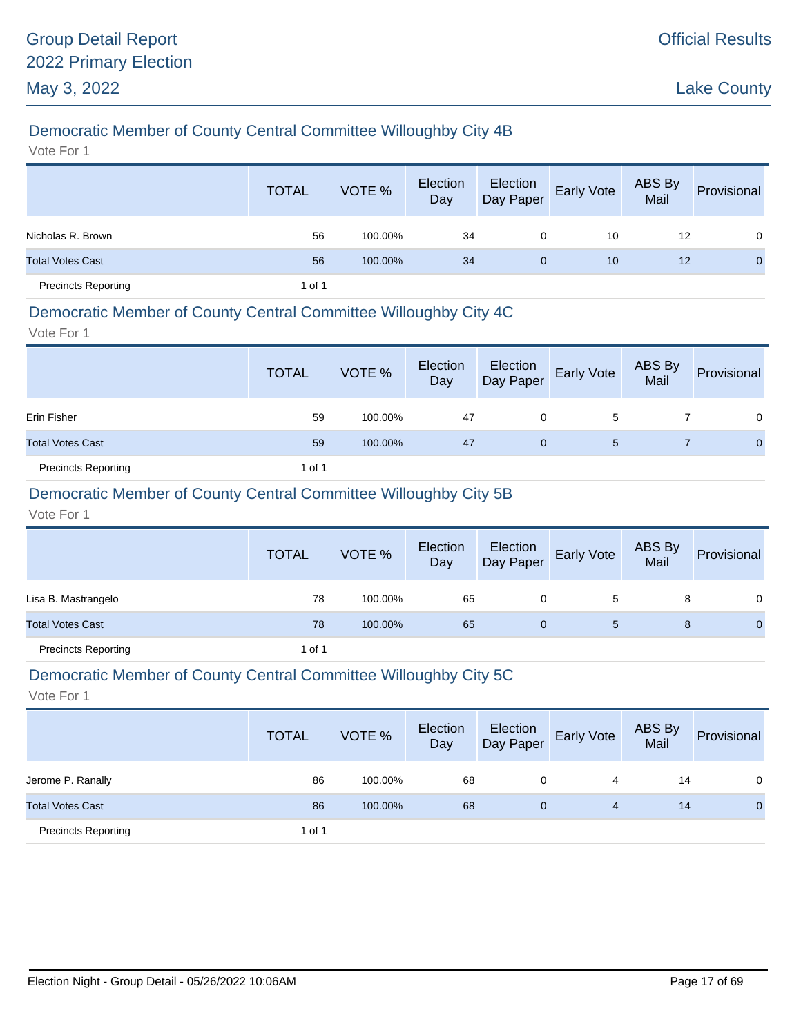# Democratic Member of County Central Committee Willoughby City 4B

Vote For 1

|                            | <b>TOTAL</b> | VOTE %  | Election<br>Day | Election<br>Day Paper | Early Vote | ABS By<br>Mail | Provisional  |
|----------------------------|--------------|---------|-----------------|-----------------------|------------|----------------|--------------|
| Nicholas R. Brown          | 56           | 100.00% | 34              | 0                     | 10         | 12             | $\mathbf 0$  |
| <b>Total Votes Cast</b>    | 56           | 100.00% | 34              | $\mathbf{0}$          | 10         | 12             | $\mathbf{0}$ |
| <b>Precincts Reporting</b> | 1 of 1       |         |                 |                       |            |                |              |

#### Democratic Member of County Central Committee Willoughby City 4C

Vote For 1

|                            | <b>TOTAL</b> | VOTE %  | Election<br>Day | Election<br>Day Paper | <b>Early Vote</b> | ABS By<br>Mail | Provisional    |
|----------------------------|--------------|---------|-----------------|-----------------------|-------------------|----------------|----------------|
| Erin Fisher                | 59           | 100.00% | 47              | 0                     | 5                 |                | 0              |
| <b>Total Votes Cast</b>    | 59           | 100.00% | 47              | 0                     | 5                 |                | $\overline{0}$ |
| <b>Precincts Reporting</b> | 1 of 1       |         |                 |                       |                   |                |                |

# Democratic Member of County Central Committee Willoughby City 5B

Vote For 1

|                            | <b>TOTAL</b> | VOTE %  | Election<br>Day | Election<br>Day Paper | <b>Early Vote</b> | ABS By<br>Mail | Provisional  |
|----------------------------|--------------|---------|-----------------|-----------------------|-------------------|----------------|--------------|
| Lisa B. Mastrangelo        | 78           | 100.00% | 65              | 0                     | 5                 | 8              | 0            |
| <b>Total Votes Cast</b>    | 78           | 100.00% | 65              | 0                     | 5                 | 8              | $\mathbf{0}$ |
| <b>Precincts Reporting</b> | 1 of 1       |         |                 |                       |                   |                |              |

#### Democratic Member of County Central Committee Willoughby City 5C

|                            | <b>TOTAL</b> | VOTE %  | Election<br>Day | Election<br>Day Paper | <b>Early Vote</b> | ABS By<br>Mail | Provisional |
|----------------------------|--------------|---------|-----------------|-----------------------|-------------------|----------------|-------------|
| Jerome P. Ranally          | 86           | 100.00% | 68              | 0                     | 4                 | 14             | 0           |
| <b>Total Votes Cast</b>    | 86           | 100.00% | 68              | 0                     | 4                 | 14             | 0           |
| <b>Precincts Reporting</b> | 1 of 1       |         |                 |                       |                   |                |             |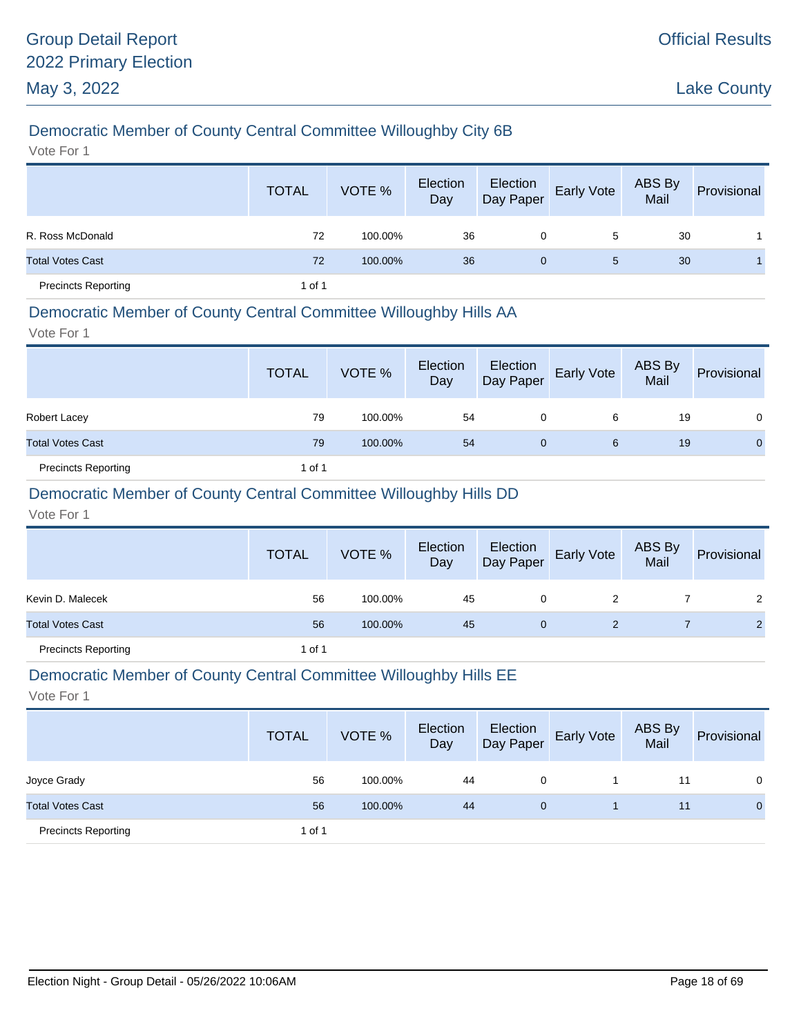# Democratic Member of County Central Committee Willoughby City 6B

Vote For 1

|                            | <b>TOTAL</b> | VOTE %  | Election<br>Day | Election<br>Day Paper | Early Vote | ABS By<br>Mail | Provisional |
|----------------------------|--------------|---------|-----------------|-----------------------|------------|----------------|-------------|
| R. Ross McDonald           | 72           | 100.00% | 36              | 0                     | 5          | 30             |             |
| <b>Total Votes Cast</b>    | 72           | 100.00% | 36              | $\mathbf{0}$          | 5          | 30             |             |
| <b>Precincts Reporting</b> | 1 of 1       |         |                 |                       |            |                |             |

### Democratic Member of County Central Committee Willoughby Hills AA

Vote For 1

|                            | <b>TOTAL</b> | VOTE %  | Election<br>Day | Election<br>Day Paper | <b>Early Vote</b> | ABS By<br>Mail | Provisional    |
|----------------------------|--------------|---------|-----------------|-----------------------|-------------------|----------------|----------------|
| Robert Lacey               | 79           | 100.00% | 54              | 0                     | 6                 | 19             | $\Omega$       |
| <b>Total Votes Cast</b>    | 79           | 100.00% | 54              | $\mathbf{0}$          | 6                 | 19             | $\overline{0}$ |
| <b>Precincts Reporting</b> | 1 of 1       |         |                 |                       |                   |                |                |

### Democratic Member of County Central Committee Willoughby Hills DD

Vote For 1

|                            | <b>TOTAL</b> | VOTE %  | Election<br>Day |   | Election<br>Day Paper Early Vote | ABS By<br>Mail | Provisional |
|----------------------------|--------------|---------|-----------------|---|----------------------------------|----------------|-------------|
| Kevin D. Malecek           | 56           | 100.00% | 45              | 0 |                                  |                |             |
| <b>Total Votes Cast</b>    | 56           | 100.00% | 45              |   |                                  |                |             |
| <b>Precincts Reporting</b> | 1 of 1       |         |                 |   |                                  |                |             |

#### Democratic Member of County Central Committee Willoughby Hills EE

|                            | <b>TOTAL</b> | VOTE %  | Election<br>Day | Election<br>Day Paper | <b>Early Vote</b> | ABS By<br>Mail | Provisional |
|----------------------------|--------------|---------|-----------------|-----------------------|-------------------|----------------|-------------|
| Joyce Grady                | 56           | 100.00% | 44              | 0                     |                   | 11             | 0           |
| <b>Total Votes Cast</b>    | 56           | 100.00% | 44              | 0                     |                   | 11             | 0           |
| <b>Precincts Reporting</b> | 1 of 1       |         |                 |                       |                   |                |             |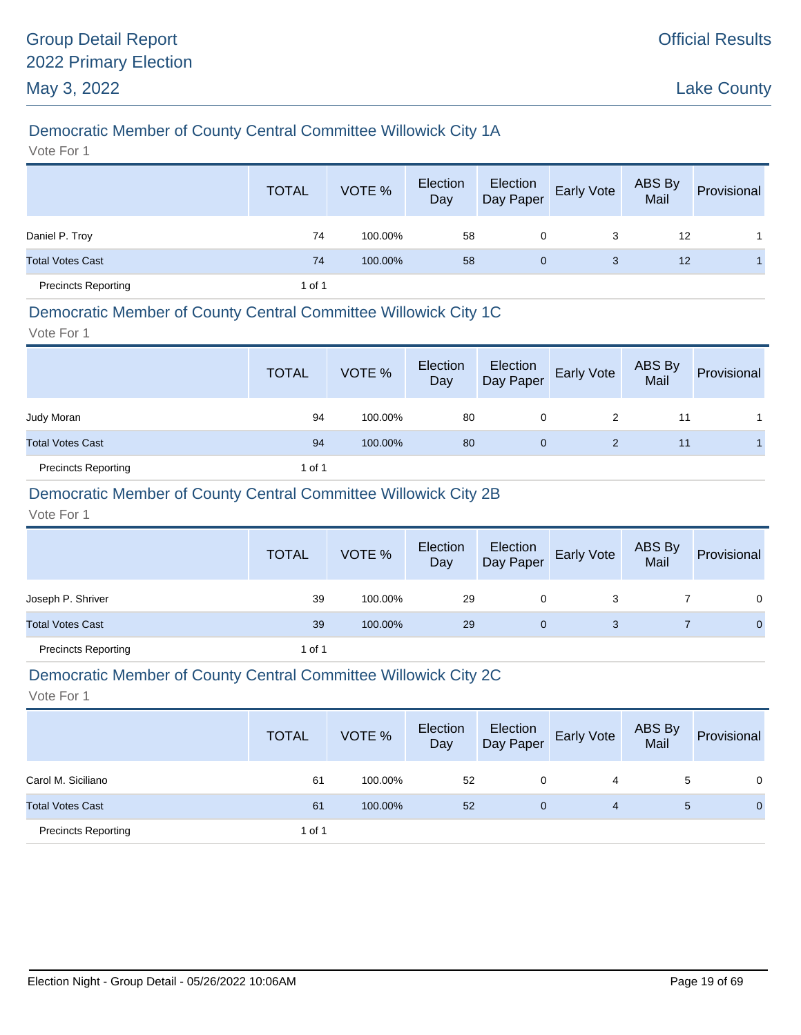# Democratic Member of County Central Committee Willowick City 1A

Vote For 1

|                            | <b>TOTAL</b> | VOTE %  | Election<br>Day | Election<br>Day Paper | Early Vote | ABS By<br>Mail | Provisional |
|----------------------------|--------------|---------|-----------------|-----------------------|------------|----------------|-------------|
| Daniel P. Troy             | 74           | 100.00% | 58              | 0                     | 3          | 12             |             |
| <b>Total Votes Cast</b>    | 74           | 100.00% | 58              | $\mathbf{0}$          | 3          | 12             |             |
| <b>Precincts Reporting</b> | 1 of 1       |         |                 |                       |            |                |             |

#### Democratic Member of County Central Committee Willowick City 1C

Vote For 1

|                            | <b>TOTAL</b> | VOTE %  | Election<br>Day | Election<br>Day Paper | <b>Early Vote</b> | ABS By<br>Mail | Provisional |
|----------------------------|--------------|---------|-----------------|-----------------------|-------------------|----------------|-------------|
| Judy Moran                 | 94           | 100.00% | 80              | 0                     | 2                 | 11             |             |
| <b>Total Votes Cast</b>    | 94           | 100.00% | 80              | $\mathbf{0}$          | 2                 | 11             |             |
| <b>Precincts Reporting</b> | 1 of 1       |         |                 |                       |                   |                |             |

### Democratic Member of County Central Committee Willowick City 2B

Vote For 1

|                            | <b>TOTAL</b> | VOTE %  | Election<br>Day | Election<br>Day Paper | Early Vote | ABS By<br>Mail | Provisional  |
|----------------------------|--------------|---------|-----------------|-----------------------|------------|----------------|--------------|
| Joseph P. Shriver          | 39           | 100.00% | 29              | 0                     |            |                | $\Omega$     |
| <b>Total Votes Cast</b>    | 39           | 100.00% | 29              | 0                     | 3          |                | $\mathbf{0}$ |
| <b>Precincts Reporting</b> | 1 of 1       |         |                 |                       |            |                |              |

#### Democratic Member of County Central Committee Willowick City 2C

|                            | <b>TOTAL</b> | VOTE %  | Election<br>Day | Election<br>Day Paper | <b>Early Vote</b> | ABS By<br>Mail | Provisional  |
|----------------------------|--------------|---------|-----------------|-----------------------|-------------------|----------------|--------------|
| Carol M. Siciliano         | 61           | 100.00% | 52              | 0                     | 4                 | 5              | 0            |
| <b>Total Votes Cast</b>    | 61           | 100.00% | 52              | 0                     | 4                 | 5              | $\mathbf{0}$ |
| <b>Precincts Reporting</b> | 1 of 1       |         |                 |                       |                   |                |              |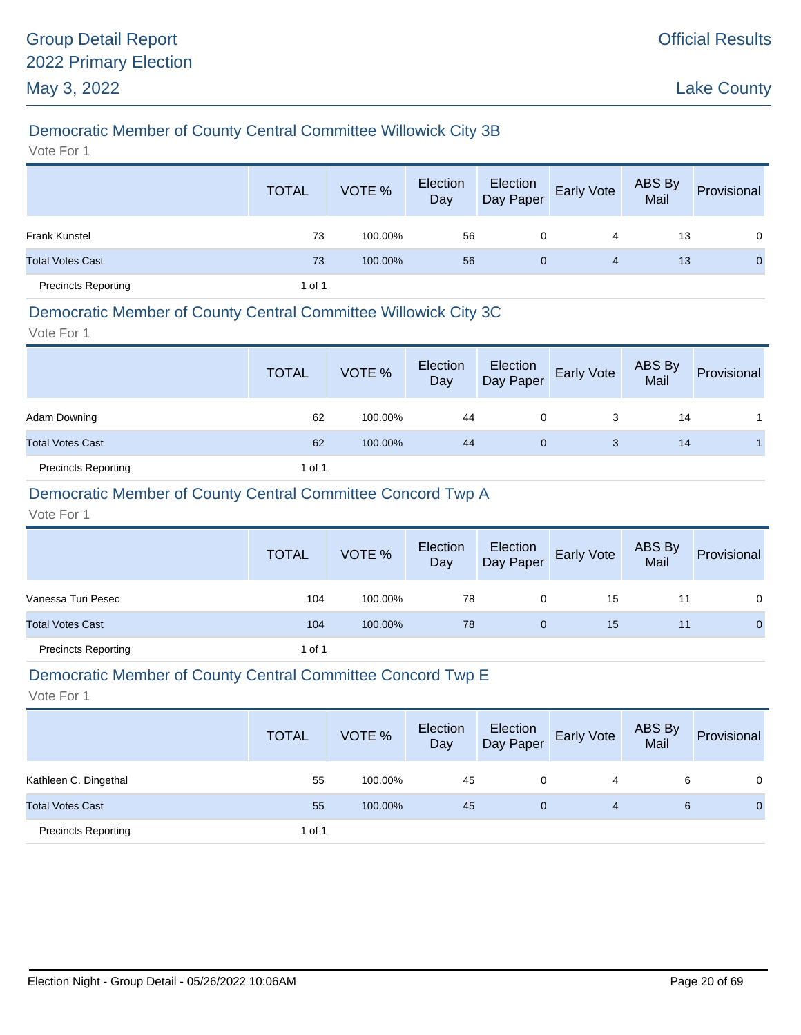# Democratic Member of County Central Committee Willowick City 3B

Vote For 1

|                            | <b>TOTAL</b> | VOTE %  | Election<br>Day | Election<br>Day Paper | Early Vote | ABS By<br>Mail | Provisional |
|----------------------------|--------------|---------|-----------------|-----------------------|------------|----------------|-------------|
| <b>Frank Kunstel</b>       | 73           | 100.00% | 56              | 0                     | 4          | 13             | $\Omega$    |
| <b>Total Votes Cast</b>    | 73           | 100.00% | 56              | $\mathbf{0}$          | 4          | 13             | $\Omega$    |
| <b>Precincts Reporting</b> | 1 of 1       |         |                 |                       |            |                |             |

#### Democratic Member of County Central Committee Willowick City 3C

Vote For 1

|                            | <b>TOTAL</b> | VOTE %  | Election<br>Day | Election<br>Day Paper | <b>Early Vote</b> | ABS By<br>Mail | Provisional |
|----------------------------|--------------|---------|-----------------|-----------------------|-------------------|----------------|-------------|
| Adam Downing               | 62           | 100.00% | 44              | 0                     | 3                 | 14             |             |
| <b>Total Votes Cast</b>    | 62           | 100.00% | 44              | 0                     | 3                 | 14             |             |
| <b>Precincts Reporting</b> | 1 of 1       |         |                 |                       |                   |                |             |

### Democratic Member of County Central Committee Concord Twp A

Vote For 1

|                            | <b>TOTAL</b> | VOTE %  | Election<br>Day | Election<br>Day Paper | <b>Early Vote</b> | ABS By<br>Mail | Provisional    |
|----------------------------|--------------|---------|-----------------|-----------------------|-------------------|----------------|----------------|
| Vanessa Turi Pesec         | 104          | 100.00% | 78              | 0                     | 15                | 11             | $\mathbf{0}$   |
| <b>Total Votes Cast</b>    | 104          | 100.00% | 78              | 0                     | 15                | 11             | $\overline{0}$ |
| <b>Precincts Reporting</b> | 1 of 1       |         |                 |                       |                   |                |                |

#### Democratic Member of County Central Committee Concord Twp E

|                            | <b>TOTAL</b> | VOTE %  | Election<br>Day | Election<br>Day Paper | <b>Early Vote</b> | ABS By<br>Mail | Provisional |
|----------------------------|--------------|---------|-----------------|-----------------------|-------------------|----------------|-------------|
| Kathleen C. Dingethal      | 55           | 100.00% | 45              | 0                     | 4                 | 6              | $\Omega$    |
| <b>Total Votes Cast</b>    | 55           | 100.00% | 45              | 0                     | 4                 | 6              | 0           |
| <b>Precincts Reporting</b> | 1 of 1       |         |                 |                       |                   |                |             |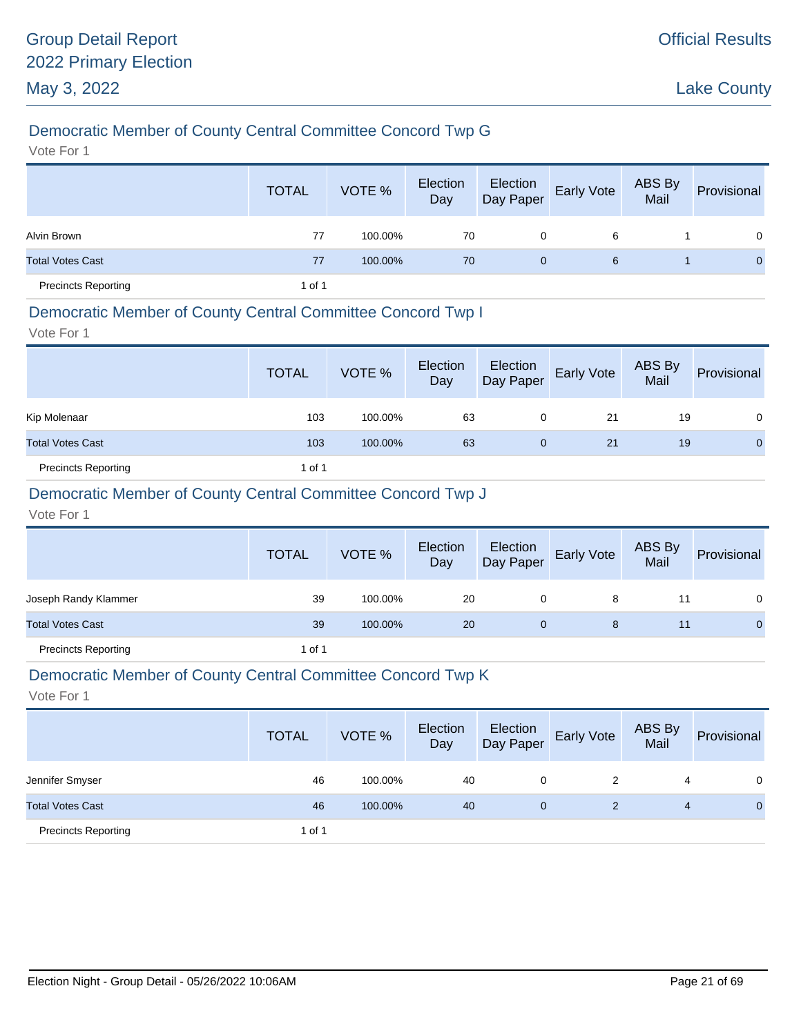# Democratic Member of County Central Committee Concord Twp G

Vote For 1

|                            | <b>TOTAL</b> | VOTE %  | Election<br>Day | Election<br>Day Paper | Early Vote | ABS By<br>Mail | Provisional    |
|----------------------------|--------------|---------|-----------------|-----------------------|------------|----------------|----------------|
| Alvin Brown                | 77           | 100.00% | 70              | 0                     | 6          |                | $\overline{0}$ |
| <b>Total Votes Cast</b>    | 77           | 100.00% | 70              | 0                     | 6          |                | $\mathbf{0}$   |
| <b>Precincts Reporting</b> | 1 of 1       |         |                 |                       |            |                |                |

#### Democratic Member of County Central Committee Concord Twp I

Vote For 1

|                            | <b>TOTAL</b> | VOTE %  | Election<br>Day | Election<br>Day Paper | <b>Early Vote</b> | ABS By<br>Mail | Provisional  |
|----------------------------|--------------|---------|-----------------|-----------------------|-------------------|----------------|--------------|
| Kip Molenaar               | 103          | 100.00% | 63              | 0                     | 21                | 19             | 0            |
| <b>Total Votes Cast</b>    | 103          | 100.00% | 63              | 0                     | 21                | 19             | $\mathbf{0}$ |
| <b>Precincts Reporting</b> | 1 of 1       |         |                 |                       |                   |                |              |

### Democratic Member of County Central Committee Concord Twp J

Vote For 1

|                            | <b>TOTAL</b> | VOTE %  | Election<br>Day | Election<br>Day Paper | <b>Early Vote</b> | ABS By<br>Mail | Provisional |
|----------------------------|--------------|---------|-----------------|-----------------------|-------------------|----------------|-------------|
| Joseph Randy Klammer       | 39           | 100.00% | 20              | 0                     | 8                 |                | 0           |
| <b>Total Votes Cast</b>    | 39           | 100.00% | 20              | 0                     | 8                 | 11             | $\mathbf 0$ |
| <b>Precincts Reporting</b> | 1 of 1       |         |                 |                       |                   |                |             |

#### Democratic Member of County Central Committee Concord Twp K

|                            | <b>TOTAL</b> | VOTE %  | Election<br>Day | Election<br>Day Paper | <b>Early Vote</b> | ABS By<br>Mail | Provisional  |
|----------------------------|--------------|---------|-----------------|-----------------------|-------------------|----------------|--------------|
| Jennifer Smyser            | 46           | 100.00% | 40              | 0                     | 2                 | 4              | $\Omega$     |
| <b>Total Votes Cast</b>    | 46           | 100.00% | 40              | 0                     | 2                 | 4              | $\mathbf{0}$ |
| <b>Precincts Reporting</b> | 1 of 1       |         |                 |                       |                   |                |              |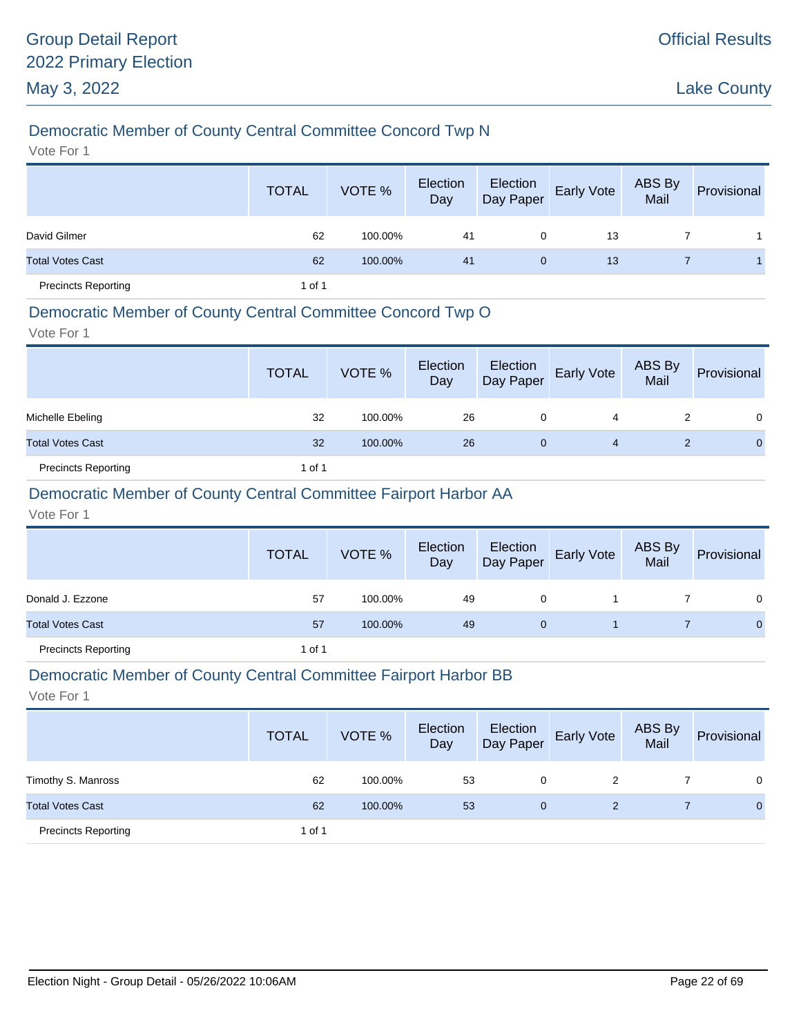# Democratic Member of County Central Committee Concord Twp N

Vote For 1

|                            | <b>TOTAL</b> | VOTE %  | Election<br>Day | Election<br>Day Paper | <b>Early Vote</b> | ABS By<br>Mail | Provisional |
|----------------------------|--------------|---------|-----------------|-----------------------|-------------------|----------------|-------------|
| David Gilmer               | 62           | 100.00% | 41              | 0                     | 13                |                |             |
| <b>Total Votes Cast</b>    | 62           | 100.00% | 41              | $\mathbf{0}$          | 13                |                |             |
| <b>Precincts Reporting</b> | 1 of 1       |         |                 |                       |                   |                |             |

### Democratic Member of County Central Committee Concord Twp O

Vote For 1

|                            | <b>TOTAL</b> | VOTE %  | Election<br>Day | Election<br>Day Paper | Early Vote | ABS By<br>Mail | Provisional  |
|----------------------------|--------------|---------|-----------------|-----------------------|------------|----------------|--------------|
| Michelle Ebeling           | 32           | 100.00% | 26              | 0                     | 4          |                | $\Omega$     |
| <b>Total Votes Cast</b>    | 32           | 100.00% | 26              | 0                     | 4          |                | $\mathbf{0}$ |
| <b>Precincts Reporting</b> | 1 of 1       |         |                 |                       |            |                |              |

### Democratic Member of County Central Committee Fairport Harbor AA

Vote For 1

|                            | <b>TOTAL</b> | VOTE %  | Election<br>Day | Election<br>Day Paper | <b>Early Vote</b> | ABS By<br>Mail | Provisional |
|----------------------------|--------------|---------|-----------------|-----------------------|-------------------|----------------|-------------|
| Donald J. Ezzone           | 57           | 100.00% | 49              | 0                     |                   |                | $\Omega$    |
| <b>Total Votes Cast</b>    | 57           | 100.00% | 49              | 0                     |                   |                | $\Omega$    |
| <b>Precincts Reporting</b> | 1 of 1       |         |                 |                       |                   |                |             |

#### Democratic Member of County Central Committee Fairport Harbor BB

|                            | <b>TOTAL</b> | VOTE %  | Election<br>Day | Election<br>Day Paper | <b>Early Vote</b> | ABS By<br>Mail | Provisional  |
|----------------------------|--------------|---------|-----------------|-----------------------|-------------------|----------------|--------------|
| Timothy S. Manross         | 62           | 100.00% | 53              | 0                     | 2                 |                | 0            |
| <b>Total Votes Cast</b>    | 62           | 100.00% | 53              | $\mathbf{0}$          | 2                 |                | $\mathbf{0}$ |
| <b>Precincts Reporting</b> | 1 of 1       |         |                 |                       |                   |                |              |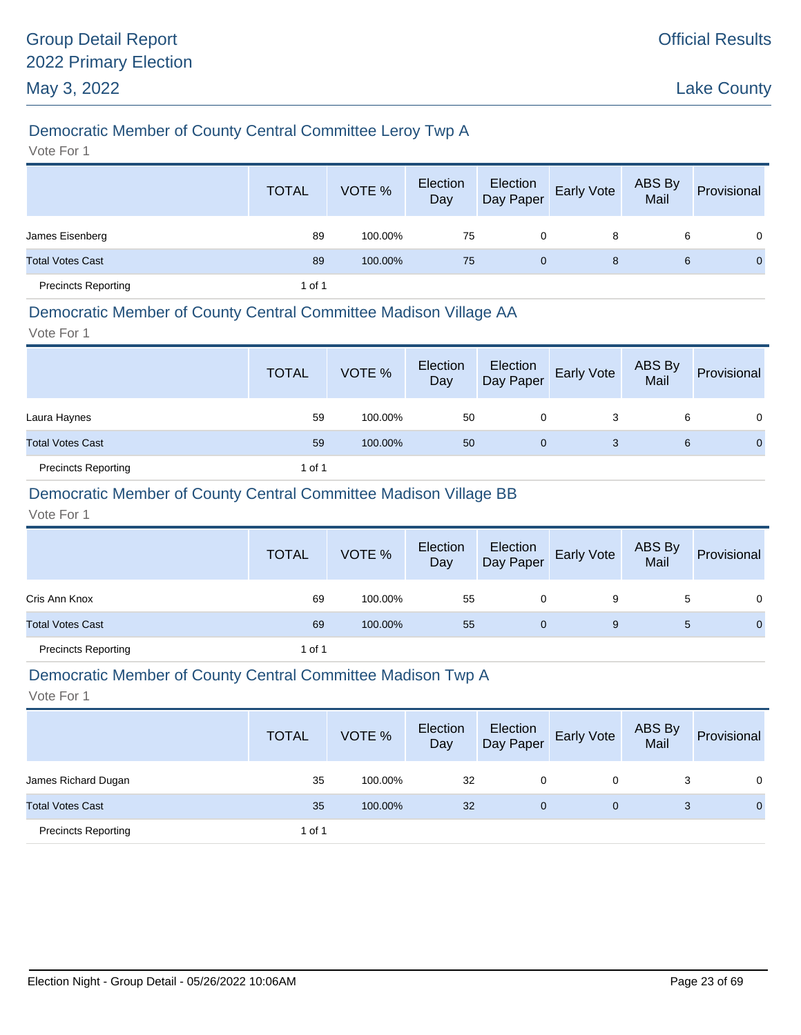# Democratic Member of County Central Committee Leroy Twp A

Vote For 1

|                            | <b>TOTAL</b> | VOTE %  | Election<br>Day | Election<br>Day Paper | Early Vote | ABS By<br>Mail | Provisional    |
|----------------------------|--------------|---------|-----------------|-----------------------|------------|----------------|----------------|
| James Eisenberg            | 89           | 100.00% | 75              | 0                     | 8          | 6              | $\Omega$       |
| <b>Total Votes Cast</b>    | 89           | 100.00% | 75              | $\mathbf{0}$          | 8          | 6              | $\overline{0}$ |
| <b>Precincts Reporting</b> | 1 of 1       |         |                 |                       |            |                |                |

#### Democratic Member of County Central Committee Madison Village AA

Vote For 1

|                            | <b>TOTAL</b> | VOTE %  | Election<br>Day | Election<br>Day Paper | Early Vote | ABS By<br>Mail | Provisional  |
|----------------------------|--------------|---------|-----------------|-----------------------|------------|----------------|--------------|
| Laura Haynes               | 59           | 100.00% | 50              | 0                     | 3          | 6              | $\Omega$     |
| <b>Total Votes Cast</b>    | 59           | 100.00% | 50              | 0                     | 3          | 6              | $\mathbf{0}$ |
| <b>Precincts Reporting</b> | 1 of 1       |         |                 |                       |            |                |              |

### Democratic Member of County Central Committee Madison Village BB

Vote For 1

|                            | <b>TOTAL</b> | VOTE %  | Election<br>Day |             | Election<br>Day Paper Early Vote | ABS By<br>Mail | Provisional  |
|----------------------------|--------------|---------|-----------------|-------------|----------------------------------|----------------|--------------|
| Cris Ann Knox              | 69           | 100.00% | 55              | 0           | 9                                | 5              | 0            |
| <b>Total Votes Cast</b>    | 69           | 100.00% | 55              | $\mathbf 0$ | 9                                | 5              | $\mathbf{O}$ |
| <b>Precincts Reporting</b> | 1 of 1       |         |                 |             |                                  |                |              |

#### Democratic Member of County Central Committee Madison Twp A

|                            | <b>TOTAL</b> | VOTE %  | Election<br>Day | Election<br>Day Paper | <b>Early Vote</b> | ABS By<br>Mail | Provisional  |
|----------------------------|--------------|---------|-----------------|-----------------------|-------------------|----------------|--------------|
| James Richard Dugan        | 35           | 100.00% | 32              | 0                     | 0                 | 3              | 0            |
| <b>Total Votes Cast</b>    | 35           | 100.00% | 32              | $\mathbf{0}$          | $\mathbf{0}$      | 3              | $\mathbf{0}$ |
| <b>Precincts Reporting</b> | 1 of 1       |         |                 |                       |                   |                |              |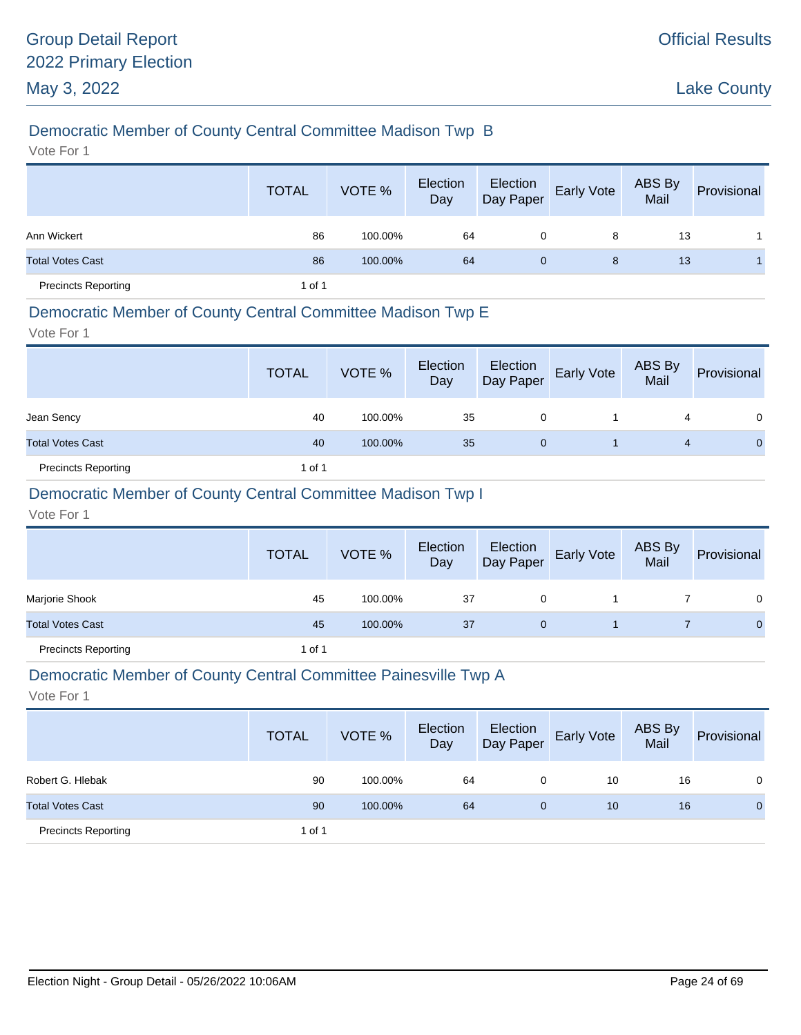# Democratic Member of County Central Committee Madison Twp B

Vote For 1

|                            | <b>TOTAL</b> | VOTE %  | Election<br>Day | Election<br>Day Paper | Early Vote | ABS By<br>Mail | Provisional |
|----------------------------|--------------|---------|-----------------|-----------------------|------------|----------------|-------------|
| Ann Wickert                | 86           | 100.00% | 64              | 0                     | 8          | 13             |             |
| <b>Total Votes Cast</b>    | 86           | 100.00% | 64              | $\mathbf{0}$          | 8          | 13             |             |
| <b>Precincts Reporting</b> | 1 of 1       |         |                 |                       |            |                |             |

### Democratic Member of County Central Committee Madison Twp E

Vote For 1

|                            | <b>TOTAL</b> | VOTE %  | Election<br>Day | Election<br>Day Paper | <b>Early Vote</b> | ABS By<br>Mail | Provisional  |
|----------------------------|--------------|---------|-----------------|-----------------------|-------------------|----------------|--------------|
| Jean Sency                 | 40           | 100.00% | 35              | 0                     |                   | 4              | 0            |
| <b>Total Votes Cast</b>    | 40           | 100.00% | 35              | 0                     |                   | 4              | $\mathbf{0}$ |
| <b>Precincts Reporting</b> | 1 of 1       |         |                 |                       |                   |                |              |

# Democratic Member of County Central Committee Madison Twp I

Vote For 1

|                            | <b>TOTAL</b> | VOTE %  | Election<br>Day | Election<br>Day Paper | <b>Early Vote</b> | ABS By<br>Mail | Provisional  |
|----------------------------|--------------|---------|-----------------|-----------------------|-------------------|----------------|--------------|
| Marjorie Shook             | 45           | 100.00% | 37              | 0                     |                   |                | $\Omega$     |
| <b>Total Votes Cast</b>    | 45           | 100.00% | 37              | 0                     |                   |                | $\mathbf{0}$ |
| <b>Precincts Reporting</b> | 1 of 1       |         |                 |                       |                   |                |              |

#### Democratic Member of County Central Committee Painesville Twp A

|                            | <b>TOTAL</b> | VOTE %  | Election<br>Day | Election<br>Day Paper | <b>Early Vote</b> | ABS By<br>Mail | Provisional  |
|----------------------------|--------------|---------|-----------------|-----------------------|-------------------|----------------|--------------|
| Robert G. Hlebak           | 90           | 100.00% | 64              | 0                     | 10                | 16             | 0            |
| <b>Total Votes Cast</b>    | 90           | 100.00% | 64              | 0                     | 10                | 16             | $\mathbf{0}$ |
| <b>Precincts Reporting</b> | 1 of 1       |         |                 |                       |                   |                |              |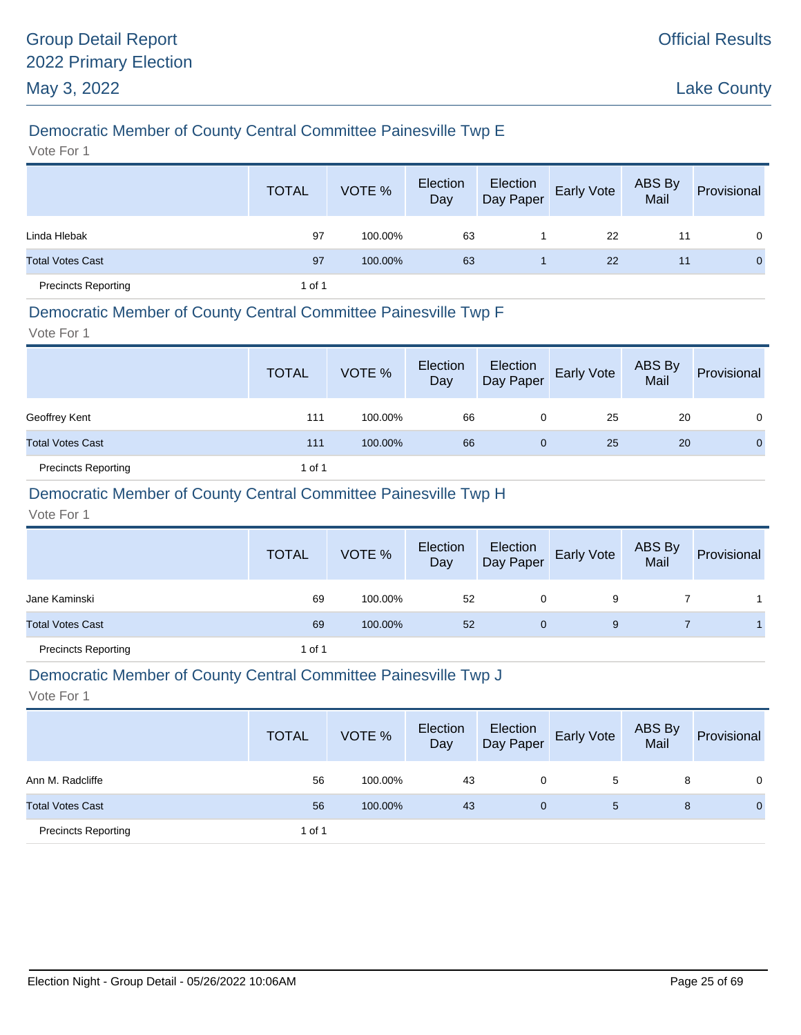# Democratic Member of County Central Committee Painesville Twp E

Vote For 1

|                            | <b>TOTAL</b> | VOTE %  | Election<br>Day | Election<br>Day Paper | Early Vote | ABS By<br>Mail | Provisional |
|----------------------------|--------------|---------|-----------------|-----------------------|------------|----------------|-------------|
| Linda Hlebak               | 97           | 100.00% | 63              |                       | 22         | 11             | $\Omega$    |
| <b>Total Votes Cast</b>    | 97           | 100.00% | 63              |                       | 22         | 11             | $\Omega$    |
| <b>Precincts Reporting</b> | 1 of 1       |         |                 |                       |            |                |             |

#### Democratic Member of County Central Committee Painesville Twp F

Vote For 1

|                            | <b>TOTAL</b> | VOTE %  | Election<br>Day | Election<br>Day Paper | Early Vote | ABS By<br>Mail | Provisional    |
|----------------------------|--------------|---------|-----------------|-----------------------|------------|----------------|----------------|
| Geoffrey Kent              | 111          | 100.00% | 66              | 0                     | 25         | 20             | $\Omega$       |
| <b>Total Votes Cast</b>    | 111          | 100.00% | 66              | $\mathbf 0$           | 25         | 20             | $\overline{0}$ |
| <b>Precincts Reporting</b> | 1 of 1       |         |                 |                       |            |                |                |

### Democratic Member of County Central Committee Painesville Twp H

Vote For 1

|                            | <b>TOTAL</b> | VOTE %  | Election<br>Day | Election<br>Day Paper | <b>Early Vote</b> | ABS By<br>Mail | Provisional |
|----------------------------|--------------|---------|-----------------|-----------------------|-------------------|----------------|-------------|
| Jane Kaminski              | 69           | 100.00% | 52              | 0                     | 9                 |                |             |
| <b>Total Votes Cast</b>    | 69           | 100.00% | 52              | 0                     | 9                 |                |             |
| <b>Precincts Reporting</b> | 1 of 1       |         |                 |                       |                   |                |             |

#### Democratic Member of County Central Committee Painesville Twp J

|                            | <b>TOTAL</b> | VOTE %  | Election<br>Day | Election<br>Day Paper | <b>Early Vote</b> | ABS By<br>Mail | Provisional  |
|----------------------------|--------------|---------|-----------------|-----------------------|-------------------|----------------|--------------|
| Ann M. Radcliffe           | 56           | 100.00% | 43              | 0                     | 5                 | 8              | $\Omega$     |
| <b>Total Votes Cast</b>    | 56           | 100.00% | 43              | $\mathbf{0}$          | 5                 | 8              | $\mathbf{0}$ |
| <b>Precincts Reporting</b> | 1 of 1       |         |                 |                       |                   |                |              |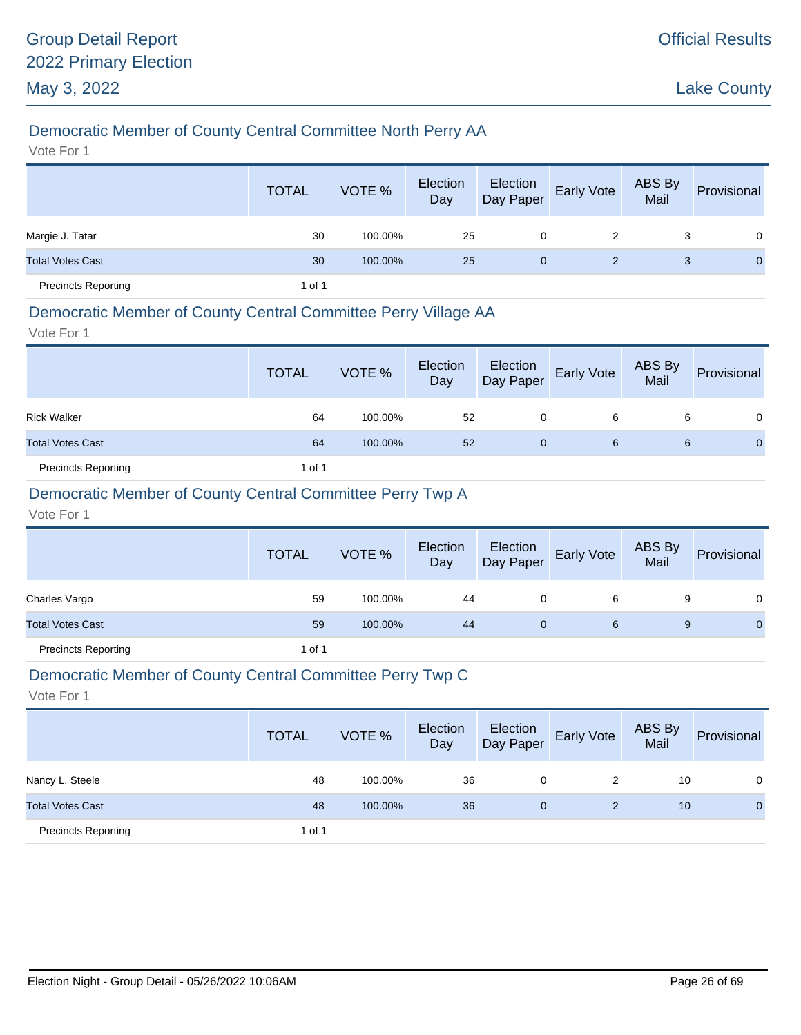### Democratic Member of County Central Committee North Perry AA

Vote For 1

|                            | <b>TOTAL</b> | VOTE %  | Election<br>Day | Election<br>Day Paper | Early Vote | ABS By<br>Mail | Provisional  |
|----------------------------|--------------|---------|-----------------|-----------------------|------------|----------------|--------------|
| Margie J. Tatar            | 30           | 100.00% | 25              | 0                     | 2          | 3              | $\Omega$     |
| <b>Total Votes Cast</b>    | 30           | 100.00% | 25              | $\mathbf{0}$          | 2          | 3              | $\mathbf{0}$ |
| <b>Precincts Reporting</b> | 1 of 1       |         |                 |                       |            |                |              |

#### Democratic Member of County Central Committee Perry Village AA

Vote For 1

|                            | <b>TOTAL</b> | VOTE %  | Election<br>Day | Election<br>Day Paper | <b>Early Vote</b> | ABS By<br>Mail | Provisional |
|----------------------------|--------------|---------|-----------------|-----------------------|-------------------|----------------|-------------|
| <b>Rick Walker</b>         | 64           | 100.00% | 52              | 0                     | 6                 | 6              | 0           |
| <b>Total Votes Cast</b>    | 64           | 100.00% | 52              | 0                     | 6                 | 6              | $\Omega$    |
| <b>Precincts Reporting</b> | 1 of 1       |         |                 |                       |                   |                |             |

### Democratic Member of County Central Committee Perry Twp A

Vote For 1

|                            | <b>TOTAL</b> | VOTE %  | Election<br>Day | Election<br>Day Paper | <b>Early Vote</b> | ABS By<br>Mail | Provisional  |
|----------------------------|--------------|---------|-----------------|-----------------------|-------------------|----------------|--------------|
| Charles Vargo              | 59           | 100.00% | 44              | 0                     | 6                 | 9              | 0            |
| <b>Total Votes Cast</b>    | 59           | 100.00% | 44              | 0                     | 6                 | 9              | $\mathbf{0}$ |
| <b>Precincts Reporting</b> | 1 of 1       |         |                 |                       |                   |                |              |

#### Democratic Member of County Central Committee Perry Twp C

|                            | <b>TOTAL</b> | VOTE %  | Election<br>Day | Election<br>Day Paper | <b>Early Vote</b> | ABS By<br>Mail | Provisional  |
|----------------------------|--------------|---------|-----------------|-----------------------|-------------------|----------------|--------------|
| Nancy L. Steele            | 48           | 100.00% | 36              | 0                     | 2                 | 10             | 0            |
| <b>Total Votes Cast</b>    | 48           | 100.00% | 36              | 0                     | 2                 | 10             | $\mathbf{0}$ |
| <b>Precincts Reporting</b> | 1 of 1       |         |                 |                       |                   |                |              |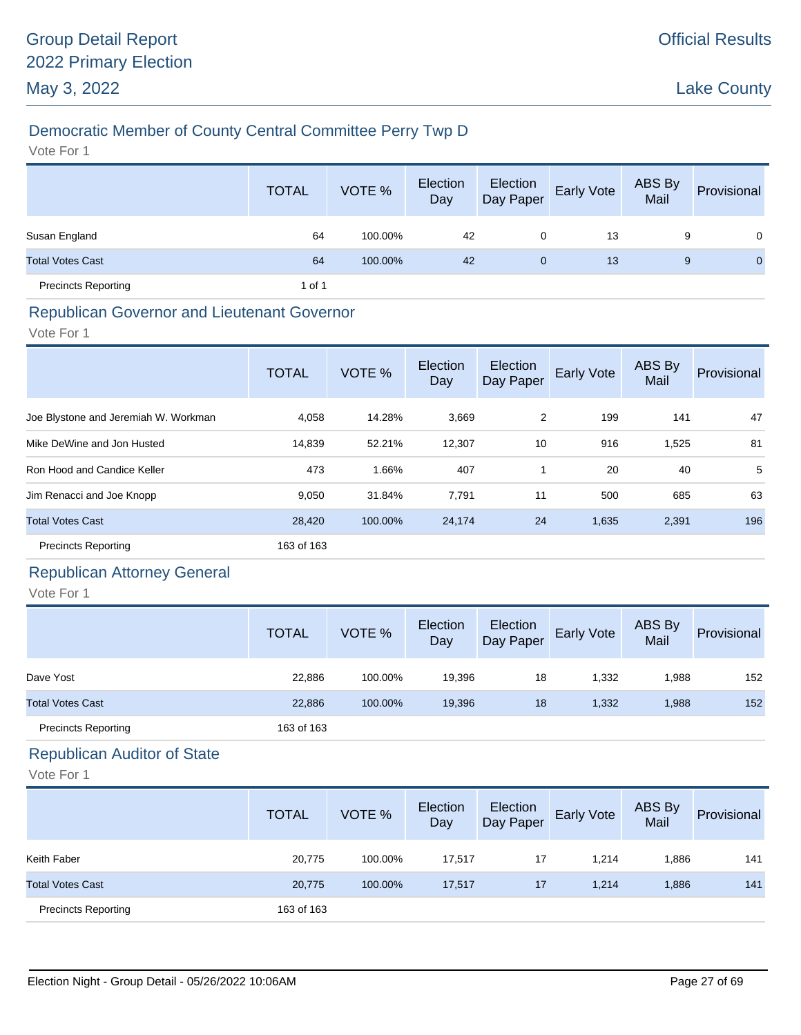# Democratic Member of County Central Committee Perry Twp D

Vote For 1

|                            | <b>TOTAL</b> | VOTE %  | Election<br>Day | Election<br>Day Paper | Early Vote | ABS By<br>Mail | Provisional    |
|----------------------------|--------------|---------|-----------------|-----------------------|------------|----------------|----------------|
| Susan England              | 64           | 100.00% | 42              | 0                     | 13         | 9              | $\Omega$       |
| <b>Total Votes Cast</b>    | 64           | 100.00% | 42              | $\mathbf{0}$          | 13         | 9              | $\overline{0}$ |
| <b>Precincts Reporting</b> | 1 of 1       |         |                 |                       |            |                |                |

# Republican Governor and Lieutenant Governor

Vote For 1

|                                      | <b>TOTAL</b> | VOTE %  | Election<br>Day | Election<br>Day Paper | Early Vote | ABS By<br>Mail | Provisional |
|--------------------------------------|--------------|---------|-----------------|-----------------------|------------|----------------|-------------|
| Joe Blystone and Jeremiah W. Workman | 4,058        | 14.28%  | 3,669           | 2                     | 199        | 141            | 47          |
| Mike DeWine and Jon Husted           | 14,839       | 52.21%  | 12,307          | 10                    | 916        | 1,525          | 81          |
| Ron Hood and Candice Keller          | 473          | 1.66%   | 407             |                       | 20         | 40             | 5           |
| Jim Renacci and Joe Knopp            | 9,050        | 31.84%  | 7,791           | 11                    | 500        | 685            | 63          |
| <b>Total Votes Cast</b>              | 28,420       | 100.00% | 24,174          | 24                    | 1,635      | 2,391          | 196         |
| <b>Precincts Reporting</b>           | 163 of 163   |         |                 |                       |            |                |             |

# Republican Attorney General

Vote For 1

|                            | <b>TOTAL</b> | VOTE %  | Election<br>Day | Election<br>Day Paper | <b>Early Vote</b> | ABS By<br>Mail | Provisional |
|----------------------------|--------------|---------|-----------------|-----------------------|-------------------|----------------|-------------|
| Dave Yost                  | 22,886       | 100.00% | 19,396          | 18                    | 1,332             | 1,988          | 152         |
| <b>Total Votes Cast</b>    | 22,886       | 100.00% | 19,396          | 18                    | 1,332             | 1,988          | 152         |
| <b>Precincts Reporting</b> | 163 of 163   |         |                 |                       |                   |                |             |

# Republican Auditor of State

|                            | <b>TOTAL</b> | VOTE %  | Election<br>Day | Election<br>Day Paper | Early Vote | ABS By<br>Mail | Provisional |
|----------------------------|--------------|---------|-----------------|-----------------------|------------|----------------|-------------|
| Keith Faber                | 20,775       | 100.00% | 17,517          | 17                    | 1.214      | 886.           | 141         |
| <b>Total Votes Cast</b>    | 20,775       | 100.00% | 17,517          | 17                    | 1,214      | 1,886          | 141         |
| <b>Precincts Reporting</b> | 163 of 163   |         |                 |                       |            |                |             |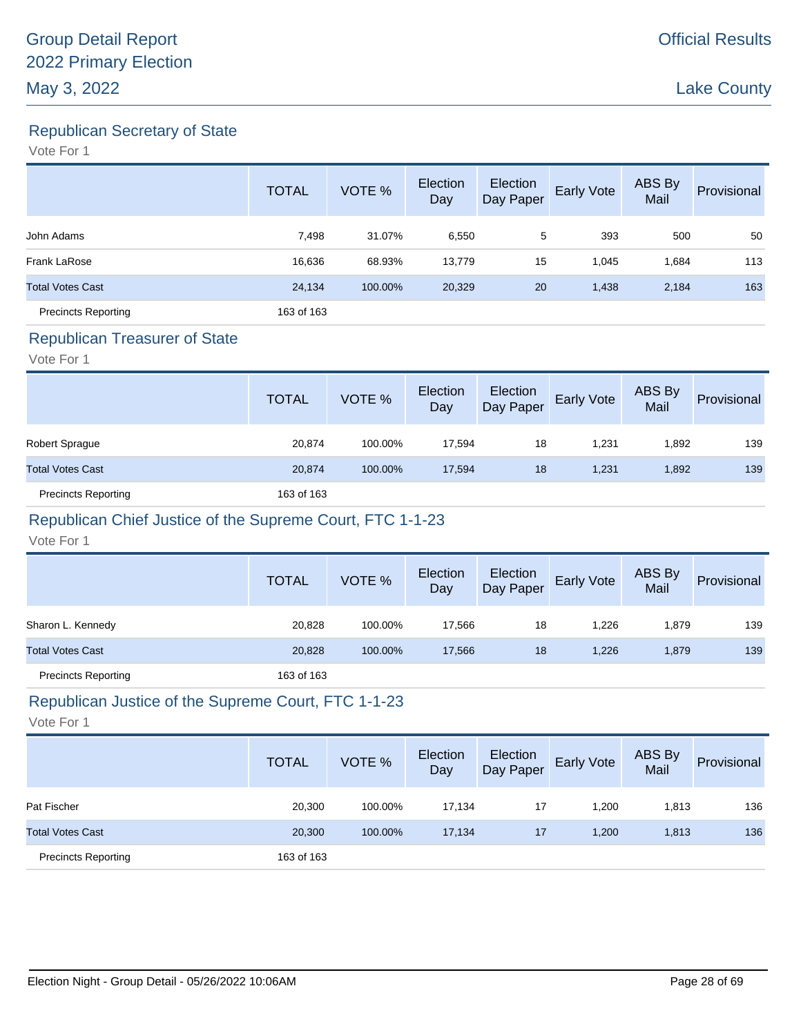Republican Secretary of State

Vote For 1

|                            | <b>TOTAL</b> | VOTE %  | Election<br>Day | Election<br>Day Paper | Early Vote | ABS By<br>Mail | Provisional |
|----------------------------|--------------|---------|-----------------|-----------------------|------------|----------------|-------------|
| John Adams                 | 7,498        | 31.07%  | 6,550           | 5                     | 393        | 500            | 50          |
| Frank LaRose               | 16,636       | 68.93%  | 13,779          | 15                    | 1,045      | 1,684          | 113         |
| <b>Total Votes Cast</b>    | 24,134       | 100.00% | 20,329          | 20                    | 1,438      | 2,184          | 163         |
| <b>Precincts Reporting</b> | 163 of 163   |         |                 |                       |            |                |             |

#### Republican Treasurer of State

Vote For 1

|                            | <b>TOTAL</b> | VOTE %  | Election<br>Day | Election<br>Day Paper | Early Vote | ABS By<br>Mail | Provisional |
|----------------------------|--------------|---------|-----------------|-----------------------|------------|----------------|-------------|
| Robert Sprague             | 20,874       | 100.00% | 17.594          | 18                    | 1.231      | 1,892          | 139         |
| <b>Total Votes Cast</b>    | 20,874       | 100.00% | 17.594          | 18                    | 1.231      | 1,892          | 139         |
| <b>Precincts Reporting</b> | 163 of 163   |         |                 |                       |            |                |             |

# Republican Chief Justice of the Supreme Court, FTC 1-1-23

Vote For 1

|                            | <b>TOTAL</b> | VOTE %  | Election<br>Day | Election<br>Day Paper | Early Vote | ABS By<br>Mail | Provisional |
|----------------------------|--------------|---------|-----------------|-----------------------|------------|----------------|-------------|
| Sharon L. Kennedy          | 20,828       | 100.00% | 17.566          | 18                    | 1.226      | 1,879          | 139         |
| <b>Total Votes Cast</b>    | 20,828       | 100.00% | 17.566          | 18                    | 1,226      | 1,879          | 139         |
| <b>Precincts Reporting</b> | 163 of 163   |         |                 |                       |            |                |             |

# Republican Justice of the Supreme Court, FTC 1-1-23

|                            | <b>TOTAL</b> | VOTE %  | Election<br>Day | Election<br>Day Paper | Early Vote | ABS By<br>Mail | Provisional |
|----------------------------|--------------|---------|-----------------|-----------------------|------------|----------------|-------------|
| Pat Fischer                | 20,300       | 100.00% | 17,134          | 17                    | 1,200      | 1,813          | 136         |
| <b>Total Votes Cast</b>    | 20,300       | 100.00% | 17,134          | 17                    | 1,200      | 1,813          | 136         |
| <b>Precincts Reporting</b> | 163 of 163   |         |                 |                       |            |                |             |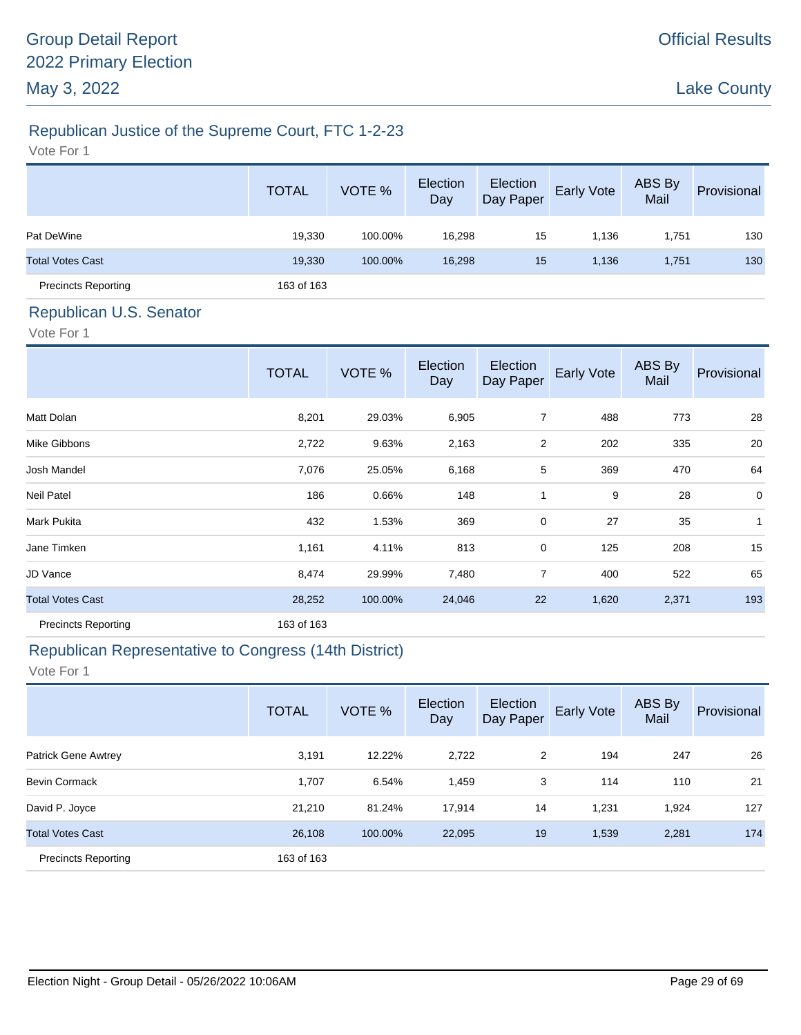# Official Results

Lake County

# Republican Justice of the Supreme Court, FTC 1-2-23

Vote For 1

|                            | <b>TOTAL</b> | VOTE %  | Election<br>Day | Election<br>Day Paper | Early Vote | ABS By<br>Mail | Provisional |
|----------------------------|--------------|---------|-----------------|-----------------------|------------|----------------|-------------|
| Pat DeWine                 | 19,330       | 100.00% | 16,298          | 15                    | 1,136      | 1,751          | 130         |
| <b>Total Votes Cast</b>    | 19,330       | 100.00% | 16,298          | 15                    | 1,136      | 1,751          | 130         |
| <b>Precincts Reporting</b> | 163 of 163   |         |                 |                       |            |                |             |

# Republican U.S. Senator

Vote For 1

|                            | <b>TOTAL</b> | VOTE %  | Election<br>Day | Election<br>Day Paper | <b>Early Vote</b> | ABS By<br>Mail | Provisional    |
|----------------------------|--------------|---------|-----------------|-----------------------|-------------------|----------------|----------------|
| Matt Dolan                 | 8,201        | 29.03%  | 6,905           | $\overline{7}$        | 488               | 773            | 28             |
| Mike Gibbons               | 2,722        | 9.63%   | 2,163           | 2                     | 202               | 335            | 20             |
| Josh Mandel                | 7,076        | 25.05%  | 6,168           | 5                     | 369               | 470            | 64             |
| <b>Neil Patel</b>          | 186          | 0.66%   | 148             | 1                     | 9                 | 28             | $\overline{0}$ |
| Mark Pukita                | 432          | 1.53%   | 369             | $\pmb{0}$             | 27                | 35             | 1              |
| Jane Timken                | 1,161        | 4.11%   | 813             | $\mathbf 0$           | 125               | 208            | 15             |
| JD Vance                   | 8,474        | 29.99%  | 7,480           | $\overline{7}$        | 400               | 522            | 65             |
| <b>Total Votes Cast</b>    | 28,252       | 100.00% | 24,046          | 22                    | 1,620             | 2,371          | 193            |
| <b>Precincts Reporting</b> | 163 of 163   |         |                 |                       |                   |                |                |

# Republican Representative to Congress (14th District)

|                            | <b>TOTAL</b> | VOTE %  | Election<br>Day | Election<br>Day Paper | <b>Early Vote</b> | <b>ABS By</b><br>Mail | Provisional |
|----------------------------|--------------|---------|-----------------|-----------------------|-------------------|-----------------------|-------------|
| <b>Patrick Gene Awtrey</b> | 3,191        | 12.22%  | 2,722           | 2                     | 194               | 247                   | 26          |
| <b>Bevin Cormack</b>       | 1,707        | 6.54%   | 1,459           | 3                     | 114               | 110                   | 21          |
| David P. Joyce             | 21,210       | 81.24%  | 17,914          | 14                    | 1,231             | 1,924                 | 127         |
| <b>Total Votes Cast</b>    | 26,108       | 100.00% | 22,095          | 19                    | 1,539             | 2,281                 | 174         |
| <b>Precincts Reporting</b> | 163 of 163   |         |                 |                       |                   |                       |             |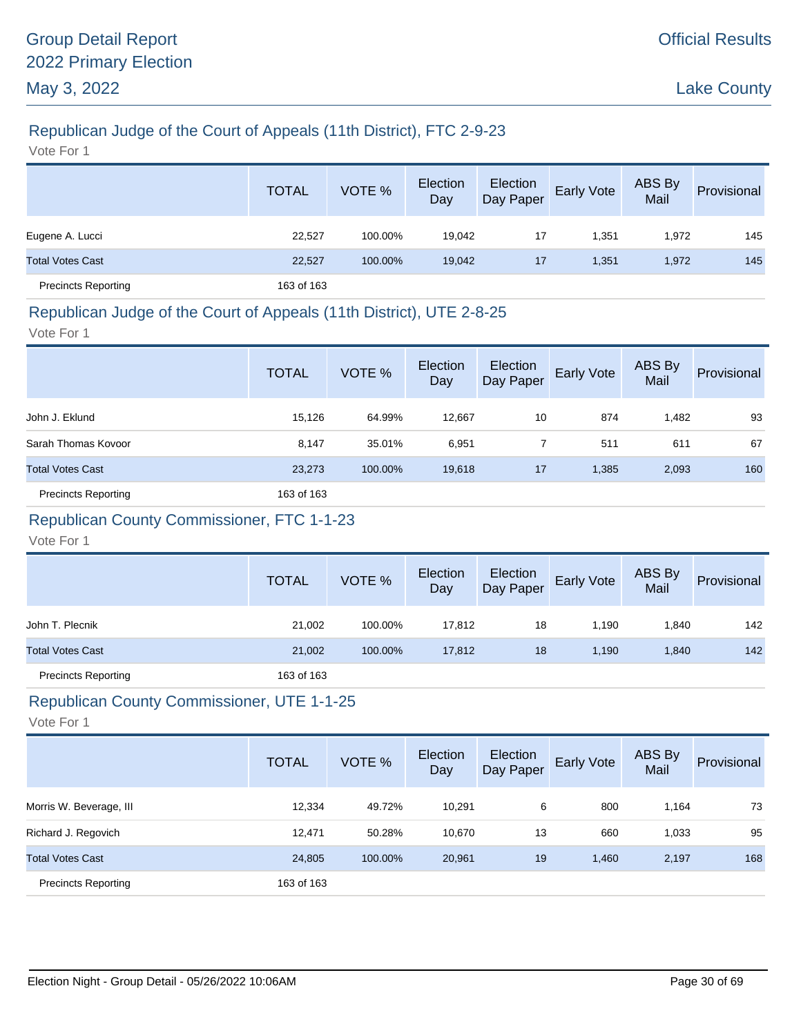# Republican Judge of the Court of Appeals (11th District), FTC 2-9-23

Vote For 1

|                            | <b>TOTAL</b> | VOTE %  | Election<br>Day | Election<br>Day Paper | <b>Early Vote</b> | ABS By<br>Mail | Provisional |
|----------------------------|--------------|---------|-----------------|-----------------------|-------------------|----------------|-------------|
| Eugene A. Lucci            | 22,527       | 100.00% | 19,042          | 17                    | 1,351             | 1,972          | 145         |
| <b>Total Votes Cast</b>    | 22,527       | 100.00% | 19,042          | 17                    | 1,351             | 1,972          | 145         |
| <b>Precincts Reporting</b> | 163 of 163   |         |                 |                       |                   |                |             |

### Republican Judge of the Court of Appeals (11th District), UTE 2-8-25

Vote For 1

|                            | <b>TOTAL</b> | VOTE %  | Election<br>Day | Election<br>Day Paper | Early Vote | ABS By<br>Mail | Provisional |
|----------------------------|--------------|---------|-----------------|-----------------------|------------|----------------|-------------|
| John J. Eklund             | 15,126       | 64.99%  | 12,667          | 10                    | 874        | 1,482          | 93          |
| Sarah Thomas Kovoor        | 8,147        | 35.01%  | 6,951           |                       | 511        | 611            | 67          |
| <b>Total Votes Cast</b>    | 23,273       | 100.00% | 19,618          | 17                    | 1,385      | 2,093          | 160         |
| <b>Precincts Reporting</b> | 163 of 163   |         |                 |                       |            |                |             |

# Republican County Commissioner, FTC 1-1-23

Vote For 1

|                            | <b>TOTAL</b> | VOTE %  | Election<br>Day | Election<br>Day Paper | <b>Early Vote</b> | ABS By<br>Mail | Provisional |
|----------------------------|--------------|---------|-----------------|-----------------------|-------------------|----------------|-------------|
| John T. Plecnik            | 21,002       | 100.00% | 17,812          | 18                    | 1.190             | 1,840          | 142         |
| <b>Total Votes Cast</b>    | 21,002       | 100.00% | 17,812          | 18                    | 1.190             | 1,840          | 142         |
| <b>Precincts Reporting</b> | 163 of 163   |         |                 |                       |                   |                |             |

# Republican County Commissioner, UTE 1-1-25

|                            | <b>TOTAL</b> | VOTE %  | Election<br>Day | Election<br>Day Paper | Early Vote | ABS By<br>Mail | Provisional |
|----------------------------|--------------|---------|-----------------|-----------------------|------------|----------------|-------------|
| Morris W. Beverage, III    | 12,334       | 49.72%  | 10.291          | 6                     | 800        | 1,164          | 73          |
| Richard J. Regovich        | 12.471       | 50.28%  | 10.670          | 13                    | 660        | 1,033          | 95          |
| <b>Total Votes Cast</b>    | 24,805       | 100.00% | 20,961          | 19                    | 1,460      | 2,197          | 168         |
| <b>Precincts Reporting</b> | 163 of 163   |         |                 |                       |            |                |             |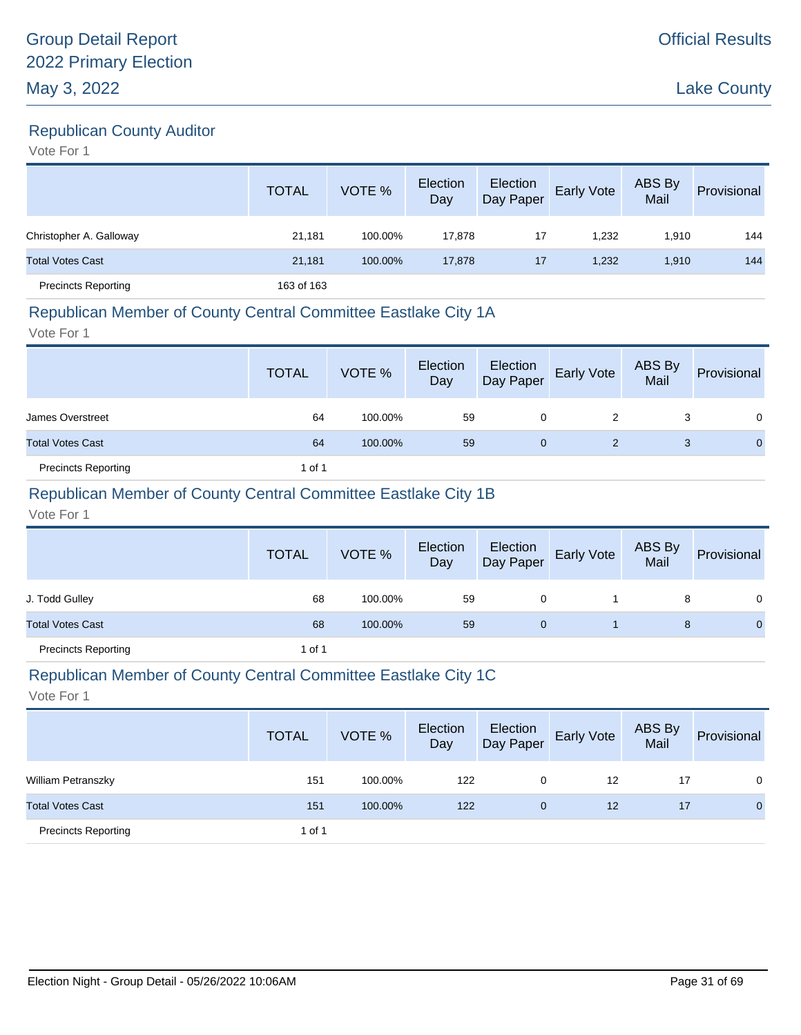# Republican County Auditor

Vote For 1

|                            | <b>TOTAL</b> | VOTE %  | Election<br>Day | Election<br>Day Paper | Early Vote | ABS By<br>Mail | Provisional |
|----------------------------|--------------|---------|-----------------|-----------------------|------------|----------------|-------------|
| Christopher A. Galloway    | 21,181       | 100.00% | 17,878          | 17                    | 1,232      | 1,910          | 144         |
| <b>Total Votes Cast</b>    | 21,181       | 100.00% | 17,878          | 17                    | 1,232      | 1,910          | 144         |
| <b>Precincts Reporting</b> | 163 of 163   |         |                 |                       |            |                |             |

#### Republican Member of County Central Committee Eastlake City 1A

Vote For 1

|                            | <b>TOTAL</b> | VOTE %  | Election<br>Day | Election<br>Day Paper | <b>Early Vote</b> | ABS By<br>Mail | Provisional    |
|----------------------------|--------------|---------|-----------------|-----------------------|-------------------|----------------|----------------|
| James Overstreet           | 64           | 100.00% | 59              | 0                     | 2                 | 3              | $\Omega$       |
| <b>Total Votes Cast</b>    | 64           | 100.00% | 59              | $\mathbf 0$           | 2                 | 3              | $\overline{0}$ |
| <b>Precincts Reporting</b> | 1 of 1       |         |                 |                       |                   |                |                |

### Republican Member of County Central Committee Eastlake City 1B

Vote For 1

|                            | <b>TOTAL</b> | VOTE %  | Election<br>Day | Election<br>Day Paper | <b>Early Vote</b> | ABS By<br>Mail | Provisional  |
|----------------------------|--------------|---------|-----------------|-----------------------|-------------------|----------------|--------------|
| J. Todd Gulley             | 68           | 100.00% | 59              | 0                     |                   | 8              | 0            |
| <b>Total Votes Cast</b>    | 68           | 100.00% | 59              | 0                     |                   | 8              | $\mathbf{0}$ |
| <b>Precincts Reporting</b> | 1 of 1       |         |                 |                       |                   |                |              |

#### Republican Member of County Central Committee Eastlake City 1C

|                            | <b>TOTAL</b> | VOTE %  | Election<br>Day | Election<br>Day Paper | <b>Early Vote</b> | <b>ABS By</b><br>Mail | Provisional  |
|----------------------------|--------------|---------|-----------------|-----------------------|-------------------|-----------------------|--------------|
| <b>William Petranszky</b>  | 151          | 100.00% | 122             | 0                     | 12                | 17                    | 0            |
| <b>Total Votes Cast</b>    | 151          | 100.00% | 122             | $\mathbf{0}$          | 12                | 17                    | $\mathbf{0}$ |
| <b>Precincts Reporting</b> | 1 of 1       |         |                 |                       |                   |                       |              |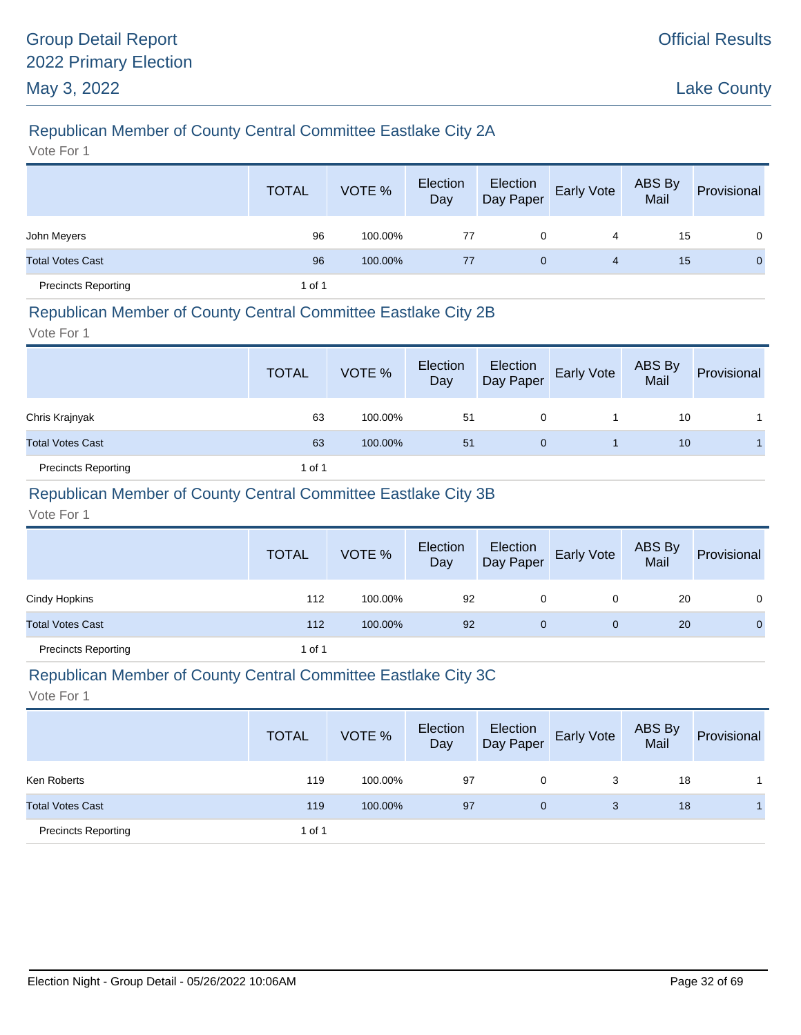# Republican Member of County Central Committee Eastlake City 2A

Vote For 1

|                            | <b>TOTAL</b> | VOTE %  | Election<br>Day | Election<br>Day Paper | Early Vote | ABS By<br>Mail | Provisional  |
|----------------------------|--------------|---------|-----------------|-----------------------|------------|----------------|--------------|
| John Meyers                | 96           | 100.00% | 77              | 0                     | 4          | 15             | $\Omega$     |
| <b>Total Votes Cast</b>    | 96           | 100.00% | 77              | $\mathbf{0}$          | 4          | 15             | $\mathbf{0}$ |
| <b>Precincts Reporting</b> | 1 of 1       |         |                 |                       |            |                |              |

#### Republican Member of County Central Committee Eastlake City 2B

Vote For 1

|                            | <b>TOTAL</b> | VOTE %  | Election<br>Day | Election<br>Day Paper | <b>Early Vote</b> | ABS By<br>Mail | Provisional |
|----------------------------|--------------|---------|-----------------|-----------------------|-------------------|----------------|-------------|
| Chris Krajnyak             | 63           | 100.00% | 51              | 0                     |                   | 10             |             |
| <b>Total Votes Cast</b>    | 63           | 100.00% | 51              | 0                     |                   | 10             |             |
| <b>Precincts Reporting</b> | 1 of 1       |         |                 |                       |                   |                |             |

### Republican Member of County Central Committee Eastlake City 3B

Vote For 1

|                            | <b>TOTAL</b> | VOTE %  | Election<br>Day | Election<br>Day Paper | <b>Early Vote</b> | ABS By<br>Mail | Provisional    |
|----------------------------|--------------|---------|-----------------|-----------------------|-------------------|----------------|----------------|
| Cindy Hopkins              | 112          | 100.00% | 92              | 0                     | 0                 | 20             | $\mathbf{0}$   |
| <b>Total Votes Cast</b>    | 112          | 100.00% | 92              | $\mathbf{0}$          | $\mathbf 0$       | 20             | $\overline{0}$ |
| <b>Precincts Reporting</b> | 1 of 1       |         |                 |                       |                   |                |                |

#### Republican Member of County Central Committee Eastlake City 3C

|                            | <b>TOTAL</b> | VOTE %  | Election<br>Day | Election<br>Day Paper | <b>Early Vote</b> | ABS By<br>Mail | Provisional |
|----------------------------|--------------|---------|-----------------|-----------------------|-------------------|----------------|-------------|
| Ken Roberts                | 119          | 100.00% | 97              | 0                     | 3                 | 18             |             |
| <b>Total Votes Cast</b>    | 119          | 100.00% | 97              | $\overline{0}$        | 3                 | 18             |             |
| <b>Precincts Reporting</b> | 1 of 1       |         |                 |                       |                   |                |             |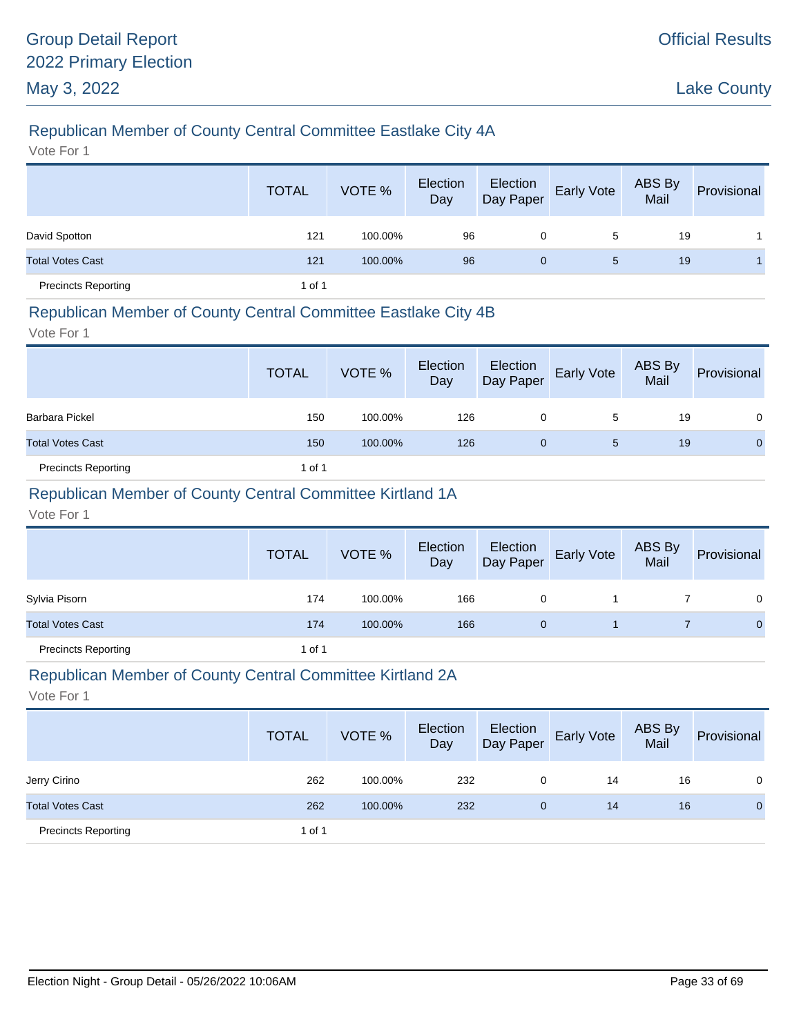# Republican Member of County Central Committee Eastlake City 4A

Vote For 1

|                            | <b>TOTAL</b> | VOTE %  | Election<br>Day | Election<br>Day Paper | Early Vote | ABS By<br>Mail | Provisional |
|----------------------------|--------------|---------|-----------------|-----------------------|------------|----------------|-------------|
| David Spotton              | 121          | 100.00% | 96              | 0                     | 5          | 19             |             |
| <b>Total Votes Cast</b>    | 121          | 100.00% | 96              | $\mathbf{0}$          | 5          | 19             |             |
| <b>Precincts Reporting</b> | 1 of 1       |         |                 |                       |            |                |             |

### Republican Member of County Central Committee Eastlake City 4B

Vote For 1

|                            | <b>TOTAL</b> | VOTE %  | Election<br>Day | Election<br>Day Paper | <b>Early Vote</b> | ABS By<br>Mail | Provisional |
|----------------------------|--------------|---------|-----------------|-----------------------|-------------------|----------------|-------------|
| Barbara Pickel             | 150          | 100.00% | 126             | 0                     | 5                 | 19             | $\Omega$    |
| <b>Total Votes Cast</b>    | 150          | 100.00% | 126             | 0                     | 5                 | 19             | 0           |
| <b>Precincts Reporting</b> | 1 of 1       |         |                 |                       |                   |                |             |

### Republican Member of County Central Committee Kirtland 1A

Vote For 1

|                            | <b>TOTAL</b> | VOTE %  | Election<br>Day | Election<br>Day Paper | Early Vote | ABS By<br>Mail | Provisional  |
|----------------------------|--------------|---------|-----------------|-----------------------|------------|----------------|--------------|
| Sylvia Pisorn              | 174          | 100.00% | 166             | 0                     |            |                | 0            |
| <b>Total Votes Cast</b>    | 174          | 100.00% | 166             |                       |            |                | $\mathbf{0}$ |
| <b>Precincts Reporting</b> | 1 of 1       |         |                 |                       |            |                |              |

#### Republican Member of County Central Committee Kirtland 2A

|                            | <b>TOTAL</b> | VOTE %  | Election<br>Day | Election<br>Day Paper | <b>Early Vote</b> | ABS By<br>Mail | Provisional  |
|----------------------------|--------------|---------|-----------------|-----------------------|-------------------|----------------|--------------|
| Jerry Cirino               | 262          | 100.00% | 232             | 0                     | 14                | 16             | 0            |
| <b>Total Votes Cast</b>    | 262          | 100.00% | 232             | 0                     | 14                | 16             | $\mathbf{0}$ |
| <b>Precincts Reporting</b> | 1 of 1       |         |                 |                       |                   |                |              |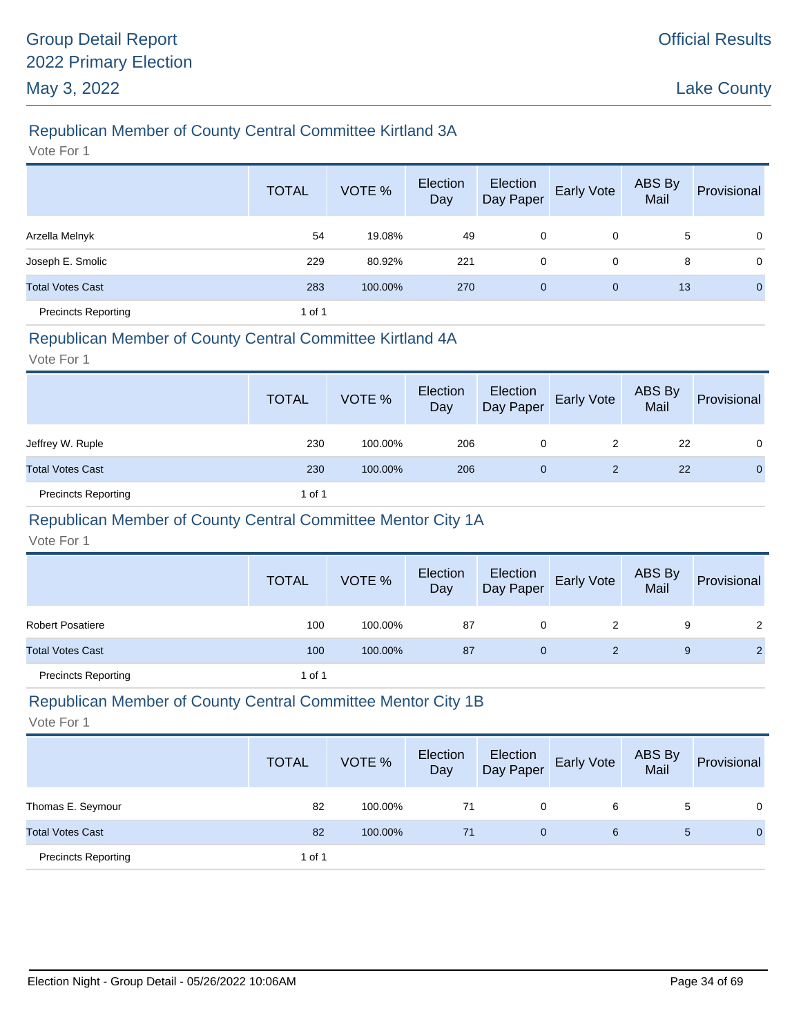# Republican Member of County Central Committee Kirtland 3A

Vote For 1

|                            | <b>TOTAL</b> | VOTE %  | Election<br>Day | Election<br>Day Paper | Early Vote  | ABS By<br>Mail | Provisional    |
|----------------------------|--------------|---------|-----------------|-----------------------|-------------|----------------|----------------|
| Arzella Melnyk             | 54           | 19.08%  | 49              | 0                     | 0           | 5              | $\mathbf 0$    |
| Joseph E. Smolic           | 229          | 80.92%  | 221             | 0                     | 0           | 8              | $\mathbf 0$    |
| <b>Total Votes Cast</b>    | 283          | 100.00% | 270             | $\mathbf 0$           | $\mathbf 0$ | 13             | $\overline{0}$ |
| <b>Precincts Reporting</b> | 1 of 1       |         |                 |                       |             |                |                |

#### Republican Member of County Central Committee Kirtland 4A

Vote For 1

|                            | <b>TOTAL</b> | VOTE %  | Election<br>Day | Election<br>Day Paper | <b>Early Vote</b> | ABS By<br>Mail | Provisional  |
|----------------------------|--------------|---------|-----------------|-----------------------|-------------------|----------------|--------------|
| Jeffrey W. Ruple           | 230          | 100.00% | 206             | 0                     | 2                 | 22             | 0            |
| <b>Total Votes Cast</b>    | 230          | 100.00% | 206             | $\mathbf{0}$          | 2                 | 22             | $\mathbf{0}$ |
| <b>Precincts Reporting</b> | 1 of 1       |         |                 |                       |                   |                |              |

# Republican Member of County Central Committee Mentor City 1A

Vote For 1

|                            | <b>TOTAL</b> | VOTE %  | Election<br>Day |   | Election<br>Day Paper Early Vote | ABS By<br>Mail | Provisional |
|----------------------------|--------------|---------|-----------------|---|----------------------------------|----------------|-------------|
| <b>Robert Posatiere</b>    | 100          | 100.00% | 87              | 0 |                                  | 9              | 2           |
| <b>Total Votes Cast</b>    | 100          | 100.00% | 87              | 0 |                                  | 9              |             |
| <b>Precincts Reporting</b> | 1 of 1       |         |                 |   |                                  |                |             |

# Republican Member of County Central Committee Mentor City 1B

|                            | <b>TOTAL</b> | VOTE %  | Election<br>Day | Election<br>Day Paper | <b>Early Vote</b> | ABS By<br>Mail | Provisional  |
|----------------------------|--------------|---------|-----------------|-----------------------|-------------------|----------------|--------------|
| Thomas E. Seymour          | 82           | 100.00% | 71              | 0                     | 6                 | 5              | $\Omega$     |
| <b>Total Votes Cast</b>    | 82           | 100.00% | 71              | 0                     | 6                 | 5              | $\mathbf{0}$ |
| <b>Precincts Reporting</b> | 1 of 1       |         |                 |                       |                   |                |              |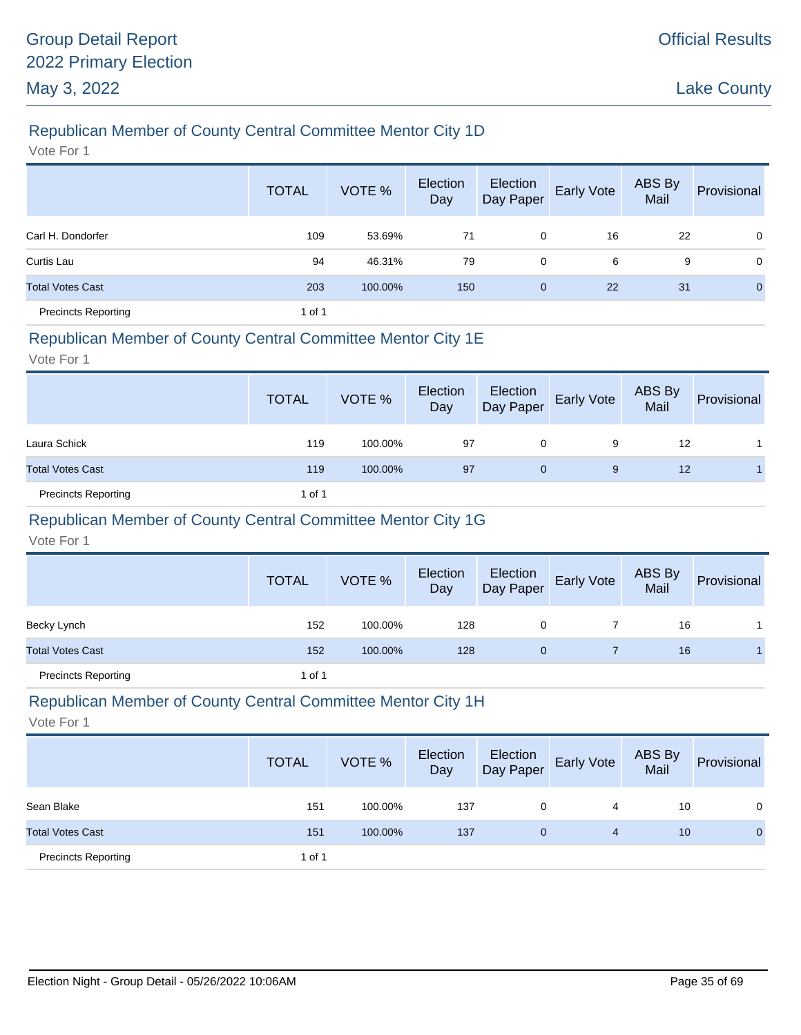# Republican Member of County Central Committee Mentor City 1D

Vote For 1

|                            | <b>TOTAL</b> | VOTE %  | Election<br>Day | Election<br>Day Paper | Early Vote | ABS By<br>Mail | Provisional    |
|----------------------------|--------------|---------|-----------------|-----------------------|------------|----------------|----------------|
| Carl H. Dondorfer          | 109          | 53.69%  | 71              | 0                     | 16         | 22             | $\mathbf 0$    |
| Curtis Lau                 | 94           | 46.31%  | 79              | 0                     | 6          | 9              | $\mathbf 0$    |
| <b>Total Votes Cast</b>    | 203          | 100.00% | 150             | 0                     | 22         | 31             | $\overline{0}$ |
| <b>Precincts Reporting</b> | 1 of 1       |         |                 |                       |            |                |                |

#### Republican Member of County Central Committee Mentor City 1E

Vote For 1

|                            | <b>TOTAL</b> | VOTE %  | Election<br>Day | Election<br>Day Paper | <b>Early Vote</b> | ABS By<br>Mail | Provisional |
|----------------------------|--------------|---------|-----------------|-----------------------|-------------------|----------------|-------------|
| Laura Schick               | 119          | 100.00% | 97              | 0                     | 9                 | 12             |             |
| <b>Total Votes Cast</b>    | 119          | 100.00% | 97              | $\mathbf{0}$          | 9                 | 12             |             |
| <b>Precincts Reporting</b> | 1 of 1       |         |                 |                       |                   |                |             |

# Republican Member of County Central Committee Mentor City 1G

Vote For 1

|                            | <b>TOTAL</b> | VOTE %  | Election<br>Day |   | Election<br>Day Paper Early Vote | ABS By<br>Mail | Provisional |
|----------------------------|--------------|---------|-----------------|---|----------------------------------|----------------|-------------|
| Becky Lynch                | 152          | 100.00% | 128             | 0 |                                  | 16             |             |
| <b>Total Votes Cast</b>    | 152          | 100.00% | 128             | 0 |                                  | 16             |             |
| <b>Precincts Reporting</b> | 1 of 1       |         |                 |   |                                  |                |             |

# Republican Member of County Central Committee Mentor City 1H

|                            | <b>TOTAL</b> | VOTE %  | Election<br>Day | Election<br>Day Paper | <b>Early Vote</b> | ABS By<br>Mail | Provisional  |
|----------------------------|--------------|---------|-----------------|-----------------------|-------------------|----------------|--------------|
| Sean Blake                 | 151          | 100.00% | 137             | 0                     | 4                 | 10             | 0            |
| <b>Total Votes Cast</b>    | 151          | 100.00% | 137             | 0                     | 4                 | 10             | $\mathbf{0}$ |
| <b>Precincts Reporting</b> | 1 of 1       |         |                 |                       |                   |                |              |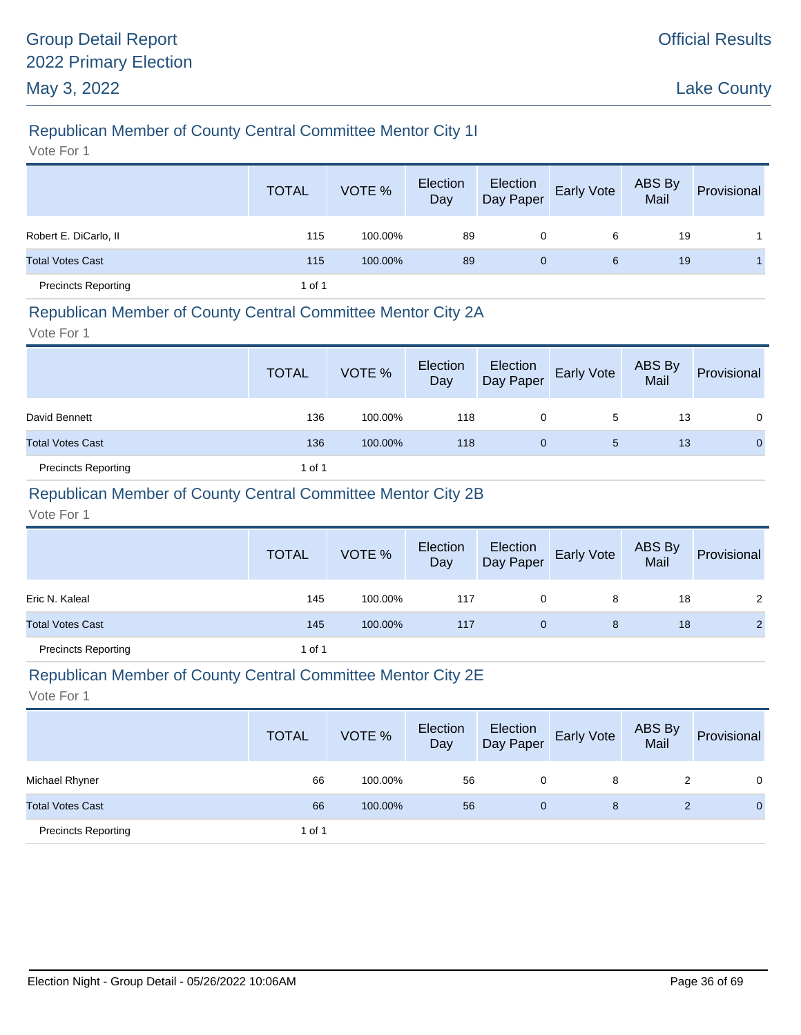# Republican Member of County Central Committee Mentor City 1I

Vote For 1

|                            | <b>TOTAL</b> | VOTE %  | Election<br>Day | Election<br>Day Paper | Early Vote | ABS By<br>Mail | Provisional |
|----------------------------|--------------|---------|-----------------|-----------------------|------------|----------------|-------------|
| Robert E. DiCarlo, II      | 115          | 100.00% | 89              | 0                     | 6          | 19             |             |
| <b>Total Votes Cast</b>    | 115          | 100.00% | 89              | $\mathbf{0}$          | 6          | 19             |             |
| <b>Precincts Reporting</b> | 1 of 1       |         |                 |                       |            |                |             |

#### Republican Member of County Central Committee Mentor City 2A

Vote For 1

|                            | <b>TOTAL</b> | VOTE %  | Election<br>Day | Election<br>Day Paper | <b>Early Vote</b> | ABS By<br>Mail | Provisional  |
|----------------------------|--------------|---------|-----------------|-----------------------|-------------------|----------------|--------------|
| David Bennett              | 136          | 100.00% | 118             | 0                     | 5                 | 13             | 0            |
| <b>Total Votes Cast</b>    | 136          | 100.00% | 118             | 0                     | 5                 | 13             | $\mathbf{0}$ |
| <b>Precincts Reporting</b> | 1 of 1       |         |                 |                       |                   |                |              |

### Republican Member of County Central Committee Mentor City 2B

Vote For 1

|                            | <b>TOTAL</b> | VOTE %  | Election<br>Day | Election<br>Day Paper | <b>Early Vote</b> | ABS By<br>Mail | Provisional    |
|----------------------------|--------------|---------|-----------------|-----------------------|-------------------|----------------|----------------|
| Eric N. Kaleal             | 145          | 100.00% | 117             | 0                     | 8                 | 18             | 2              |
| <b>Total Votes Cast</b>    | 145          | 100.00% | 117             | $\mathbf{0}$          | 8                 | 18             | $\overline{2}$ |
| <b>Precincts Reporting</b> | 1 of 1       |         |                 |                       |                   |                |                |

#### Republican Member of County Central Committee Mentor City 2E

|                            | <b>TOTAL</b> | VOTE %  | Election<br>Day | Election<br>Day Paper | <b>Early Vote</b> | ABS By<br>Mail | Provisional  |
|----------------------------|--------------|---------|-----------------|-----------------------|-------------------|----------------|--------------|
| Michael Rhyner             | 66           | 100.00% | 56              | 0                     | 8                 | 2              | $\Omega$     |
| <b>Total Votes Cast</b>    | 66           | 100.00% | 56              | 0                     | 8                 |                | $\mathbf{0}$ |
| <b>Precincts Reporting</b> | 1 of 1       |         |                 |                       |                   |                |              |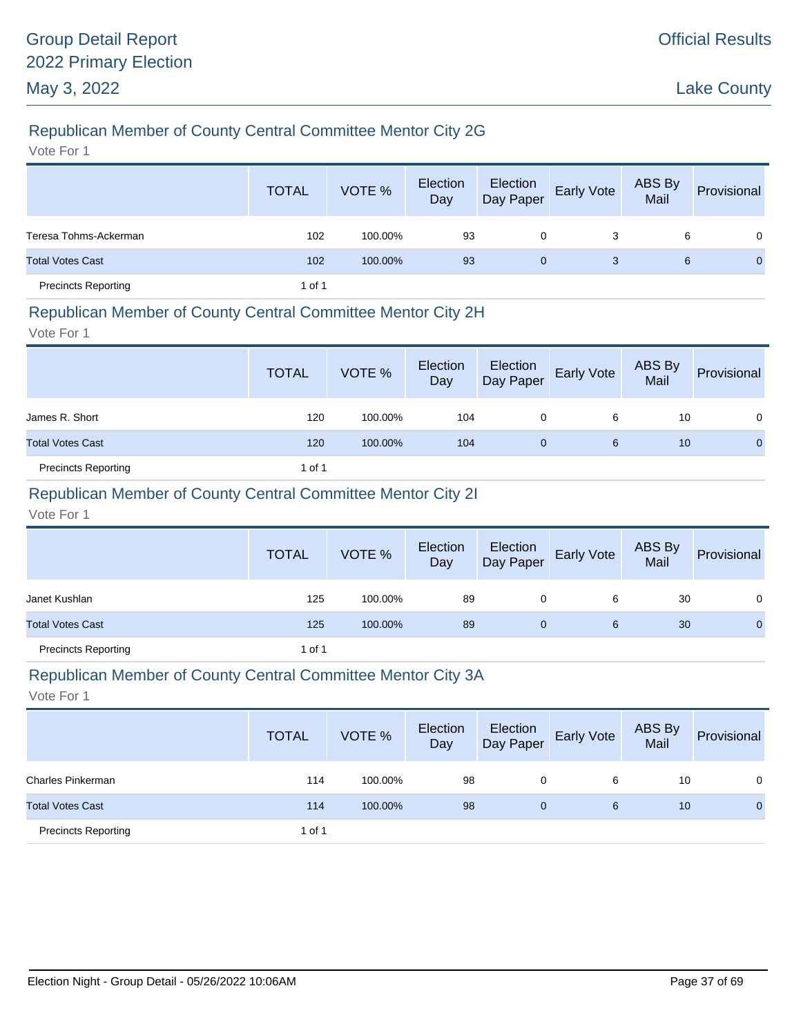# Republican Member of County Central Committee Mentor City 2G

Vote For 1

|                            | <b>TOTAL</b> | VOTE %  | Election<br>Day | Election<br>Day Paper | Early Vote | ABS By<br>Mail | Provisional |
|----------------------------|--------------|---------|-----------------|-----------------------|------------|----------------|-------------|
| Teresa Tohms-Ackerman      | 102          | 100.00% | 93              | 0                     | 3          | 6              | $\Omega$    |
| <b>Total Votes Cast</b>    | 102          | 100.00% | 93              | 0                     | 3          | 6              | $\Omega$    |
| <b>Precincts Reporting</b> | 1 of 1       |         |                 |                       |            |                |             |

#### Republican Member of County Central Committee Mentor City 2H

Vote For 1

|                            | <b>TOTAL</b> | VOTE %  | Election<br>Day | Election<br>Day Paper | <b>Early Vote</b> | ABS By<br>Mail | Provisional |
|----------------------------|--------------|---------|-----------------|-----------------------|-------------------|----------------|-------------|
| James R. Short             | 120          | 100.00% | 104             | 0                     | 6                 | 10             | $\Omega$    |
| <b>Total Votes Cast</b>    | 120          | 100.00% | 104             | 0                     | 6                 | 10             | 0           |
| <b>Precincts Reporting</b> | 1 of 1       |         |                 |                       |                   |                |             |

# Republican Member of County Central Committee Mentor City 2I

Vote For 1

|                            | <b>TOTAL</b> | VOTE %  | Election<br>Day | Election<br>Day Paper | <b>Early Vote</b> | ABS By<br>Mail | Provisional  |
|----------------------------|--------------|---------|-----------------|-----------------------|-------------------|----------------|--------------|
| Janet Kushlan              | 125          | 100.00% | 89              | 0                     | 6                 | 30             | 0            |
| <b>Total Votes Cast</b>    | 125          | 100.00% | 89              | 0                     | 6                 | 30             | $\mathbf{0}$ |
| <b>Precincts Reporting</b> | 1 of 1       |         |                 |                       |                   |                |              |

#### Republican Member of County Central Committee Mentor City 3A

|                            | <b>TOTAL</b> | VOTE %  | Election<br>Day | Election<br>Day Paper | <b>Early Vote</b> | <b>ABS By</b><br>Mail | Provisional  |
|----------------------------|--------------|---------|-----------------|-----------------------|-------------------|-----------------------|--------------|
| Charles Pinkerman          | 114          | 100.00% | 98              | 0                     | 6                 | 10                    | 0            |
| <b>Total Votes Cast</b>    | 114          | 100.00% | 98              | 0                     | 6                 | 10                    | $\mathbf{0}$ |
| <b>Precincts Reporting</b> | 1 of 1       |         |                 |                       |                   |                       |              |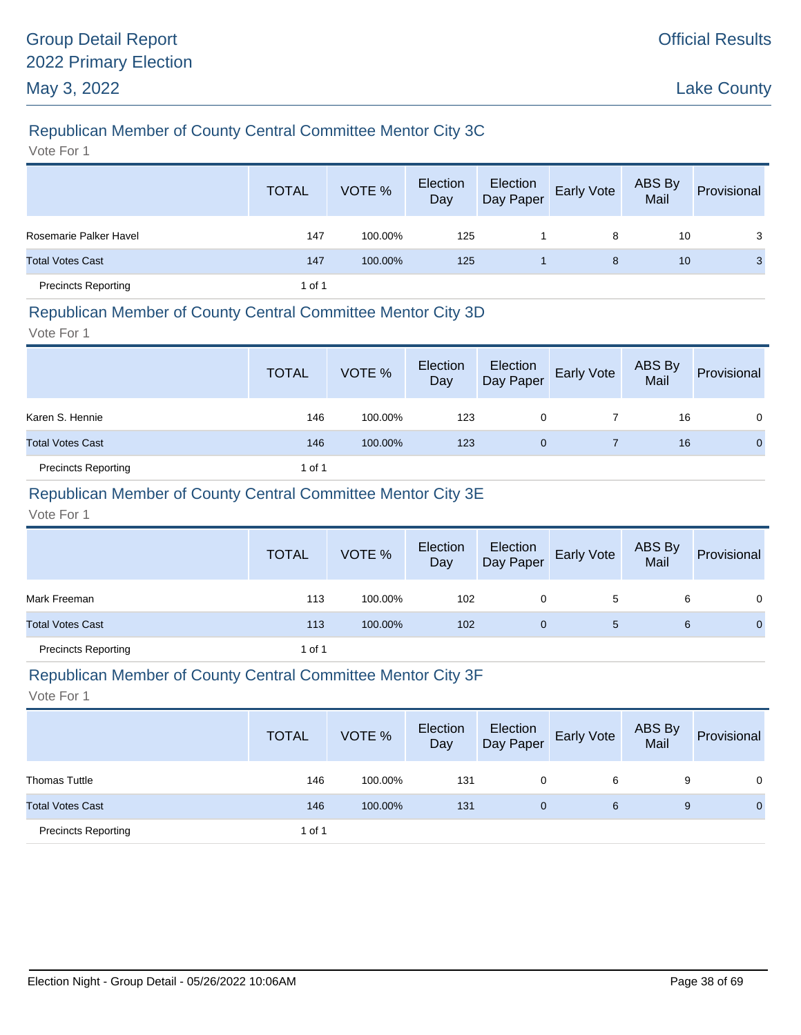# Republican Member of County Central Committee Mentor City 3C

Vote For 1

|                            | <b>TOTAL</b> | VOTE %  | Election<br>Day | Election<br>Day Paper | Early Vote | ABS By<br>Mail | Provisional |
|----------------------------|--------------|---------|-----------------|-----------------------|------------|----------------|-------------|
| Rosemarie Palker Havel     | 147          | 100.00% | 125             |                       | 8          | 10             | 3           |
| <b>Total Votes Cast</b>    | 147          | 100.00% | 125             |                       | 8          | 10             | 3           |
| <b>Precincts Reporting</b> | 1 of 1       |         |                 |                       |            |                |             |

#### Republican Member of County Central Committee Mentor City 3D

Vote For 1

|                            | <b>TOTAL</b> | VOTE %  | Election<br>Day | Election<br>Day Paper | <b>Early Vote</b> | ABS By<br>Mail | Provisional  |
|----------------------------|--------------|---------|-----------------|-----------------------|-------------------|----------------|--------------|
| Karen S. Hennie            | 146          | 100.00% | 123             | 0                     |                   | 16             | 0            |
| <b>Total Votes Cast</b>    | 146          | 100.00% | 123             | 0                     |                   | 16             | $\mathbf{0}$ |
| <b>Precincts Reporting</b> | 1 of 1       |         |                 |                       |                   |                |              |

### Republican Member of County Central Committee Mentor City 3E

Vote For 1

|                            | <b>TOTAL</b> | VOTE %  | Election<br>Day | Election<br>Day Paper | Early Vote | ABS By<br>Mail | Provisional  |
|----------------------------|--------------|---------|-----------------|-----------------------|------------|----------------|--------------|
| Mark Freeman               | 113          | 100.00% | 102             | 0                     | 5          | 6              | 0            |
| <b>Total Votes Cast</b>    | 113          | 100.00% | 102             | 0                     | 5          | 6              | $\mathbf{0}$ |
| <b>Precincts Reporting</b> | 1 of 1       |         |                 |                       |            |                |              |

#### Republican Member of County Central Committee Mentor City 3F

|                            | <b>TOTAL</b> | VOTE %  | Election<br>Day | Election<br>Day Paper | <b>Early Vote</b> | ABS By<br>Mail | Provisional |
|----------------------------|--------------|---------|-----------------|-----------------------|-------------------|----------------|-------------|
| <b>Thomas Tuttle</b>       | 146          | 100.00% | 131             | 0                     | 6                 | 9              | $\Omega$    |
| <b>Total Votes Cast</b>    | 146          | 100.00% | 131             | 0                     | 6                 | 9              | 0           |
| <b>Precincts Reporting</b> | 1 of 1       |         |                 |                       |                   |                |             |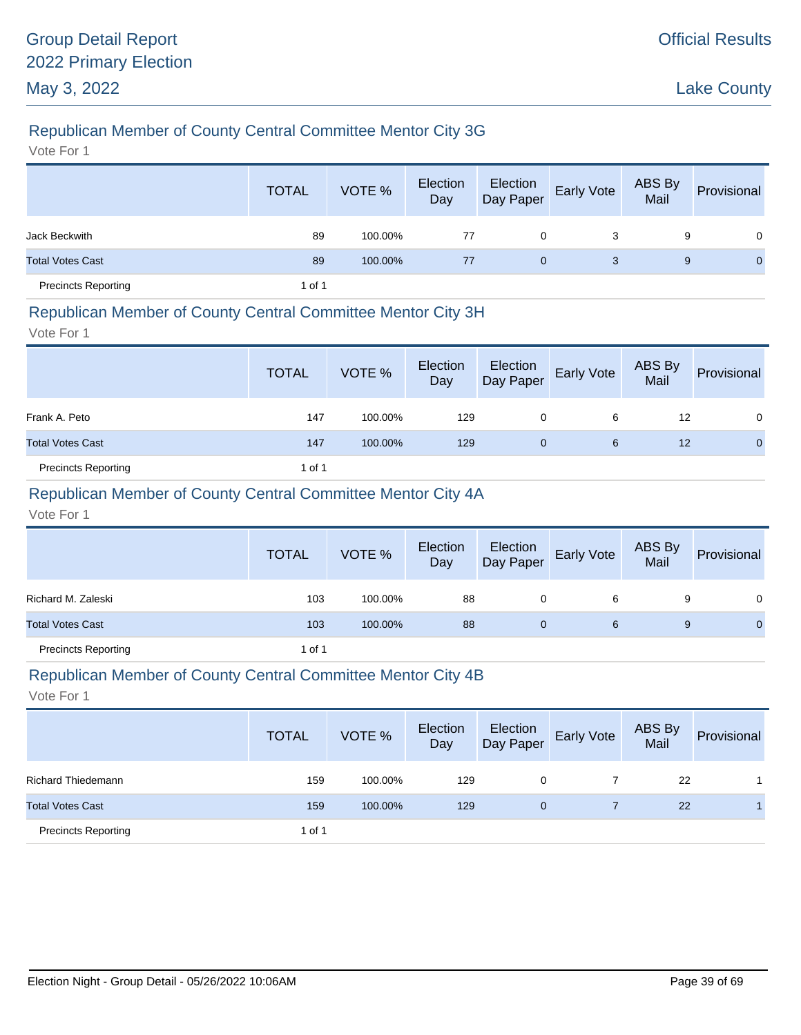# Republican Member of County Central Committee Mentor City 3G

Vote For 1

|                            | <b>TOTAL</b> | VOTE %  | Election<br>Day | Election<br>Day Paper | <b>Early Vote</b> | ABS By<br>Mail | Provisional  |
|----------------------------|--------------|---------|-----------------|-----------------------|-------------------|----------------|--------------|
| Jack Beckwith              | 89           | 100.00% | 77              | 0                     | 3                 | 9              | $\Omega$     |
| <b>Total Votes Cast</b>    | 89           | 100.00% | 77              | $\mathbf{0}$          | 3                 | 9              | $\mathbf{0}$ |
| <b>Precincts Reporting</b> | 1 of 1       |         |                 |                       |                   |                |              |

#### Republican Member of County Central Committee Mentor City 3H

Vote For 1

|                            | <b>TOTAL</b> | VOTE %  | Election<br>Day | Election<br>Day Paper | <b>Early Vote</b> | ABS By<br>Mail | Provisional |
|----------------------------|--------------|---------|-----------------|-----------------------|-------------------|----------------|-------------|
| Frank A. Peto              | 147          | 100.00% | 129             | 0                     | 6                 | 12             | 0           |
| <b>Total Votes Cast</b>    | 147          | 100.00% | 129             | 0                     | 6                 | 12             | $\Omega$    |
| <b>Precincts Reporting</b> | 1 of 1       |         |                 |                       |                   |                |             |

### Republican Member of County Central Committee Mentor City 4A

Vote For 1

|                            | <b>TOTAL</b> | VOTE %  | Election<br>Day | Election<br>Day Paper | <b>Early Vote</b> | ABS By<br>Mail | Provisional  |
|----------------------------|--------------|---------|-----------------|-----------------------|-------------------|----------------|--------------|
| Richard M. Zaleski         | 103          | 100.00% | 88              | 0                     | 6                 | 9              | 0            |
| <b>Total Votes Cast</b>    | 103          | 100.00% | 88              |                       | 6                 | 9              | $\mathbf{0}$ |
| <b>Precincts Reporting</b> | 1 of 1       |         |                 |                       |                   |                |              |

#### Republican Member of County Central Committee Mentor City 4B

|                            | <b>TOTAL</b> | VOTE %  | Election<br>Day | Election<br>Day Paper | <b>Early Vote</b> | ABS By<br>Mail | Provisional |
|----------------------------|--------------|---------|-----------------|-----------------------|-------------------|----------------|-------------|
| <b>Richard Thiedemann</b>  | 159          | 100.00% | 129             | 0                     |                   | 22             |             |
| <b>Total Votes Cast</b>    | 159          | 100.00% | 129             | $\overline{0}$        |                   | 22             |             |
| <b>Precincts Reporting</b> | 1 of 1       |         |                 |                       |                   |                |             |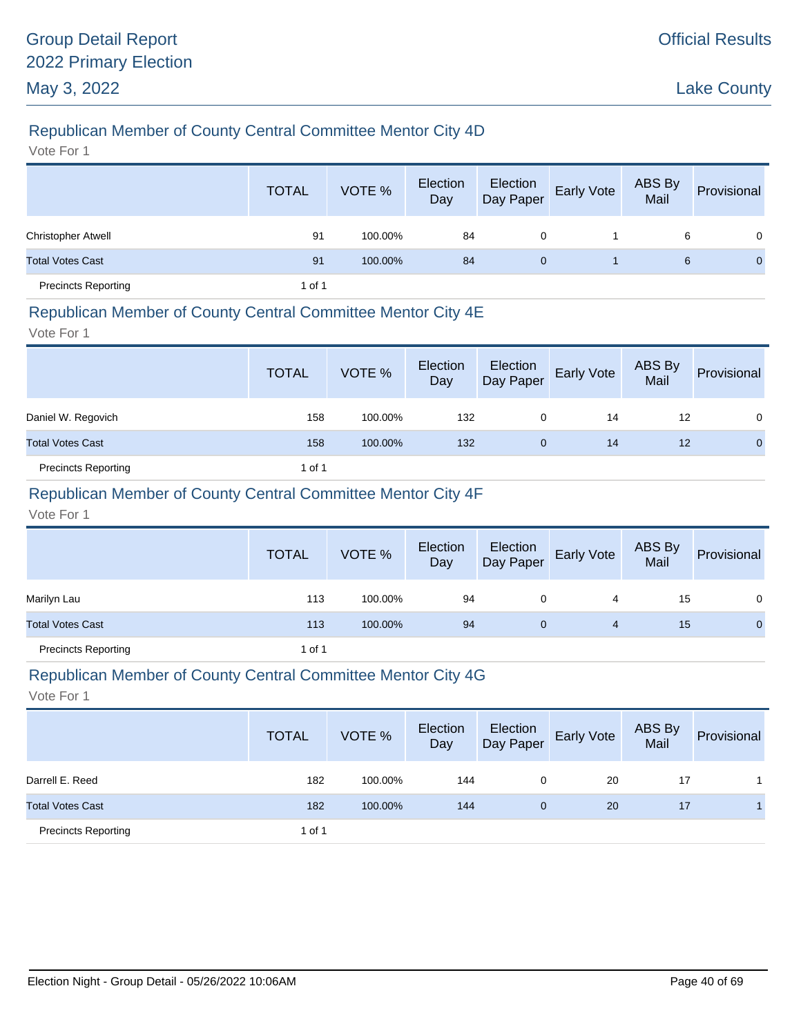# Republican Member of County Central Committee Mentor City 4D

Vote For 1

|                            | <b>TOTAL</b> | VOTE %  | Election<br>Day | Election<br>Day Paper | Early Vote | ABS By<br>Mail | Provisional |
|----------------------------|--------------|---------|-----------------|-----------------------|------------|----------------|-------------|
| <b>Christopher Atwell</b>  | 91           | 100.00% | 84              | 0                     |            | 6              | $\Omega$    |
| <b>Total Votes Cast</b>    | 91           | 100.00% | 84              | $\mathbf{0}$          |            | 6              | $\Omega$    |
| <b>Precincts Reporting</b> | 1 of 1       |         |                 |                       |            |                |             |

#### Republican Member of County Central Committee Mentor City 4E

Vote For 1

|                            | <b>TOTAL</b> | VOTE %  | Election<br>Day | Election<br>Day Paper | Early Vote | ABS By<br>Mail | Provisional |
|----------------------------|--------------|---------|-----------------|-----------------------|------------|----------------|-------------|
| Daniel W. Regovich         | 158          | 100.00% | 132             | 0                     | 14         | 12             | $\Omega$    |
| <b>Total Votes Cast</b>    | 158          | 100.00% | 132             | 0                     | 14         | 12             | $\Omega$    |
| <b>Precincts Reporting</b> | 1 of 1       |         |                 |                       |            |                |             |

### Republican Member of County Central Committee Mentor City 4F

Vote For 1

|                            | <b>TOTAL</b> | VOTE %  | Election<br>Day | Election<br>Day Paper | <b>Early Vote</b> | ABS By<br>Mail | Provisional  |
|----------------------------|--------------|---------|-----------------|-----------------------|-------------------|----------------|--------------|
| Marilyn Lau                | 113          | 100.00% | 94              | 0                     | 4                 | 15             | 0            |
| <b>Total Votes Cast</b>    | 113          | 100.00% | 94              | 0                     | 4                 | 15             | $\mathbf{0}$ |
| <b>Precincts Reporting</b> | 1 of 1       |         |                 |                       |                   |                |              |

#### Republican Member of County Central Committee Mentor City 4G

|                            | <b>TOTAL</b> | VOTE %  | Election<br>Day | Election<br>Day Paper | <b>Early Vote</b> | ABS By<br>Mail | Provisional |
|----------------------------|--------------|---------|-----------------|-----------------------|-------------------|----------------|-------------|
| Darrell E. Reed            | 182          | 100.00% | 144             | 0                     | 20                | 17             |             |
| <b>Total Votes Cast</b>    | 182          | 100.00% | 144             | $\mathbf{0}$          | 20                | 17             |             |
| <b>Precincts Reporting</b> | 1 of 1       |         |                 |                       |                   |                |             |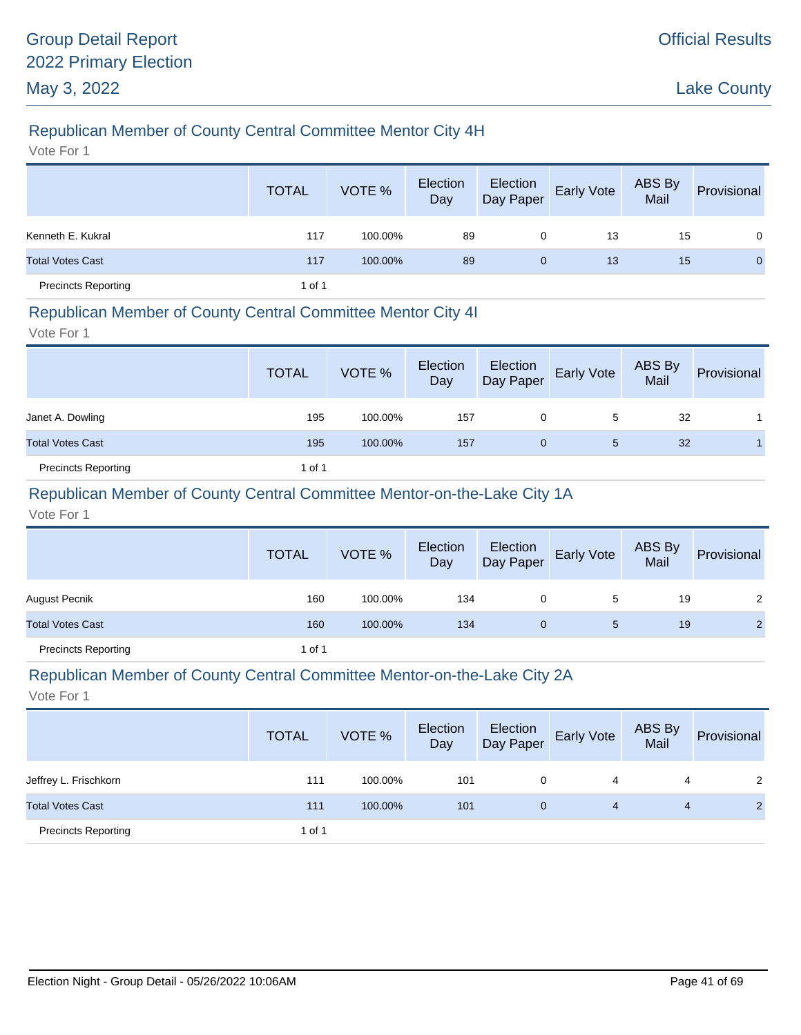# Republican Member of County Central Committee Mentor City 4H

Vote For 1

|                            | <b>TOTAL</b> | VOTE %  | Election<br>Day | Election<br>Day Paper | Early Vote | ABS By<br>Mail | Provisional |
|----------------------------|--------------|---------|-----------------|-----------------------|------------|----------------|-------------|
| Kenneth E. Kukral          | 117          | 100.00% | 89              | 0                     | 13         | 15             | $\Omega$    |
| <b>Total Votes Cast</b>    | 117          | 100.00% | 89              | $\mathbf{0}$          | 13         | 15             | $\Omega$    |
| <b>Precincts Reporting</b> | 1 of 1       |         |                 |                       |            |                |             |

#### Republican Member of County Central Committee Mentor City 4I

Vote For 1

|                            | <b>TOTAL</b> | VOTE %  | Election<br>Day |   | Election<br>Day Paper Early Vote | ABS By<br>Mail | Provisional |
|----------------------------|--------------|---------|-----------------|---|----------------------------------|----------------|-------------|
| Janet A. Dowling           | 195          | 100.00% | 157             | 0 | 5                                | 32             |             |
| <b>Total Votes Cast</b>    | 195          | 100.00% | 157             | 0 | 5                                | 32             |             |
| <b>Precincts Reporting</b> | 1 of 1       |         |                 |   |                                  |                |             |

### Republican Member of County Central Committee Mentor-on-the-Lake City 1A

Vote For 1

|                            | <b>TOTAL</b> | VOTE %  | Election<br>Day | Election<br>Day Paper | <b>Early Vote</b> | ABS By<br>Mail | Provisional    |
|----------------------------|--------------|---------|-----------------|-----------------------|-------------------|----------------|----------------|
| August Pecnik              | 160          | 100.00% | 134             | 0                     | 5                 | 19             | 2              |
| <b>Total Votes Cast</b>    | 160          | 100.00% | 134             | 0                     | 5                 | 19             | $\overline{2}$ |
| <b>Precincts Reporting</b> | 1 of 1       |         |                 |                       |                   |                |                |

#### Republican Member of County Central Committee Mentor-on-the-Lake City 2A

|                            | <b>TOTAL</b> | VOTE %  | Election<br>Day | Election<br>Day Paper | <b>Early Vote</b> | ABS By<br>Mail | Provisional    |
|----------------------------|--------------|---------|-----------------|-----------------------|-------------------|----------------|----------------|
| Jeffrey L. Frischkorn      | 111          | 100.00% | 101             | 0                     | 4                 | 4              | 2              |
| <b>Total Votes Cast</b>    | 111          | 100.00% | 101             | $\mathbf{0}$          | 4                 | 4              | $\overline{2}$ |
| <b>Precincts Reporting</b> | 1 of 1       |         |                 |                       |                   |                |                |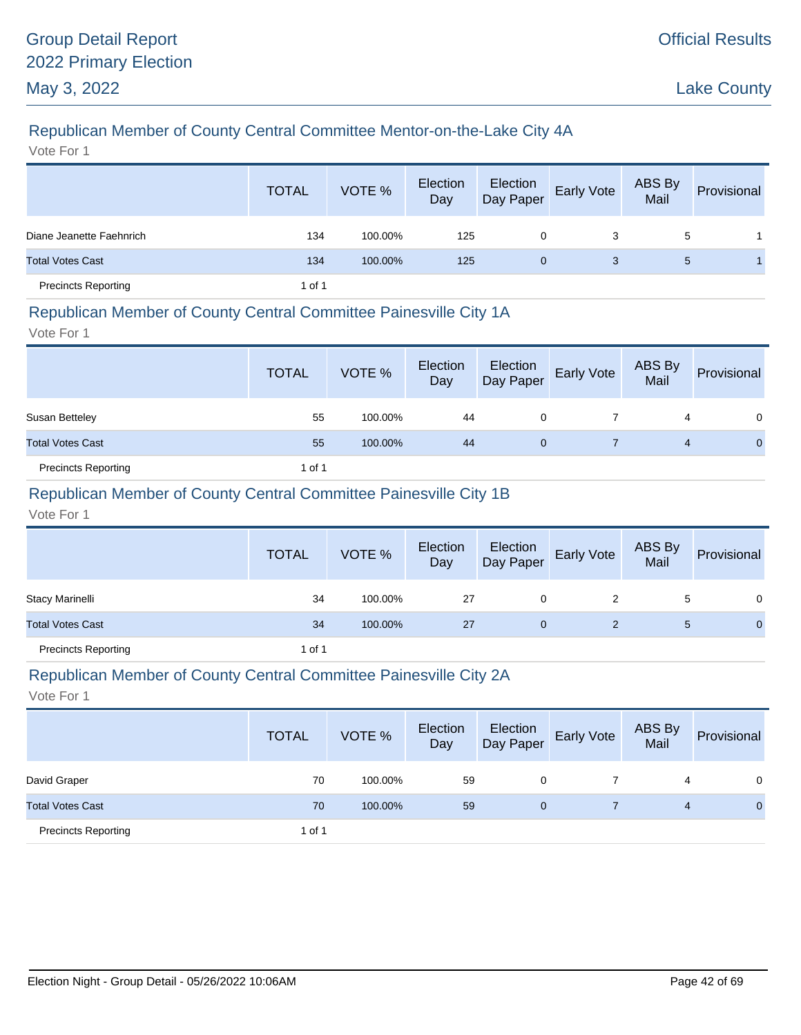# Republican Member of County Central Committee Mentor-on-the-Lake City 4A

Vote For 1

|                            | <b>TOTAL</b> | VOTE %  | Election<br>Day | Election<br>Day Paper | Early Vote | ABS By<br>Mail | Provisional |
|----------------------------|--------------|---------|-----------------|-----------------------|------------|----------------|-------------|
| Diane Jeanette Faehnrich   | 134          | 100.00% | 125             | 0                     | 3          | 5              |             |
| <b>Total Votes Cast</b>    | 134          | 100.00% | 125             | $\mathbf{0}$          | 3          | 5              |             |
| <b>Precincts Reporting</b> | 1 of 1       |         |                 |                       |            |                |             |

### Republican Member of County Central Committee Painesville City 1A

Vote For 1

|                            | <b>TOTAL</b> | VOTE %  | Election<br>Day | Election<br>Day Paper | Early Vote | ABS By<br>Mail | Provisional  |
|----------------------------|--------------|---------|-----------------|-----------------------|------------|----------------|--------------|
| Susan Betteley             | 55           | 100.00% | 44              |                       |            | 4              | 0            |
| <b>Total Votes Cast</b>    | 55           | 100.00% | 44              | 0                     |            | 4              | $\mathbf{0}$ |
| <b>Precincts Reporting</b> | 1 of 1       |         |                 |                       |            |                |              |

### Republican Member of County Central Committee Painesville City 1B

Vote For 1

|                            | <b>TOTAL</b> | VOTE %  | Election<br>Day | Election<br>Day Paper | <b>Early Vote</b> | ABS By<br>Mail | Provisional  |
|----------------------------|--------------|---------|-----------------|-----------------------|-------------------|----------------|--------------|
| <b>Stacy Marinelli</b>     | 34           | 100.00% | -27             | 0                     | 2                 | 5              | 0            |
| <b>Total Votes Cast</b>    | 34           | 100.00% | 27              | 0                     |                   | 5              | $\mathbf{0}$ |
| <b>Precincts Reporting</b> | 1 of 1       |         |                 |                       |                   |                |              |

#### Republican Member of County Central Committee Painesville City 2A

|                            | <b>TOTAL</b> | VOTE %  | Election<br>Day | Election<br>Day Paper | <b>Early Vote</b> | ABS By<br>Mail | Provisional  |
|----------------------------|--------------|---------|-----------------|-----------------------|-------------------|----------------|--------------|
| David Graper               | 70           | 100.00% | 59              | 0                     |                   | 4              | $\Omega$     |
| <b>Total Votes Cast</b>    | 70           | 100.00% | 59              | 0                     |                   | 4              | $\mathbf{0}$ |
| <b>Precincts Reporting</b> | 1 of 1       |         |                 |                       |                   |                |              |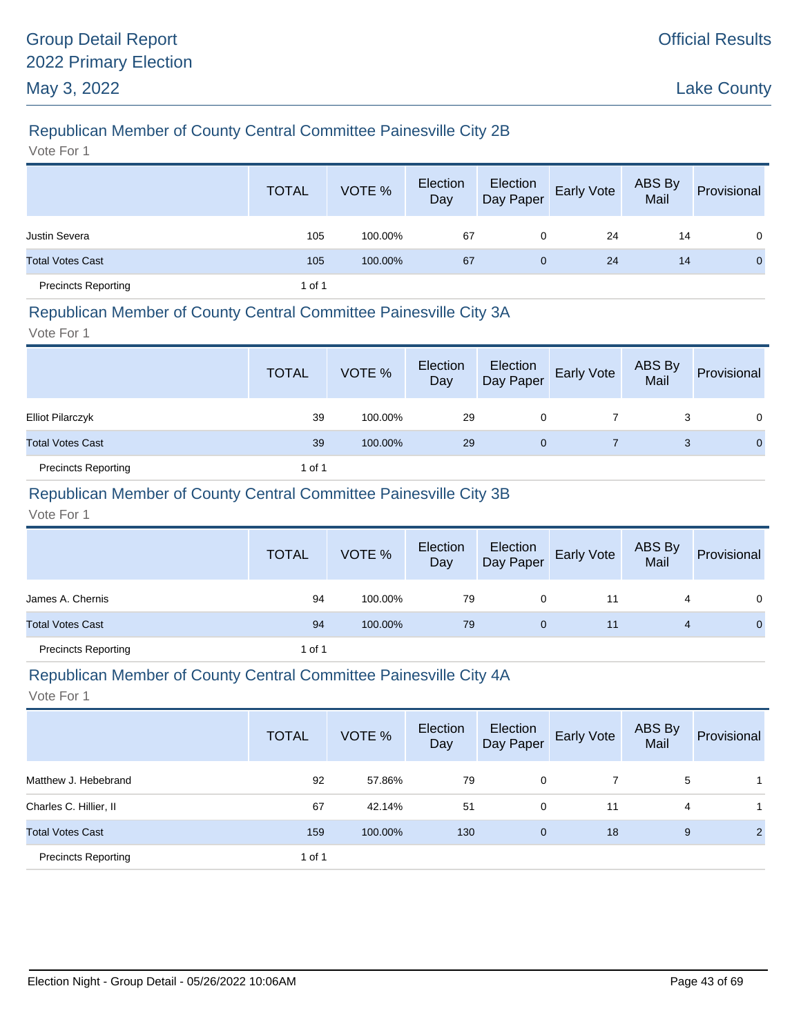# Republican Member of County Central Committee Painesville City 2B

Vote For 1

|                            | <b>TOTAL</b> | VOTE %  | Election<br>Day | Election<br>Day Paper | <b>Early Vote</b> | ABS By<br>Mail | Provisional  |
|----------------------------|--------------|---------|-----------------|-----------------------|-------------------|----------------|--------------|
| <b>Justin Severa</b>       | 105          | 100.00% | 67              | 0                     | 24                | 14             | $\mathbf 0$  |
| <b>Total Votes Cast</b>    | 105          | 100.00% | 67              | 0                     | 24                | 14             | $\mathbf{0}$ |
| <b>Precincts Reporting</b> | 1 of 1       |         |                 |                       |                   |                |              |

#### Republican Member of County Central Committee Painesville City 3A

Vote For 1

|                            | <b>TOTAL</b> | VOTE %  | Election<br>Day | Election<br>Day Paper | Early Vote | ABS By<br>Mail | Provisional    |
|----------------------------|--------------|---------|-----------------|-----------------------|------------|----------------|----------------|
| <b>Elliot Pilarczyk</b>    | 39           | 100.00% | 29              | 0                     |            |                | $\Omega$       |
| <b>Total Votes Cast</b>    | 39           | 100.00% | 29              | 0                     |            | 3              | $\overline{0}$ |
| <b>Precincts Reporting</b> | 1 of 1       |         |                 |                       |            |                |                |

### Republican Member of County Central Committee Painesville City 3B

Vote For 1

|                            | <b>TOTAL</b> | VOTE %  | Election<br>Day | Election<br>Day Paper | <b>Early Vote</b> | ABS By<br>Mail | Provisional |
|----------------------------|--------------|---------|-----------------|-----------------------|-------------------|----------------|-------------|
| James A. Chernis           | 94           | 100.00% | 79              | 0                     | 11                |                | $\Omega$    |
| <b>Total Votes Cast</b>    | 94           | 100.00% | 79              | $\mathbf 0$           | 11                | 4              | $\Omega$    |
| <b>Precincts Reporting</b> | 1 of 1       |         |                 |                       |                   |                |             |

#### Republican Member of County Central Committee Painesville City 4A

|                            | <b>TOTAL</b> | VOTE %  | Election<br>Day | Election<br>Day Paper | Early Vote | ABS By<br>Mail | Provisional    |
|----------------------------|--------------|---------|-----------------|-----------------------|------------|----------------|----------------|
| Matthew J. Hebebrand       | 92           | 57.86%  | 79              | 0                     |            | 5              |                |
| Charles C. Hillier, II     | 67           | 42.14%  | 51              | 0                     | 11         | 4              |                |
| <b>Total Votes Cast</b>    | 159          | 100.00% | 130             | $\mathbf 0$           | 18         | 9              | $\overline{2}$ |
| <b>Precincts Reporting</b> | 1 of 1       |         |                 |                       |            |                |                |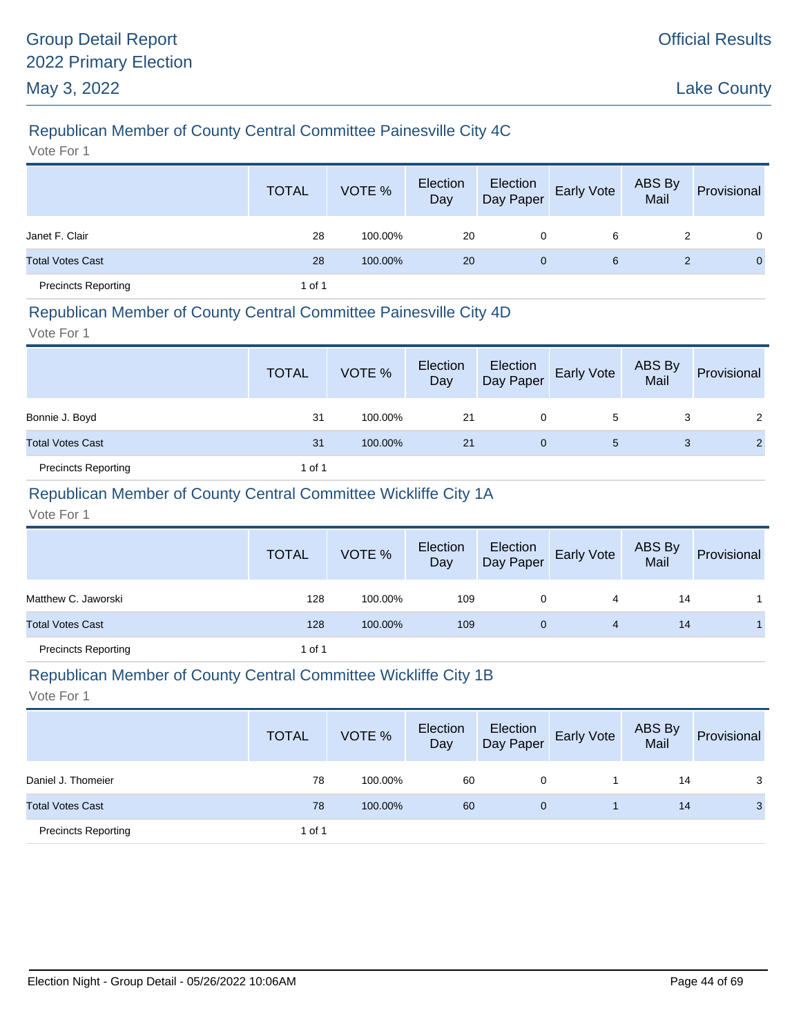# Republican Member of County Central Committee Painesville City 4C

Vote For 1

|                            | <b>TOTAL</b> | VOTE %  | Election<br>Day | Election<br>Day Paper | Early Vote | ABS By<br>Mail | Provisional  |
|----------------------------|--------------|---------|-----------------|-----------------------|------------|----------------|--------------|
| Janet F. Clair             | 28           | 100.00% | 20              | 0                     | 6          | 2              | $\Omega$     |
| <b>Total Votes Cast</b>    | 28           | 100.00% | 20              | $\mathbf{0}$          | 6          |                | $\mathbf{0}$ |
| <b>Precincts Reporting</b> | 1 of 1       |         |                 |                       |            |                |              |

#### Republican Member of County Central Committee Painesville City 4D

Vote For 1

|                            | <b>TOTAL</b> | VOTE %  | Election<br>Day | Election<br>Day Paper | <b>Early Vote</b> | ABS By<br>Mail | Provisional          |
|----------------------------|--------------|---------|-----------------|-----------------------|-------------------|----------------|----------------------|
| Bonnie J. Boyd             | 31           | 100.00% | 21              | 0                     | 5                 | 3              | $\mathbf{2}^{\circ}$ |
| <b>Total Votes Cast</b>    | 31           | 100.00% | 21              | 0                     | 5                 | 3              | $\overline{2}$       |
| <b>Precincts Reporting</b> | 1 of 1       |         |                 |                       |                   |                |                      |

### Republican Member of County Central Committee Wickliffe City 1A

Vote For 1

|                            | <b>TOTAL</b> | VOTE %  | Election<br>Day | Election<br>Day Paper | <b>Early Vote</b> | <b>ABS By</b><br>Mail | Provisional |
|----------------------------|--------------|---------|-----------------|-----------------------|-------------------|-----------------------|-------------|
| Matthew C. Jaworski        | 128          | 100.00% | 109             | 0                     | 4                 | 14                    |             |
| <b>Total Votes Cast</b>    | 128          | 100.00% | 109             | 0                     | 4                 | 14                    |             |
| <b>Precincts Reporting</b> | 1 of 1       |         |                 |                       |                   |                       |             |

#### Republican Member of County Central Committee Wickliffe City 1B

|                            | <b>TOTAL</b> | VOTE %  | Election<br>Day | Election<br>Day Paper | <b>Early Vote</b> | ABS By<br>Mail | Provisional    |
|----------------------------|--------------|---------|-----------------|-----------------------|-------------------|----------------|----------------|
| Daniel J. Thomeier         | 78           | 100.00% | 60              | 0                     |                   | 14             | 3              |
| <b>Total Votes Cast</b>    | 78           | 100.00% | 60              | 0                     |                   | 14             | 3 <sup>1</sup> |
| <b>Precincts Reporting</b> | 1 of 1       |         |                 |                       |                   |                |                |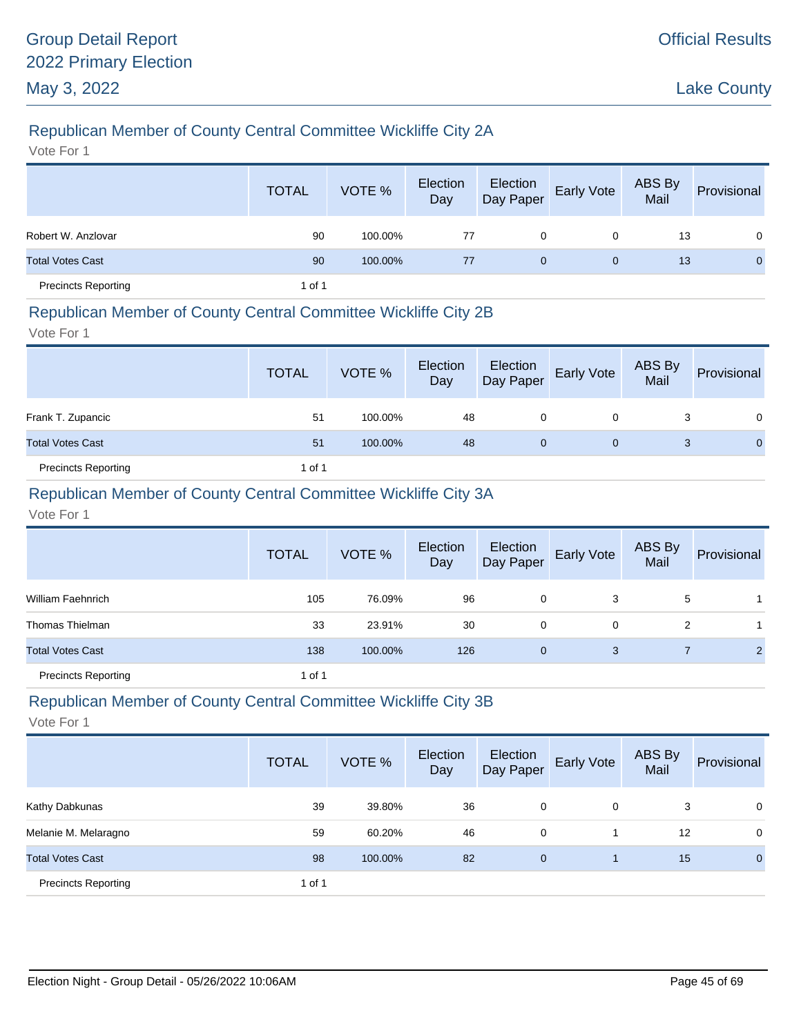# Republican Member of County Central Committee Wickliffe City 2A

Vote For 1

|                            | <b>TOTAL</b> | VOTE %  | Election<br>Day | Election<br>Day Paper | Early Vote   | ABS By<br>Mail | Provisional |
|----------------------------|--------------|---------|-----------------|-----------------------|--------------|----------------|-------------|
| Robert W. Anzlovar         | 90           | 100.00% | 77              | 0                     | $\Omega$     | 13             | $\Omega$    |
| <b>Total Votes Cast</b>    | 90           | 100.00% | 77              | $\mathbf{0}$          | $\mathbf{0}$ | 13             | $\Omega$    |
| <b>Precincts Reporting</b> | 1 of 1       |         |                 |                       |              |                |             |

#### Republican Member of County Central Committee Wickliffe City 2B

Vote For 1

|                            | <b>TOTAL</b> | VOTE %  | Election<br>Day | Election<br>Day Paper | Early Vote | ABS By<br>Mail | Provisional |
|----------------------------|--------------|---------|-----------------|-----------------------|------------|----------------|-------------|
| Frank T. Zupancic          | 51           | 100.00% | 48              | 0                     |            |                | $\Omega$    |
| <b>Total Votes Cast</b>    | 51           | 100.00% | 48              | 0                     | 0          | 3              | $\Omega$    |
| <b>Precincts Reporting</b> | 1 of 1       |         |                 |                       |            |                |             |

### Republican Member of County Central Committee Wickliffe City 3A

Vote For 1

|                            | <b>TOTAL</b> | VOTE %  | Election<br>Day | Election<br>Day Paper | Early Vote | ABS By<br>Mail | Provisional    |
|----------------------------|--------------|---------|-----------------|-----------------------|------------|----------------|----------------|
| William Faehnrich          | 105          | 76.09%  | 96              | 0                     | 3          | 5              |                |
| Thomas Thielman            | 33           | 23.91%  | 30              | 0                     | 0          | 2              |                |
| <b>Total Votes Cast</b>    | 138          | 100.00% | 126             | $\mathbf{0}$          | 3          |                | $\overline{2}$ |
| <b>Precincts Reporting</b> | 1 of 1       |         |                 |                       |            |                |                |

### Republican Member of County Central Committee Wickliffe City 3B

|                            | <b>TOTAL</b> | VOTE %  | Election<br>Day | Election<br>Day Paper | Early Vote | ABS By<br>Mail | Provisional    |
|----------------------------|--------------|---------|-----------------|-----------------------|------------|----------------|----------------|
| Kathy Dabkunas             | 39           | 39.80%  | 36              | 0                     | 0          | 3              | $\mathbf 0$    |
| Melanie M. Melaragno       | 59           | 60.20%  | 46              | 0                     |            | 12             | $\mathbf 0$    |
| <b>Total Votes Cast</b>    | 98           | 100.00% | 82              | $\mathbf{0}$          |            | 15             | $\overline{0}$ |
| <b>Precincts Reporting</b> | 1 of 1       |         |                 |                       |            |                |                |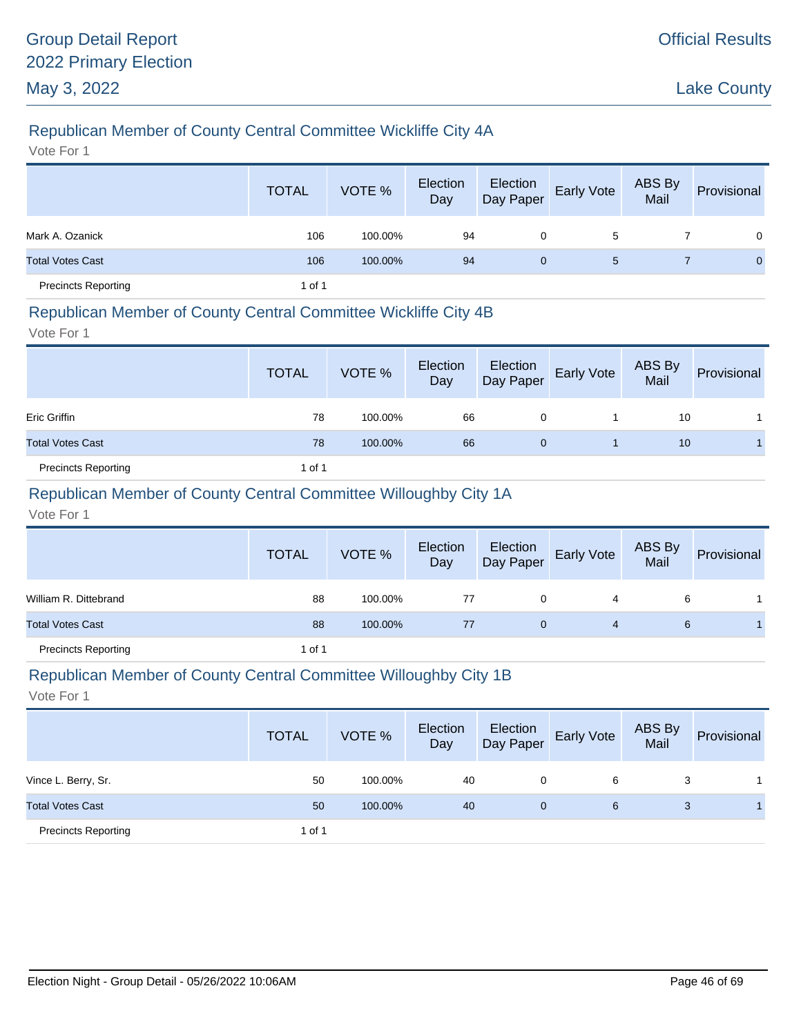# Republican Member of County Central Committee Wickliffe City 4A

Vote For 1

|                            | <b>TOTAL</b> | VOTE %  | Election<br>Day | Election<br>Day Paper | Early Vote     | ABS By<br>Mail | Provisional  |
|----------------------------|--------------|---------|-----------------|-----------------------|----------------|----------------|--------------|
| Mark A. Ozanick            | 106          | 100.00% | 94              | 0                     | 5              |                | $\Omega$     |
| <b>Total Votes Cast</b>    | 106          | 100.00% | 94              | 0                     | 5 <sup>5</sup> |                | $\mathbf{0}$ |
| <b>Precincts Reporting</b> | 1 of 1       |         |                 |                       |                |                |              |

#### Republican Member of County Central Committee Wickliffe City 4B

Vote For 1

|                            | <b>TOTAL</b> | VOTE %  | Election<br>Day | Election<br>Day Paper | <b>Early Vote</b> | ABS By<br>Mail | Provisional |
|----------------------------|--------------|---------|-----------------|-----------------------|-------------------|----------------|-------------|
| Eric Griffin               | 78           | 100.00% | 66              | 0                     |                   | 10             |             |
| <b>Total Votes Cast</b>    | 78           | 100.00% | 66              | 0                     |                   | 10             |             |
| <b>Precincts Reporting</b> | 1 of 1       |         |                 |                       |                   |                |             |

### Republican Member of County Central Committee Willoughby City 1A

Vote For 1

|                            | <b>TOTAL</b> | VOTE %  | Election<br>Day | Election<br>Day Paper | <b>Early Vote</b> | ABS By<br>Mail | Provisional |
|----------------------------|--------------|---------|-----------------|-----------------------|-------------------|----------------|-------------|
| William R. Dittebrand      | 88           | 100.00% | 77              | 0                     | 4                 | 6              |             |
| <b>Total Votes Cast</b>    | 88           | 100.00% | 77              | 0                     | 4                 | 6              |             |
| <b>Precincts Reporting</b> | 1 of 1       |         |                 |                       |                   |                |             |

#### Republican Member of County Central Committee Willoughby City 1B

|                            | <b>TOTAL</b> | VOTE %  | Election<br>Day | Election<br>Day Paper | <b>Early Vote</b> | ABS By<br>Mail | Provisional |
|----------------------------|--------------|---------|-----------------|-----------------------|-------------------|----------------|-------------|
| Vince L. Berry, Sr.        | 50           | 100.00% | 40              | 0                     | 6                 | 3              |             |
| <b>Total Votes Cast</b>    | 50           | 100.00% | 40              | $\mathbf{0}$          | 6                 | 3              |             |
| <b>Precincts Reporting</b> | 1 of 1       |         |                 |                       |                   |                |             |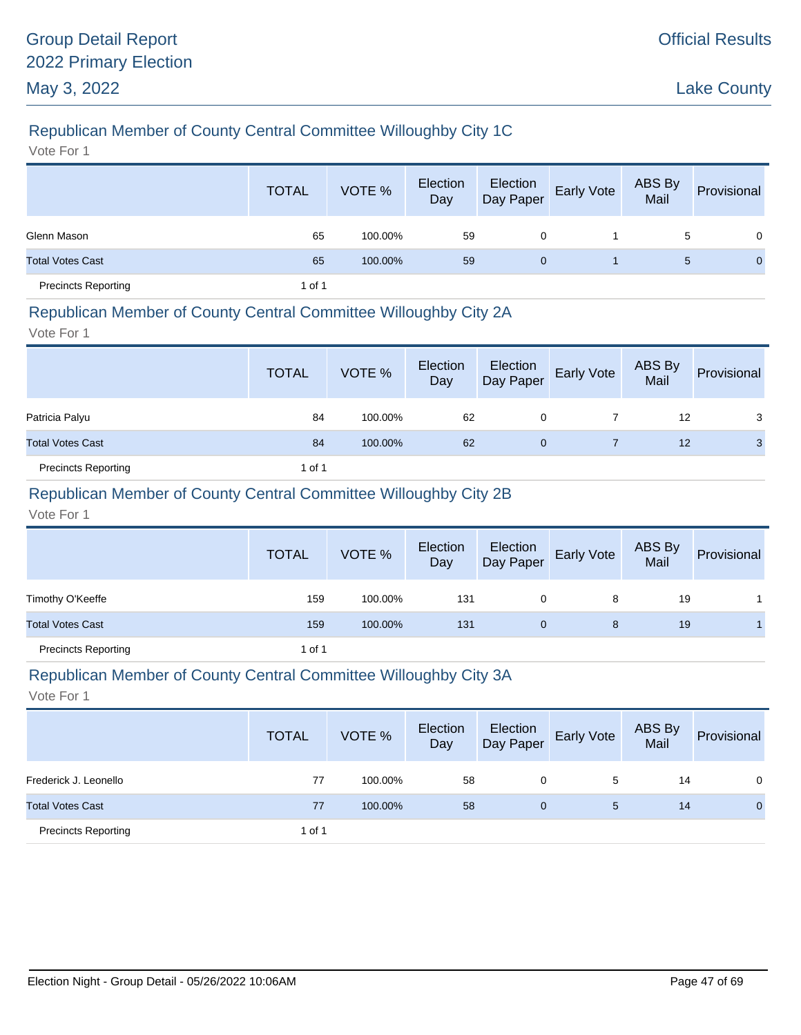# Republican Member of County Central Committee Willoughby City 1C

Vote For 1

|                            | <b>TOTAL</b> | VOTE %  | Election<br>Day | Election<br>Day Paper | <b>Early Vote</b> | ABS By<br>Mail | Provisional    |
|----------------------------|--------------|---------|-----------------|-----------------------|-------------------|----------------|----------------|
| Glenn Mason                | 65           | 100.00% | 59              | 0                     |                   | 5              | $\overline{0}$ |
| <b>Total Votes Cast</b>    | 65           | 100.00% | 59              | 0                     |                   | 5              | $\mathbf{0}$   |
| <b>Precincts Reporting</b> | 1 of 1       |         |                 |                       |                   |                |                |

### Republican Member of County Central Committee Willoughby City 2A

Vote For 1

|                            | <b>TOTAL</b> | VOTE %  | Election<br>Day | Election<br>Day Paper | Early Vote | ABS By<br>Mail | Provisional |
|----------------------------|--------------|---------|-----------------|-----------------------|------------|----------------|-------------|
| Patricia Palyu             | 84           | 100.00% | 62              | 0                     |            | 12             | 3           |
| <b>Total Votes Cast</b>    | 84           | 100.00% | 62              | 0                     |            | 12             | 3           |
| <b>Precincts Reporting</b> | 1 of 1       |         |                 |                       |            |                |             |

### Republican Member of County Central Committee Willoughby City 2B

Vote For 1

|                            | <b>TOTAL</b> | VOTE %  | Election<br>Day | Election<br>Day Paper | <b>Early Vote</b> | ABS By<br>Mail | Provisional |
|----------------------------|--------------|---------|-----------------|-----------------------|-------------------|----------------|-------------|
| Timothy O'Keeffe           | 159          | 100.00% | 131             | 0                     | 8                 | 19             |             |
| <b>Total Votes Cast</b>    | 159          | 100.00% | 131             | $\mathbf{0}$          | 8                 | 19             |             |
| <b>Precincts Reporting</b> | 1 of 1       |         |                 |                       |                   |                |             |

#### Republican Member of County Central Committee Willoughby City 3A

|                            | <b>TOTAL</b> | VOTE %  | Election<br>Day | Election<br>Day Paper | <b>Early Vote</b> | <b>ABS By</b><br>Mail | Provisional |
|----------------------------|--------------|---------|-----------------|-----------------------|-------------------|-----------------------|-------------|
| Frederick J. Leonello      | 77           | 100.00% | 58              | 0                     | 5                 | 14                    | 0           |
| <b>Total Votes Cast</b>    | 77           | 100.00% | 58              | $\mathbf{0}$          | 5                 | 14                    | $\mathbf 0$ |
| <b>Precincts Reporting</b> | 1 of 1       |         |                 |                       |                   |                       |             |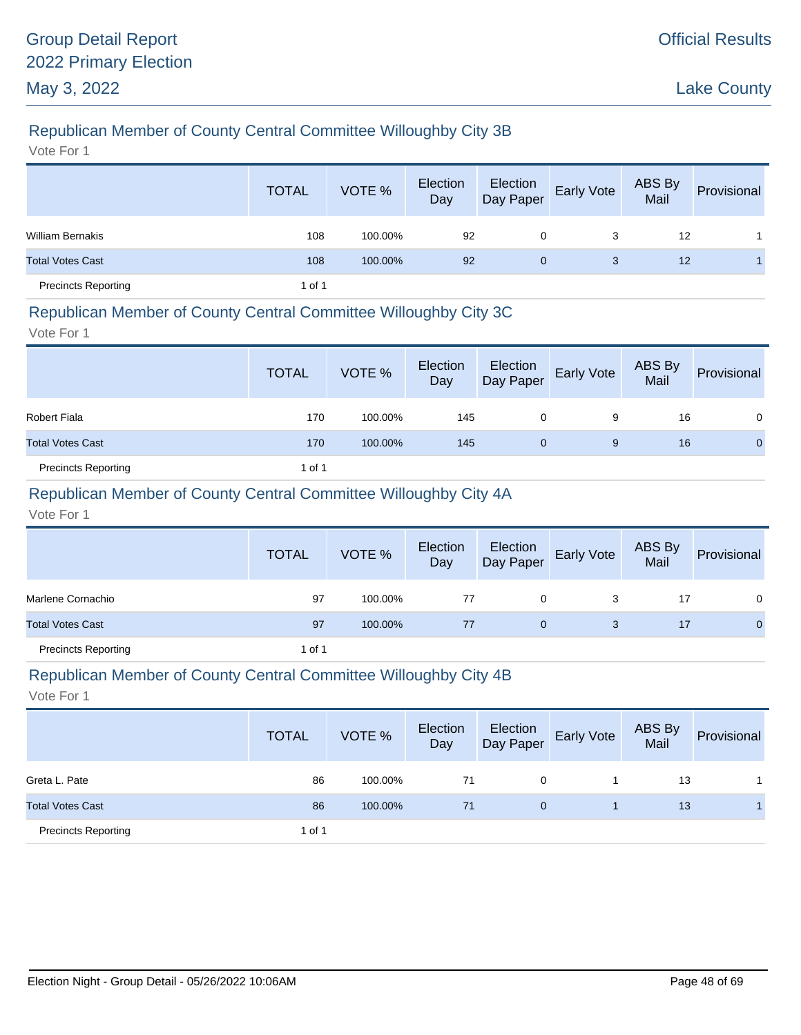# Republican Member of County Central Committee Willoughby City 3B

Vote For 1

|                            | <b>TOTAL</b> | VOTE %  | Election<br>Day | Election<br>Day Paper | <b>Early Vote</b> | ABS By<br>Mail | Provisional |
|----------------------------|--------------|---------|-----------------|-----------------------|-------------------|----------------|-------------|
| <b>William Bernakis</b>    | 108          | 100.00% | 92              | 0                     | 3                 | 12             |             |
| <b>Total Votes Cast</b>    | 108          | 100.00% | 92              | $\mathbf{0}$          | 3                 | 12             |             |
| <b>Precincts Reporting</b> | 1 of 1       |         |                 |                       |                   |                |             |

#### Republican Member of County Central Committee Willoughby City 3C

Vote For 1

|                            | <b>TOTAL</b> | VOTE %  | Election<br>Day | Election<br>Day Paper | <b>Early Vote</b> | ABS By<br>Mail | Provisional  |
|----------------------------|--------------|---------|-----------------|-----------------------|-------------------|----------------|--------------|
| <b>Robert Fiala</b>        | 170          | 100.00% | 145             | 0                     | 9                 | 16             | 0            |
| <b>Total Votes Cast</b>    | 170          | 100.00% | 145             | 0                     | 9                 | 16             | $\mathbf{0}$ |
| <b>Precincts Reporting</b> | 1 of 1       |         |                 |                       |                   |                |              |

### Republican Member of County Central Committee Willoughby City 4A

Vote For 1

|                            | <b>TOTAL</b> | VOTE %  | Election<br>Day | Election<br>Day Paper | <b>Early Vote</b> | ABS By<br>Mail | Provisional  |
|----------------------------|--------------|---------|-----------------|-----------------------|-------------------|----------------|--------------|
| Marlene Cornachio          | 97           | 100.00% | 77              | 0                     |                   | 17             | 0            |
| <b>Total Votes Cast</b>    | 97           | 100.00% | 77              | 0                     | 3                 | 17             | $\mathbf{0}$ |
| <b>Precincts Reporting</b> | 1 of 1       |         |                 |                       |                   |                |              |

#### Republican Member of County Central Committee Willoughby City 4B

|                            | <b>TOTAL</b> | VOTE %  | Election<br>Day | Election<br>Day Paper | Early Vote | ABS By<br>Mail | Provisional |
|----------------------------|--------------|---------|-----------------|-----------------------|------------|----------------|-------------|
| Greta L. Pate              | 86           | 100.00% | 71              | 0                     |            | 13             |             |
| <b>Total Votes Cast</b>    | 86           | 100.00% | 71              | $\mathbf{0}$          |            | 13             |             |
| <b>Precincts Reporting</b> | 1 of 1       |         |                 |                       |            |                |             |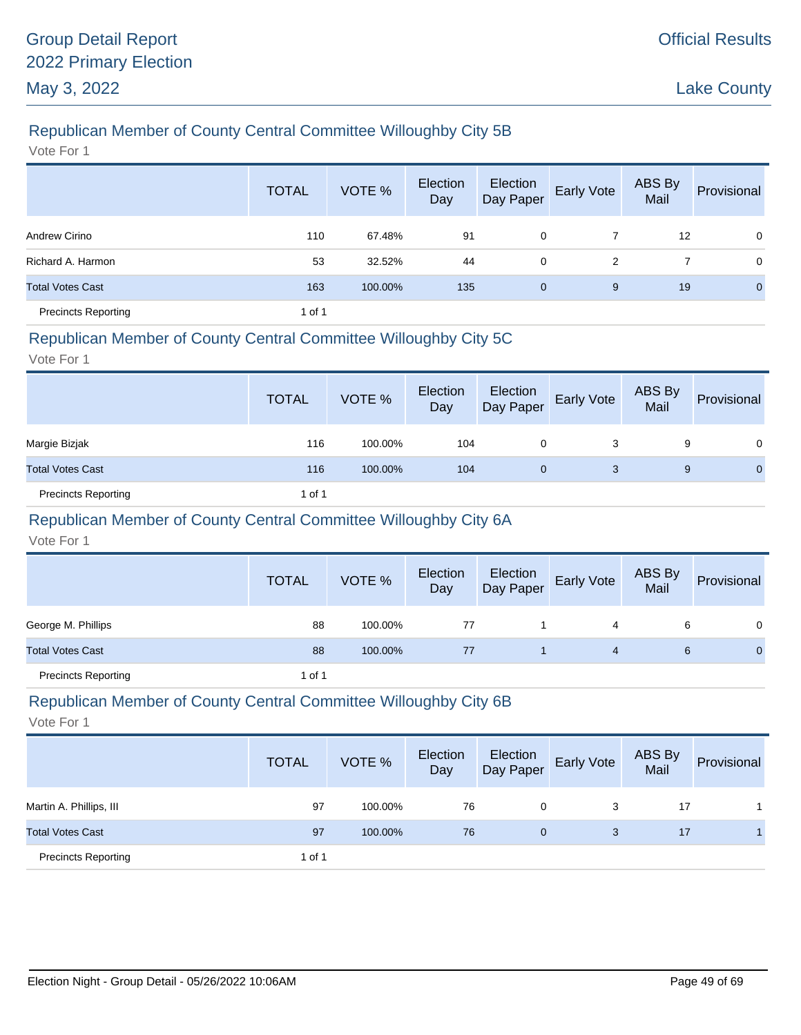# Republican Member of County Central Committee Willoughby City 5B

Vote For 1

|                            | <b>TOTAL</b> | VOTE %  | Election<br>Day | Election<br>Day Paper | Early Vote | ABS By<br>Mail | Provisional  |
|----------------------------|--------------|---------|-----------------|-----------------------|------------|----------------|--------------|
| Andrew Cirino              | 110          | 67.48%  | 91              | 0                     |            | 12             | $\mathbf 0$  |
| Richard A. Harmon          | 53           | 32.52%  | 44              | 0                     | 2          |                | $\mathbf 0$  |
| <b>Total Votes Cast</b>    | 163          | 100.00% | 135             | 0                     | 9          | 19             | $\mathbf{0}$ |
| <b>Precincts Reporting</b> | 1 of 1       |         |                 |                       |            |                |              |

### Republican Member of County Central Committee Willoughby City 5C

Vote For 1

|                            | <b>TOTAL</b> | VOTE %  | Election<br>Day | Election<br>Day Paper | <b>Early Vote</b> | ABS By<br>Mail | Provisional  |
|----------------------------|--------------|---------|-----------------|-----------------------|-------------------|----------------|--------------|
| Margie Bizjak              | 116          | 100.00% | 104             | 0                     | 3                 | 9              | $\mathbf{0}$ |
| <b>Total Votes Cast</b>    | 116          | 100.00% | 104             | $\mathbf{0}$          | 3                 | 9              | $\mathbf{0}$ |
| <b>Precincts Reporting</b> | 1 of 1       |         |                 |                       |                   |                |              |

# Republican Member of County Central Committee Willoughby City 6A

Vote For 1

|                            | <b>TOTAL</b> | VOTE %  | Election<br>Day | Election<br>Day Paper | <b>Early Vote</b> | ABS By<br>Mail | Provisional |
|----------------------------|--------------|---------|-----------------|-----------------------|-------------------|----------------|-------------|
| George M. Phillips         | 88           | 100.00% | 77              |                       | 4                 | 6              | 0           |
| <b>Total Votes Cast</b>    | 88           | 100.00% | 77              |                       | 4                 | 6              | $\Omega$    |
| <b>Precincts Reporting</b> | 1 of 1       |         |                 |                       |                   |                |             |

# Republican Member of County Central Committee Willoughby City 6B

|                            | <b>TOTAL</b> | VOTE %  | Election<br>Day | Election<br>Day Paper | <b>Early Vote</b> | ABS By<br>Mail | Provisional |
|----------------------------|--------------|---------|-----------------|-----------------------|-------------------|----------------|-------------|
| Martin A. Phillips, III    | 97           | 100.00% | 76              | 0                     | 3                 | 17             |             |
| <b>Total Votes Cast</b>    | 97           | 100.00% | 76              | 0                     | 3                 | 17             |             |
| <b>Precincts Reporting</b> | 1 of 1       |         |                 |                       |                   |                |             |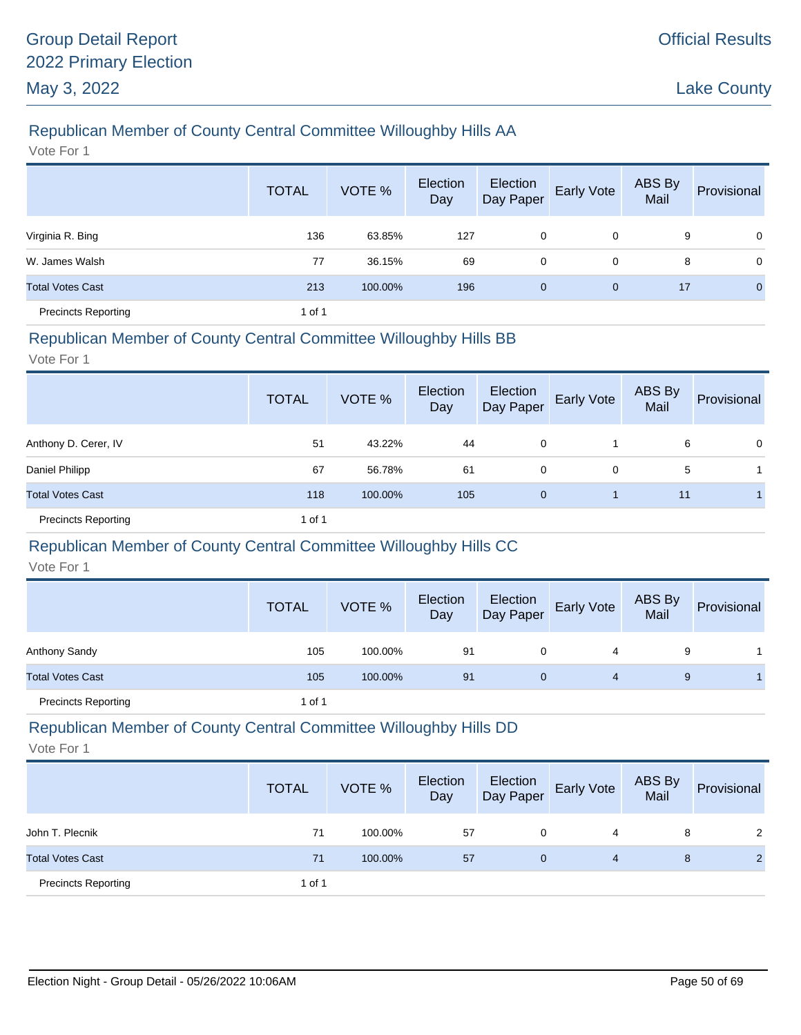# Republican Member of County Central Committee Willoughby Hills AA

Vote For 1

|                            | <b>TOTAL</b> | VOTE %  | Election<br>Day | Election<br>Day Paper | <b>Early Vote</b> | ABS By<br>Mail | Provisional    |
|----------------------------|--------------|---------|-----------------|-----------------------|-------------------|----------------|----------------|
| Virginia R. Bing           | 136          | 63.85%  | 127             | 0                     | 0                 | 9              | $\mathbf 0$    |
| W. James Walsh             | 77           | 36.15%  | 69              | 0                     | 0                 | 8              | $\mathbf 0$    |
| <b>Total Votes Cast</b>    | 213          | 100.00% | 196             | $\mathbf 0$           | $\mathbf{0}$      | 17             | $\overline{0}$ |
| <b>Precincts Reporting</b> | 1 of 1       |         |                 |                       |                   |                |                |

#### Republican Member of County Central Committee Willoughby Hills BB

Vote For 1

|                            | <b>TOTAL</b> | VOTE %  | Election<br>Day | Election<br>Day Paper | Early Vote | ABS By<br>Mail | Provisional    |
|----------------------------|--------------|---------|-----------------|-----------------------|------------|----------------|----------------|
| Anthony D. Cerer, IV       | 51           | 43.22%  | 44              | 0                     |            | 6              | $\overline{0}$ |
| Daniel Philipp             | 67           | 56.78%  | 61              | 0                     | 0          | 5              |                |
| <b>Total Votes Cast</b>    | 118          | 100.00% | 105             | $\mathbf{0}$          |            | 11             |                |
| <b>Precincts Reporting</b> | 1 of 1       |         |                 |                       |            |                |                |

#### Republican Member of County Central Committee Willoughby Hills CC

Vote For 1

|                            | <b>TOTAL</b> | VOTE %  | Election<br>Day | Election<br>Day Paper | <b>Early Vote</b> | ABS By<br>Mail | Provisional |
|----------------------------|--------------|---------|-----------------|-----------------------|-------------------|----------------|-------------|
| Anthony Sandy              | 105          | 100.00% | 91              | 0                     | 4                 | 9              |             |
| <b>Total Votes Cast</b>    | 105          | 100.00% | 91              | $\mathbf{0}$          | 4                 | 9              |             |
| <b>Precincts Reporting</b> | 1 of 1       |         |                 |                       |                   |                |             |

### Republican Member of County Central Committee Willoughby Hills DD

|                            | <b>TOTAL</b> | VOTE %  | Election<br>Day | Election<br>Day Paper | Early Vote | ABS By<br>Mail | Provisional |
|----------------------------|--------------|---------|-----------------|-----------------------|------------|----------------|-------------|
| John T. Plecnik            | 71           | 100.00% | 57              |                       | 4          | 8              | 2           |
| <b>Total Votes Cast</b>    | 71           | 100.00% | 57              | 0                     | 4          | 8              | 2           |
| <b>Precincts Reporting</b> | 1 of 1       |         |                 |                       |            |                |             |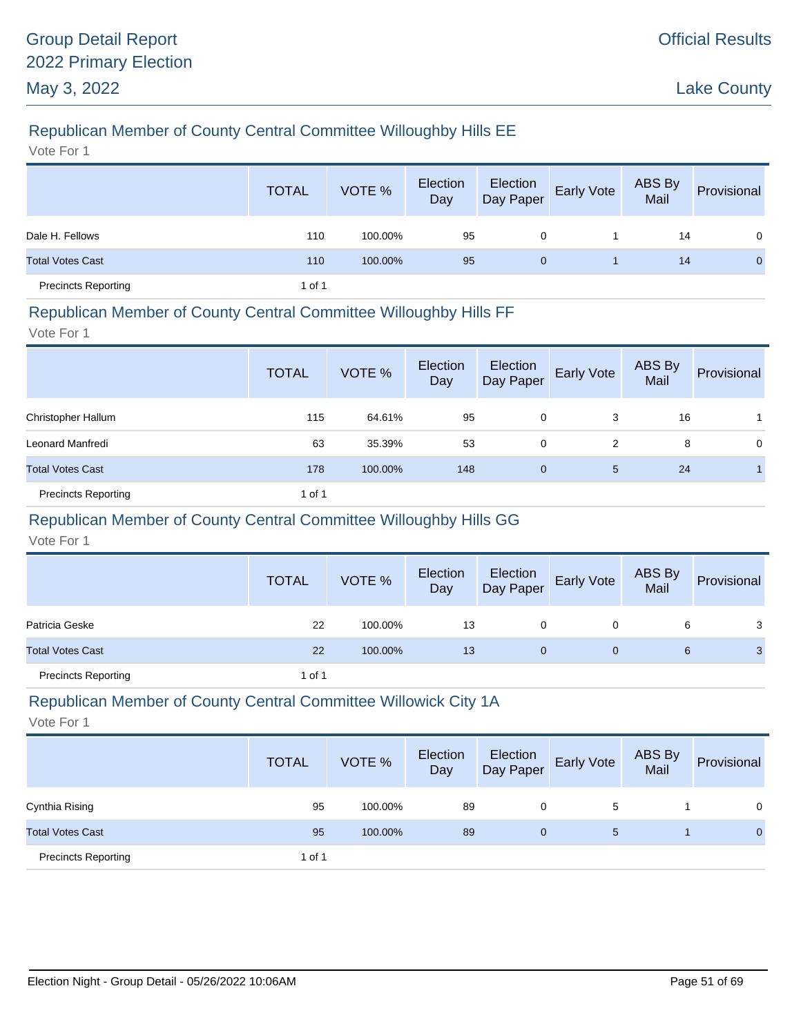# Republican Member of County Central Committee Willoughby Hills EE

Vote For 1

|                            | <b>TOTAL</b> | VOTE %  | Election<br>Day | Election<br>Day Paper | <b>Early Vote</b> | ABS By<br>Mail | Provisional    |
|----------------------------|--------------|---------|-----------------|-----------------------|-------------------|----------------|----------------|
| Dale H. Fellows            | 110          | 100.00% | 95              | 0                     |                   | 14             | $\overline{0}$ |
| <b>Total Votes Cast</b>    | 110          | 100.00% | 95              | 0                     |                   | 14             | $\mathbf{0}$   |
| <b>Precincts Reporting</b> | 1 of 1       |         |                 |                       |                   |                |                |

#### Republican Member of County Central Committee Willoughby Hills FF

Vote For 1

|                            | <b>TOTAL</b> | VOTE %  | Election<br>Day | Election<br>Day Paper | Early Vote | ABS By<br>Mail | Provisional |
|----------------------------|--------------|---------|-----------------|-----------------------|------------|----------------|-------------|
| Christopher Hallum         | 115          | 64.61%  | 95              | 0                     | 3          | 16             |             |
| Leonard Manfredi           | 63           | 35.39%  | 53              | 0                     | 2          | 8              | 0           |
| <b>Total Votes Cast</b>    | 178          | 100.00% | 148             | $\mathbf 0$           | 5          | 24             |             |
| <b>Precincts Reporting</b> | 1 of 1       |         |                 |                       |            |                |             |

# Republican Member of County Central Committee Willoughby Hills GG

Vote For 1

|                            | <b>TOTAL</b> | VOTE %  | Election<br>Day |   | Election<br>Day Paper Early Vote | ABS By<br>Mail | Provisional |
|----------------------------|--------------|---------|-----------------|---|----------------------------------|----------------|-------------|
| Patricia Geske             | 22           | 100.00% | 13              | 0 |                                  | 6              | 3           |
| <b>Total Votes Cast</b>    | 22           | 100.00% | 13              | 0 | 0                                | 6              | 3           |
| <b>Precincts Reporting</b> | 1 of 1       |         |                 |   |                                  |                |             |

# Republican Member of County Central Committee Willowick City 1A

|                            | <b>TOTAL</b> | VOTE %  | Election<br>Day | Election<br>Day Paper | Early Vote | ABS By<br>Mail | Provisional  |
|----------------------------|--------------|---------|-----------------|-----------------------|------------|----------------|--------------|
| Cynthia Rising             | 95           | 100.00% | 89              | 0                     | 5          |                | $\Omega$     |
| <b>Total Votes Cast</b>    | 95           | 100.00% | 89              | 0                     | 5          |                | $\mathbf{0}$ |
| <b>Precincts Reporting</b> | 1 of 1       |         |                 |                       |            |                |              |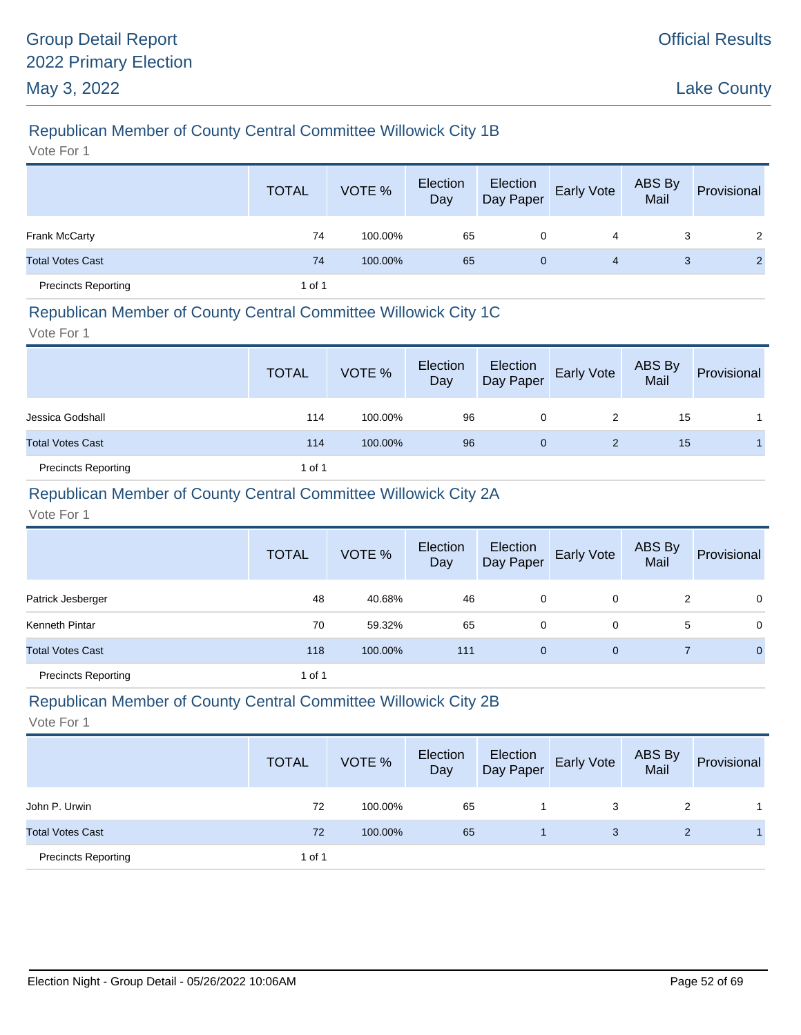# Republican Member of County Central Committee Willowick City 1B

Vote For 1

|                            | <b>TOTAL</b> | VOTE %  | Election<br>Day | Election<br>Day Paper | <b>Early Vote</b> | ABS By<br>Mail | Provisional |
|----------------------------|--------------|---------|-----------------|-----------------------|-------------------|----------------|-------------|
| Frank McCarty              | 74           | 100.00% | 65              | 0                     | 4                 | 3              | 2           |
| <b>Total Votes Cast</b>    | 74           | 100.00% | 65              | 0                     | 4                 | 3              |             |
| <b>Precincts Reporting</b> | 1 of 1       |         |                 |                       |                   |                |             |

### Republican Member of County Central Committee Willowick City 1C

Vote For 1

|                            | <b>TOTAL</b> | VOTE %  | Election<br>Day | Election<br>Day Paper | <b>Early Vote</b> | ABS By<br>Mail | Provisional |
|----------------------------|--------------|---------|-----------------|-----------------------|-------------------|----------------|-------------|
| Jessica Godshall           | 114          | 100.00% | 96              | 0                     | 2                 | 15             |             |
| <b>Total Votes Cast</b>    | 114          | 100.00% | 96              | 0                     | 2                 | 15             |             |
| <b>Precincts Reporting</b> | 1 of 1       |         |                 |                       |                   |                |             |

### Republican Member of County Central Committee Willowick City 2A

Vote For 1

|                            | <b>TOTAL</b> | VOTE %  | Election<br>Day | Election<br>Day Paper | Early Vote   | ABS By<br>Mail | Provisional    |
|----------------------------|--------------|---------|-----------------|-----------------------|--------------|----------------|----------------|
| Patrick Jesberger          | 48           | 40.68%  | 46              | 0                     | 0            | 2              | 0              |
| Kenneth Pintar             | 70           | 59.32%  | 65              | 0                     | 0            | 5              | 0              |
| <b>Total Votes Cast</b>    | 118          | 100.00% | 111             | $\mathbf{0}$          | $\mathbf{0}$ |                | $\overline{0}$ |
| <b>Precincts Reporting</b> | 1 of 1       |         |                 |                       |              |                |                |

# Republican Member of County Central Committee Willowick City 2B

|                            | <b>TOTAL</b> | VOTE %  | Election<br>Day | Election<br>Day Paper | <b>Early Vote</b> | ABS By<br>Mail | Provisional |
|----------------------------|--------------|---------|-----------------|-----------------------|-------------------|----------------|-------------|
| John P. Urwin              | 72           | 100.00% | 65              |                       | 3                 | 2              |             |
| <b>Total Votes Cast</b>    | 72           | 100.00% | 65              |                       | 3                 |                |             |
| <b>Precincts Reporting</b> | 1 of 1       |         |                 |                       |                   |                |             |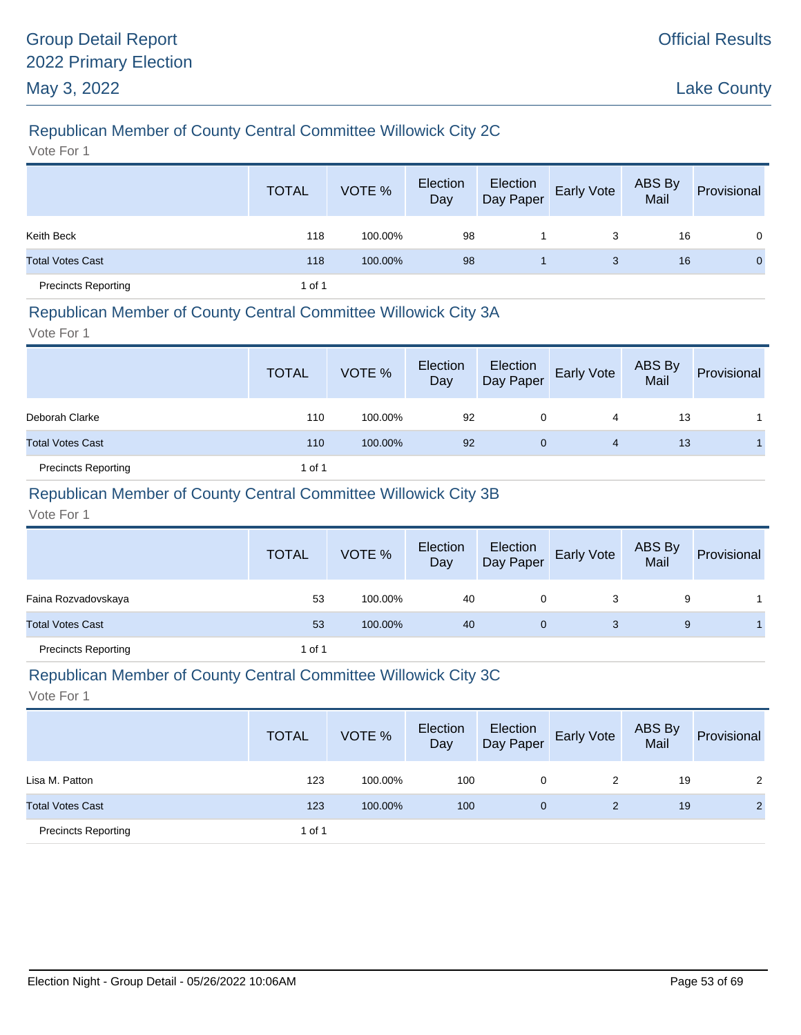# Republican Member of County Central Committee Willowick City 2C

Vote For 1

|                            | <b>TOTAL</b> | VOTE %  | Election<br>Day | Election<br>Day Paper | Early Vote | ABS By<br>Mail | Provisional  |
|----------------------------|--------------|---------|-----------------|-----------------------|------------|----------------|--------------|
| Keith Beck                 | 118          | 100.00% | 98              |                       | 3          | 16             | $\Omega$     |
| <b>Total Votes Cast</b>    | 118          | 100.00% | 98              |                       | 3          | 16             | $\mathbf{0}$ |
| <b>Precincts Reporting</b> | 1 of 1       |         |                 |                       |            |                |              |

### Republican Member of County Central Committee Willowick City 3A

Vote For 1

|                            | <b>TOTAL</b> | VOTE %  | Election<br>Day | Election<br>Day Paper | <b>Early Vote</b> | ABS By<br>Mail | Provisional |
|----------------------------|--------------|---------|-----------------|-----------------------|-------------------|----------------|-------------|
| Deborah Clarke             | 110          | 100.00% | 92              | 0                     | 4                 | 13             |             |
| <b>Total Votes Cast</b>    | 110          | 100.00% | 92              | 0                     | 4                 | 13             |             |
| <b>Precincts Reporting</b> | 1 of 1       |         |                 |                       |                   |                |             |

### Republican Member of County Central Committee Willowick City 3B

Vote For 1

|                            | <b>TOTAL</b> | VOTE %  | Election<br>Day | Election<br>Day Paper | <b>Early Vote</b> | ABS By<br>Mail | Provisional |
|----------------------------|--------------|---------|-----------------|-----------------------|-------------------|----------------|-------------|
| Faina Rozvadovskaya        | 53           | 100.00% | 40              | 0                     | 3                 | 9              |             |
| <b>Total Votes Cast</b>    | 53           | 100.00% | 40              | 0                     | 3                 | 9              |             |
| <b>Precincts Reporting</b> | 1 of 1       |         |                 |                       |                   |                |             |

#### Republican Member of County Central Committee Willowick City 3C

|                            | <b>TOTAL</b> | VOTE %  | Election<br>Day | Election<br>Day Paper | <b>Early Vote</b> | ABS By<br>Mail | Provisional    |
|----------------------------|--------------|---------|-----------------|-----------------------|-------------------|----------------|----------------|
| Lisa M. Patton             | 123          | 100.00% | 100             | 0                     | 2                 | 19             | 2              |
| <b>Total Votes Cast</b>    | 123          | 100.00% | 100             | $\mathbf{0}$          | 2                 | 19             | $\overline{2}$ |
| <b>Precincts Reporting</b> | 1 of 1       |         |                 |                       |                   |                |                |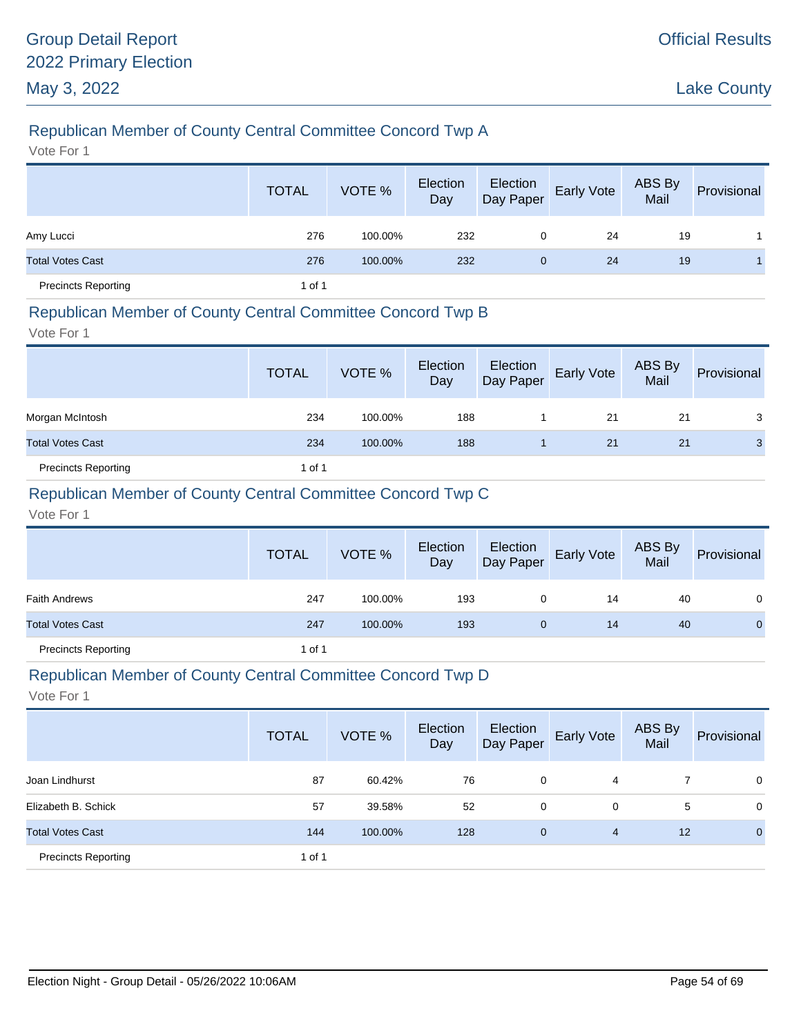# Republican Member of County Central Committee Concord Twp A

Vote For 1

|                            | <b>TOTAL</b> | VOTE %  | Election<br>Day | Election<br>Day Paper | <b>Early Vote</b> | ABS By<br>Mail | Provisional |
|----------------------------|--------------|---------|-----------------|-----------------------|-------------------|----------------|-------------|
| Amy Lucci                  | 276          | 100.00% | 232             | 0                     | 24                | 19             |             |
| <b>Total Votes Cast</b>    | 276          | 100.00% | 232             | 0                     | 24                | 19             |             |
| <b>Precincts Reporting</b> | 1 of 1       |         |                 |                       |                   |                |             |

#### Republican Member of County Central Committee Concord Twp B

Vote For 1

|                            | <b>TOTAL</b> | VOTE %  | Election<br>Day | Election<br>Day Paper | Early Vote | ABS By<br>Mail | Provisional |
|----------------------------|--------------|---------|-----------------|-----------------------|------------|----------------|-------------|
| Morgan McIntosh            | 234          | 100.00% | 188             |                       | 21         | 21             | 3           |
| <b>Total Votes Cast</b>    | 234          | 100.00% | 188             |                       | 21         | 21             | 3           |
| <b>Precincts Reporting</b> | 1 of 1       |         |                 |                       |            |                |             |

### Republican Member of County Central Committee Concord Twp C

Vote For 1

|                            | <b>TOTAL</b> | VOTE %  | Election<br>Day | Election<br>Day Paper | <b>Early Vote</b> | ABS By<br>Mail | Provisional    |
|----------------------------|--------------|---------|-----------------|-----------------------|-------------------|----------------|----------------|
| <b>Faith Andrews</b>       | 247          | 100.00% | 193             | 0                     | 14                | 40             | $\mathbf{0}$   |
| <b>Total Votes Cast</b>    | 247          | 100.00% | 193             | $\mathbf{0}$          | 14                | 40             | $\overline{0}$ |
| <b>Precincts Reporting</b> | 1 of 1       |         |                 |                       |                   |                |                |

#### Republican Member of County Central Committee Concord Twp D

|                            | <b>TOTAL</b> | VOTE %  | Election<br>Day | Election<br>Day Paper | Early Vote | ABS By<br>Mail | Provisional  |
|----------------------------|--------------|---------|-----------------|-----------------------|------------|----------------|--------------|
| Joan Lindhurst             | 87           | 60.42%  | 76              | 0                     | 4          |                | $\mathbf 0$  |
| Elizabeth B. Schick        | 57           | 39.58%  | 52              | 0                     | 0          | 5              | $\mathbf 0$  |
| <b>Total Votes Cast</b>    | 144          | 100.00% | 128             | $\mathbf 0$           | 4          | 12             | $\mathbf{0}$ |
| <b>Precincts Reporting</b> | 1 of 1       |         |                 |                       |            |                |              |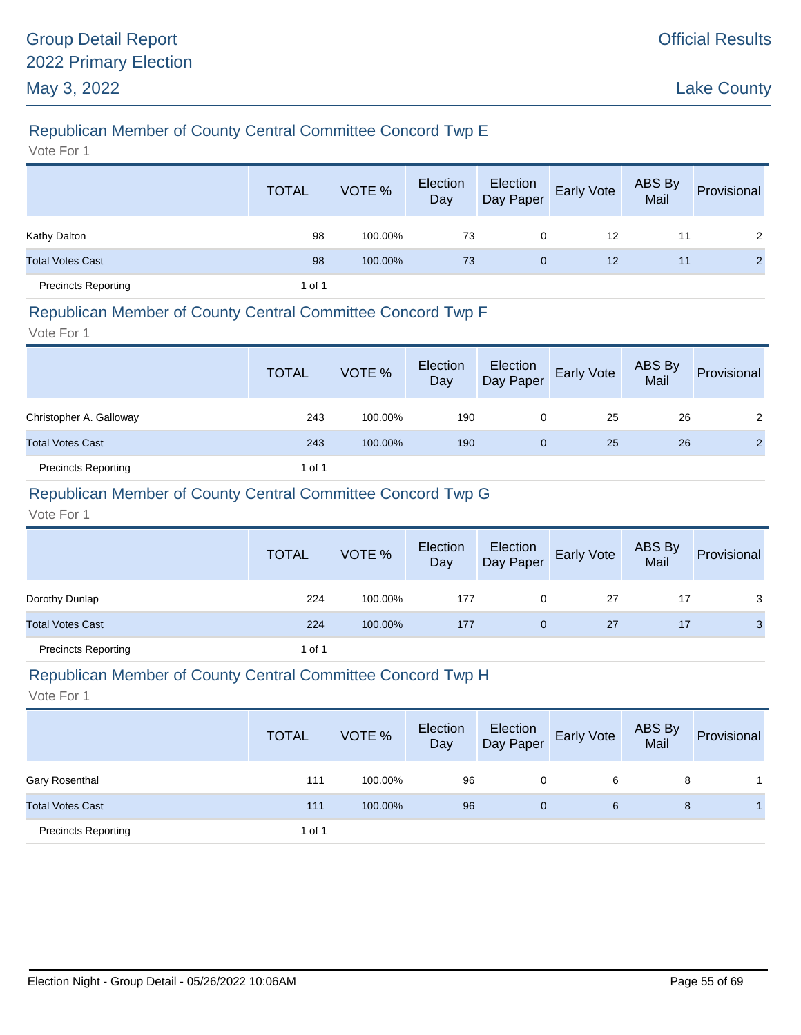# Republican Member of County Central Committee Concord Twp E

Vote For 1

|                            | <b>TOTAL</b> | VOTE %  | Election<br>Day | Election<br>Day Paper | Early Vote | ABS By<br>Mail | Provisional    |
|----------------------------|--------------|---------|-----------------|-----------------------|------------|----------------|----------------|
| Kathy Dalton               | 98           | 100.00% | 73              | 0                     | 12         | 11             | 2              |
| <b>Total Votes Cast</b>    | 98           | 100.00% | 73              | $\mathbf{0}$          | 12         | 11             | $\overline{2}$ |
| <b>Precincts Reporting</b> | 1 of 1       |         |                 |                       |            |                |                |

#### Republican Member of County Central Committee Concord Twp F

Vote For 1

|                            | <b>TOTAL</b> | VOTE %  | Election<br>Day | Election<br>Day Paper | <b>Early Vote</b> | ABS By<br>Mail | Provisional    |
|----------------------------|--------------|---------|-----------------|-----------------------|-------------------|----------------|----------------|
| Christopher A. Galloway    | 243          | 100.00% | 190             | 0                     | 25                | 26             | 2              |
| <b>Total Votes Cast</b>    | 243          | 100.00% | 190             | 0                     | 25                | 26             | $\overline{2}$ |
| <b>Precincts Reporting</b> | 1 of 1       |         |                 |                       |                   |                |                |

### Republican Member of County Central Committee Concord Twp G

Vote For 1

|                            | <b>TOTAL</b> | VOTE %  | Election<br>Day | Election<br>Day Paper | <b>Early Vote</b> | ABS By<br>Mail | Provisional  |
|----------------------------|--------------|---------|-----------------|-----------------------|-------------------|----------------|--------------|
| Dorothy Dunlap             | 224          | 100.00% | 177             | 0                     | 27                | 17             | 3            |
| <b>Total Votes Cast</b>    | 224          | 100.00% | 177             | $\mathbf{0}$          | 27                | 17             | $\mathbf{3}$ |
| <b>Precincts Reporting</b> | 1 of 1       |         |                 |                       |                   |                |              |

#### Republican Member of County Central Committee Concord Twp H

|                            | <b>TOTAL</b> | VOTE %  | Election<br>Day | Election<br>Day Paper | <b>Early Vote</b> | ABS By<br>Mail | Provisional |
|----------------------------|--------------|---------|-----------------|-----------------------|-------------------|----------------|-------------|
| Gary Rosenthal             | 111          | 100.00% | 96              | 0                     | 6                 | 8              |             |
| <b>Total Votes Cast</b>    | 111          | 100.00% | 96              | 0                     | 6                 | 8              |             |
| <b>Precincts Reporting</b> | 1 of 1       |         |                 |                       |                   |                |             |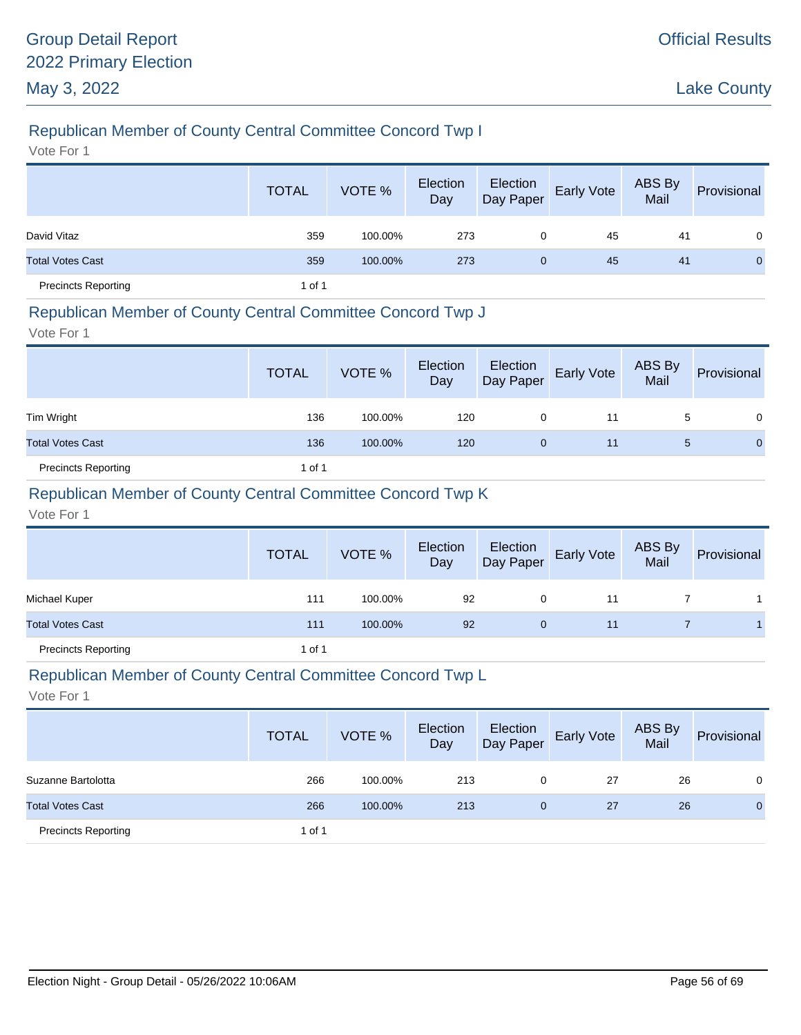# Republican Member of County Central Committee Concord Twp I

Vote For 1

|                            | <b>TOTAL</b> | VOTE %  | Election<br>Day | Election<br>Day Paper | Early Vote | ABS By<br>Mail | Provisional |
|----------------------------|--------------|---------|-----------------|-----------------------|------------|----------------|-------------|
| David Vitaz                | 359          | 100.00% | 273             | 0                     | 45         | 41             | $\Omega$    |
| <b>Total Votes Cast</b>    | 359          | 100.00% | 273             | $\mathbf{0}$          | 45         | 41             | $\Omega$    |
| <b>Precincts Reporting</b> | 1 of 1       |         |                 |                       |            |                |             |

#### Republican Member of County Central Committee Concord Twp J

Vote For 1

|                            | <b>TOTAL</b> | VOTE %  | Election<br>Day | Election<br>Day Paper | <b>Early Vote</b> | ABS By<br>Mail | Provisional |
|----------------------------|--------------|---------|-----------------|-----------------------|-------------------|----------------|-------------|
| Tim Wright                 | 136          | 100.00% | 120             | 0                     | 11                | 5              | 0           |
| <b>Total Votes Cast</b>    | 136          | 100.00% | 120             | 0                     | 11                | 5              | $\Omega$    |
| <b>Precincts Reporting</b> | 1 of 1       |         |                 |                       |                   |                |             |

### Republican Member of County Central Committee Concord Twp K

Vote For 1

|                            | <b>TOTAL</b> | VOTE %  | Election<br>Day | Election<br>Day Paper | <b>Early Vote</b> | ABS By<br>Mail | Provisional |
|----------------------------|--------------|---------|-----------------|-----------------------|-------------------|----------------|-------------|
| Michael Kuper              | 111          | 100.00% | 92              | 0                     | 11                |                |             |
| <b>Total Votes Cast</b>    | 111          | 100.00% | 92              | $\mathbf{0}$          | 11                |                |             |
| <b>Precincts Reporting</b> | 1 of 1       |         |                 |                       |                   |                |             |

#### Republican Member of County Central Committee Concord Twp L

|                            | <b>TOTAL</b> | VOTE %  | Election<br>Day | Election<br>Day Paper | <b>Early Vote</b> | <b>ABS By</b><br>Mail | Provisional  |
|----------------------------|--------------|---------|-----------------|-----------------------|-------------------|-----------------------|--------------|
| Suzanne Bartolotta         | 266          | 100.00% | 213             | 0                     | 27                | 26                    | 0            |
| <b>Total Votes Cast</b>    | 266          | 100.00% | 213             | $\mathbf{0}$          | 27                | 26                    | $\mathbf{0}$ |
| <b>Precincts Reporting</b> | 1 of 1       |         |                 |                       |                   |                       |              |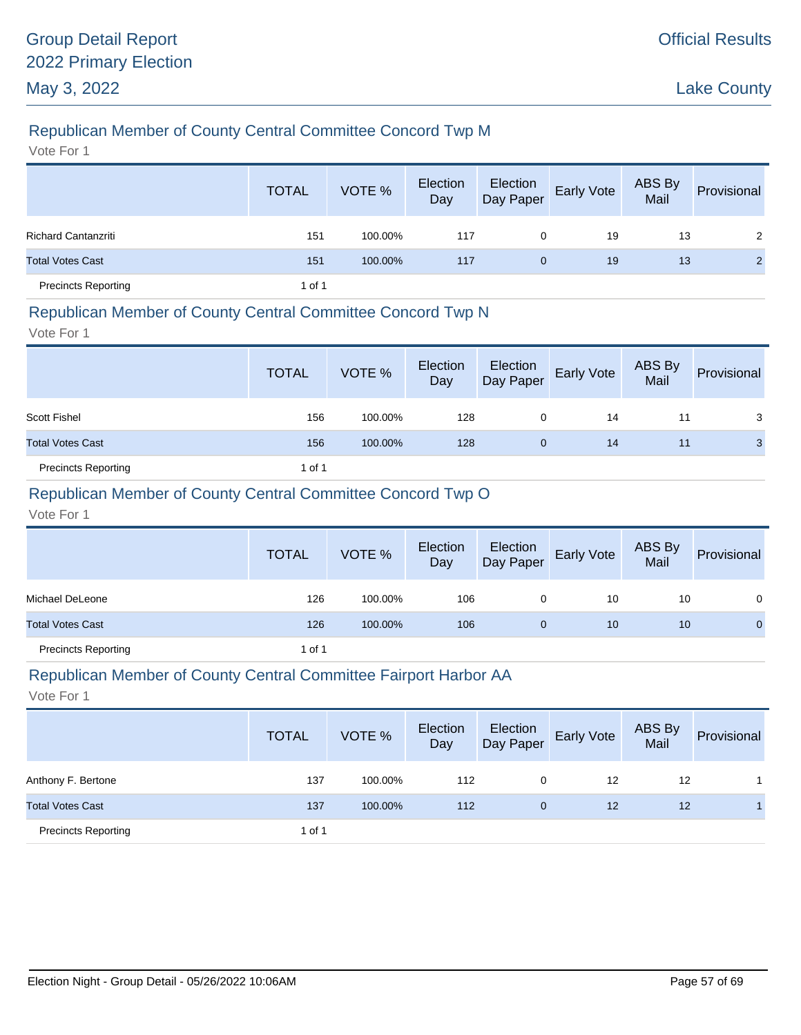# Republican Member of County Central Committee Concord Twp M

Vote For 1

|                            | <b>TOTAL</b> | VOTE %  | Election<br>Day | Election<br>Day Paper | Early Vote | ABS By<br>Mail | Provisional |
|----------------------------|--------------|---------|-----------------|-----------------------|------------|----------------|-------------|
| <b>Richard Cantanzriti</b> | 151          | 100.00% | 117             | 0                     | 19         | 13             | 2           |
| <b>Total Votes Cast</b>    | 151          | 100.00% | 117             | $\mathbf{0}$          | 19         | 13             | 2           |
| <b>Precincts Reporting</b> | 1 of 1       |         |                 |                       |            |                |             |

#### Republican Member of County Central Committee Concord Twp N

Vote For 1

|                            | <b>TOTAL</b> | VOTE %  | Election<br>Day | Election<br>Day Paper | <b>Early Vote</b> | ABS By<br>Mail | Provisional |
|----------------------------|--------------|---------|-----------------|-----------------------|-------------------|----------------|-------------|
| <b>Scott Fishel</b>        | 156          | 100.00% | 128             | 0                     | 14                | 11             | 3           |
| <b>Total Votes Cast</b>    | 156          | 100.00% | 128             | 0                     | 14                | 11             | 3           |
| <b>Precincts Reporting</b> | 1 of 1       |         |                 |                       |                   |                |             |

### Republican Member of County Central Committee Concord Twp O

Vote For 1

|                            | <b>TOTAL</b> | VOTE %  | Election<br>Day | Election<br>Day Paper | <b>Early Vote</b> | ABS By<br>Mail | Provisional  |
|----------------------------|--------------|---------|-----------------|-----------------------|-------------------|----------------|--------------|
| Michael DeLeone            | 126          | 100.00% | 106             |                       | 10                | 10             | 0            |
| <b>Total Votes Cast</b>    | 126          | 100.00% | 106             | $\mathbf 0$           | 10                | 10             | $\mathbf{0}$ |
| <b>Precincts Reporting</b> | 1 of 1       |         |                 |                       |                   |                |              |

#### Republican Member of County Central Committee Fairport Harbor AA

|                            | <b>TOTAL</b> | VOTE %  | Election<br>Day | Election<br>Day Paper | <b>Early Vote</b> | ABS By<br>Mail | Provisional |
|----------------------------|--------------|---------|-----------------|-----------------------|-------------------|----------------|-------------|
| Anthony F. Bertone         | 137          | 100.00% | 112             | 0                     | 12                | 12             |             |
| <b>Total Votes Cast</b>    | 137          | 100.00% | 112             | $\mathbf{0}$          | 12                | 12             |             |
| <b>Precincts Reporting</b> | 1 of 1       |         |                 |                       |                   |                |             |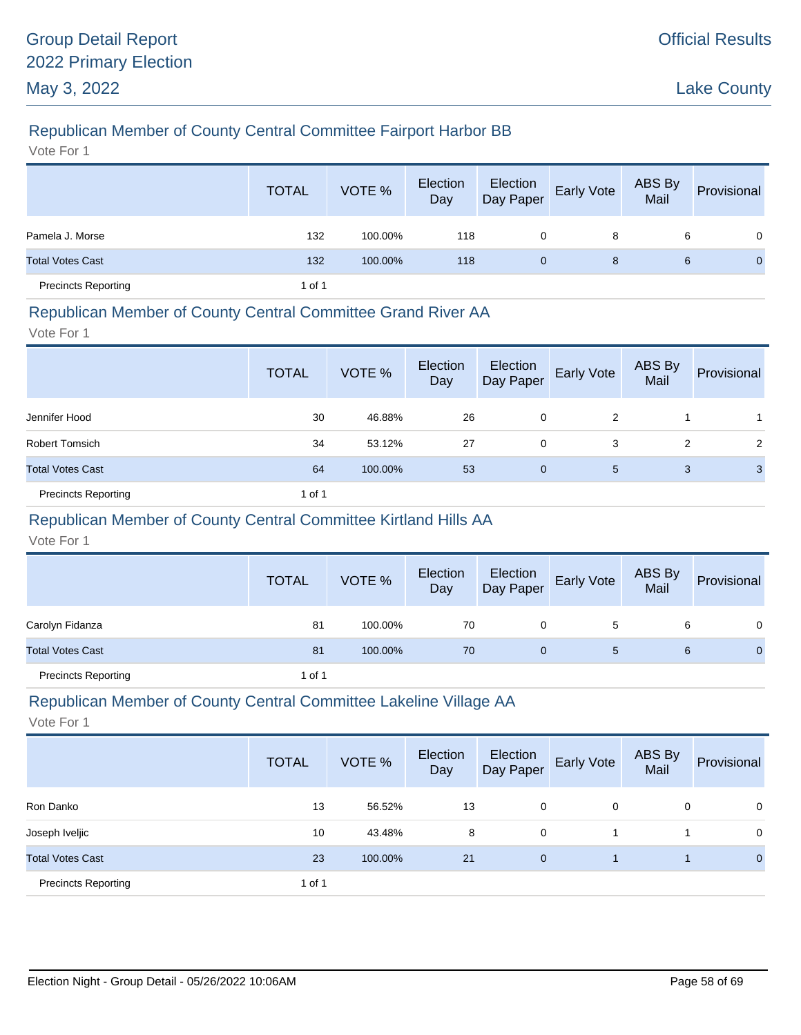# Republican Member of County Central Committee Fairport Harbor BB

Vote For 1

|                            | <b>TOTAL</b> | VOTE %  | Election<br>Day | Election<br>Day Paper | <b>Early Vote</b> | ABS By<br>Mail | Provisional    |
|----------------------------|--------------|---------|-----------------|-----------------------|-------------------|----------------|----------------|
| Pamela J. Morse            | 132          | 100.00% | 118             | 0                     | 8                 | 6              | $\overline{0}$ |
| <b>Total Votes Cast</b>    | 132          | 100.00% | 118             | $\mathbf{0}$          | 8                 | 6              | $\mathbf{0}$   |
| <b>Precincts Reporting</b> | 1 of 1       |         |                 |                       |                   |                |                |

### Republican Member of County Central Committee Grand River AA

Vote For 1

|                            | <b>TOTAL</b> | VOTE %  | Election<br>Day | Election<br>Day Paper | Early Vote | ABS By<br>Mail | Provisional    |
|----------------------------|--------------|---------|-----------------|-----------------------|------------|----------------|----------------|
| Jennifer Hood              | 30           | 46.88%  | 26              | 0                     | 2          |                |                |
| <b>Robert Tomsich</b>      | 34           | 53.12%  | 27              | 0                     | 3          | 2              | $\overline{2}$ |
| <b>Total Votes Cast</b>    | 64           | 100.00% | 53              | $\mathbf 0$           | 5          | 3              | 3              |
| <b>Precincts Reporting</b> | 1 of 1       |         |                 |                       |            |                |                |

# Republican Member of County Central Committee Kirtland Hills AA

Vote For 1

|                            | <b>TOTAL</b> | VOTE %  | Election<br>Day |   | Election<br>Day Paper Early Vote | ABS By<br>Mail | Provisional  |
|----------------------------|--------------|---------|-----------------|---|----------------------------------|----------------|--------------|
| Carolyn Fidanza            | 81           | 100.00% | 70              | 0 | 5                                | 6              | 0            |
| <b>Total Votes Cast</b>    | 81           | 100.00% | 70              | 0 | 5                                | 6              | $\mathbf{0}$ |
| <b>Precincts Reporting</b> | 1 of 1       |         |                 |   |                                  |                |              |

#### Republican Member of County Central Committee Lakeline Village AA

|                            | <b>TOTAL</b> | VOTE %  | Election<br>Day | Election<br>Day Paper | Early Vote | ABS By<br>Mail | Provisional    |
|----------------------------|--------------|---------|-----------------|-----------------------|------------|----------------|----------------|
| Ron Danko                  | 13           | 56.52%  | 13              | 0                     | 0          | 0              | $\mathbf{0}$   |
| Joseph Iveljic             | 10           | 43.48%  | 8               | 0                     |            |                | $\mathbf 0$    |
| <b>Total Votes Cast</b>    | 23           | 100.00% | 21              | $\mathbf{0}$          |            |                | $\overline{0}$ |
| <b>Precincts Reporting</b> | 1 of 1       |         |                 |                       |            |                |                |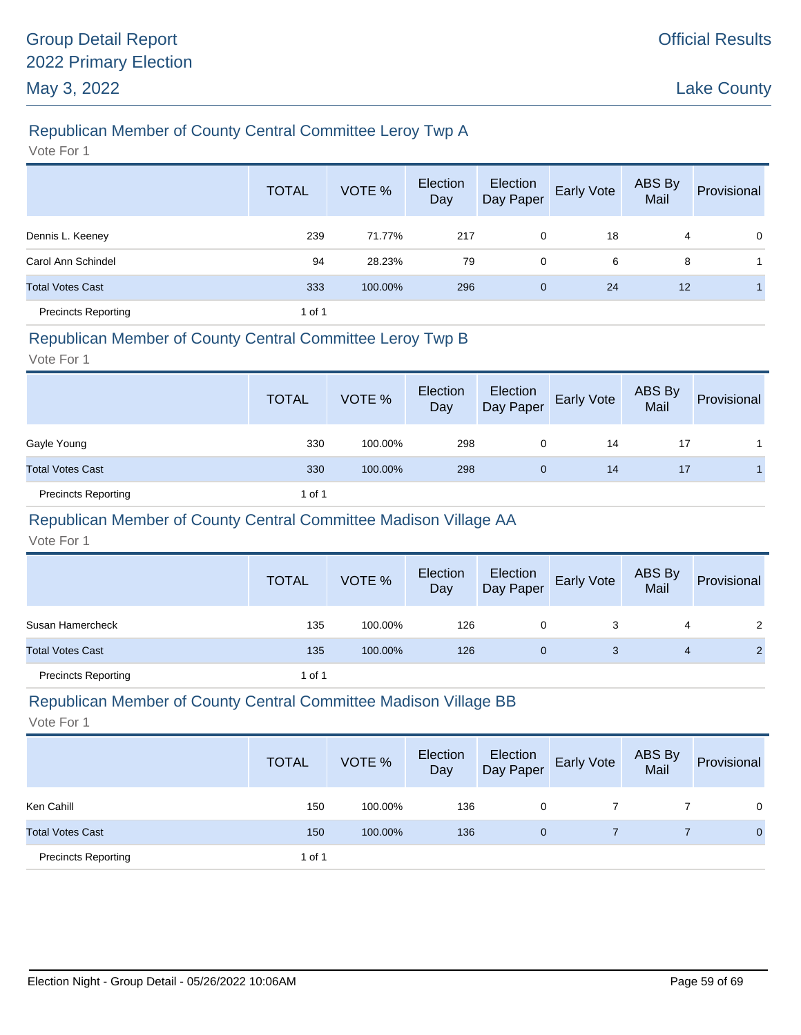# Republican Member of County Central Committee Leroy Twp A

Vote For 1

|                            | <b>TOTAL</b> | VOTE %  | Election<br>Day | Election<br>Day Paper | Early Vote | ABS By<br>Mail | Provisional |
|----------------------------|--------------|---------|-----------------|-----------------------|------------|----------------|-------------|
| Dennis L. Keeney           | 239          | 71.77%  | 217             | 0                     | 18         | 4              | $\mathbf 0$ |
| Carol Ann Schindel         | 94           | 28.23%  | 79              | 0                     | 6          | 8              |             |
| <b>Total Votes Cast</b>    | 333          | 100.00% | 296             | $\mathbf{0}$          | 24         | 12             |             |
| <b>Precincts Reporting</b> | 1 of 1       |         |                 |                       |            |                |             |

### Republican Member of County Central Committee Leroy Twp B

Vote For 1

|                            | <b>TOTAL</b> | VOTE %  | Election<br>Day | Election<br>Day Paper | <b>Early Vote</b> | <b>ABS By</b><br>Mail | Provisional |
|----------------------------|--------------|---------|-----------------|-----------------------|-------------------|-----------------------|-------------|
| Gayle Young                | 330          | 100.00% | 298             | 0                     | 14                | 17                    |             |
| <b>Total Votes Cast</b>    | 330          | 100.00% | 298             | $\mathbf{0}$          | 14                | 17                    |             |
| <b>Precincts Reporting</b> | 1 of 1       |         |                 |                       |                   |                       |             |

# Republican Member of County Central Committee Madison Village AA

Vote For 1

|                            | <b>TOTAL</b> | VOTE %  | Election<br>Day | Election<br>Day Paper | <b>Early Vote</b> | ABS By<br>Mail | Provisional |
|----------------------------|--------------|---------|-----------------|-----------------------|-------------------|----------------|-------------|
| Susan Hamercheck           | 135          | 100.00% | 126             | 0                     | 3                 | 4              | 2           |
| <b>Total Votes Cast</b>    | 135          | 100.00% | 126             | 0                     | 3                 | 4              |             |
| <b>Precincts Reporting</b> | 1 of 1       |         |                 |                       |                   |                |             |

#### Republican Member of County Central Committee Madison Village BB

|                            | <b>TOTAL</b> | VOTE %  | Election<br>Day | Election<br>Day Paper | <b>Early Vote</b> | ABS By<br>Mail | Provisional  |
|----------------------------|--------------|---------|-----------------|-----------------------|-------------------|----------------|--------------|
| Ken Cahill                 | 150          | 100.00% | 136             | 0                     |                   |                | $\Omega$     |
| <b>Total Votes Cast</b>    | 150          | 100.00% | 136             | 0                     |                   |                | $\mathbf{0}$ |
| <b>Precincts Reporting</b> | 1 of 1       |         |                 |                       |                   |                |              |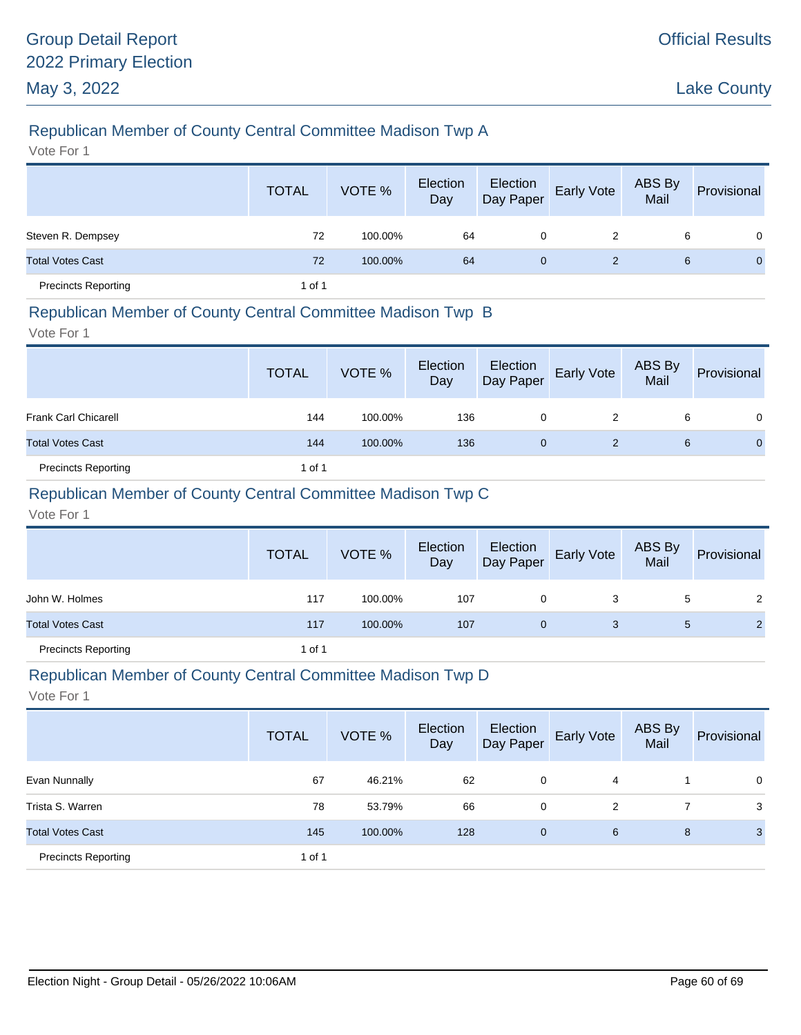# Republican Member of County Central Committee Madison Twp A

Vote For 1

|                            | <b>TOTAL</b> | VOTE %  | Election<br>Day | Election<br>Day Paper | Early Vote | ABS By<br>Mail | Provisional    |
|----------------------------|--------------|---------|-----------------|-----------------------|------------|----------------|----------------|
| Steven R. Dempsey          | 72           | 100.00% | 64              | 0                     | 2          | 6              | $\mathbf{0}$   |
| <b>Total Votes Cast</b>    | 72           | 100.00% | 64              | $\overline{0}$        | 2          | 6              | $\overline{0}$ |
| <b>Precincts Reporting</b> | 1 of 1       |         |                 |                       |            |                |                |

#### Republican Member of County Central Committee Madison Twp B

Vote For 1

|                             | <b>TOTAL</b> | VOTE %  | Election<br>Day | Election<br>Day Paper | Early Vote | ABS By<br>Mail | Provisional |
|-----------------------------|--------------|---------|-----------------|-----------------------|------------|----------------|-------------|
| <b>Frank Carl Chicarell</b> | 144          | 100.00% | 136             | 0                     | 2          | 6              | $\Omega$    |
| <b>Total Votes Cast</b>     | 144          | 100.00% | 136             | 0                     |            | 6              | $\Omega$    |
| <b>Precincts Reporting</b>  | 1 of 1       |         |                 |                       |            |                |             |

### Republican Member of County Central Committee Madison Twp C

Vote For 1

|                            | <b>TOTAL</b> | VOTE %  | Election<br>Day | Election<br>Day Paper | Early Vote | ABS By<br>Mail | Provisional    |
|----------------------------|--------------|---------|-----------------|-----------------------|------------|----------------|----------------|
| John W. Holmes             | 117          | 100.00% | 107             | 0                     | 3          | 5              | $\mathbf{2}$   |
| <b>Total Votes Cast</b>    | 117          | 100.00% | 107             | 0                     | 3          | $\mathbf{5}$   | $\overline{2}$ |
| <b>Precincts Reporting</b> | 1 of 1       |         |                 |                       |            |                |                |

#### Republican Member of County Central Committee Madison Twp D

|                            | <b>TOTAL</b> | VOTE %  | Election<br>Day | Election<br>Day Paper | Early Vote | ABS By<br>Mail | Provisional |
|----------------------------|--------------|---------|-----------------|-----------------------|------------|----------------|-------------|
| Evan Nunnally              | 67           | 46.21%  | 62              | 0                     | 4          |                | $\mathbf 0$ |
| Trista S. Warren           | 78           | 53.79%  | 66              | 0                     | 2          |                | 3           |
| <b>Total Votes Cast</b>    | 145          | 100.00% | 128             | $\mathbf 0$           | 6          | 8              | 3           |
| <b>Precincts Reporting</b> | 1 of 1       |         |                 |                       |            |                |             |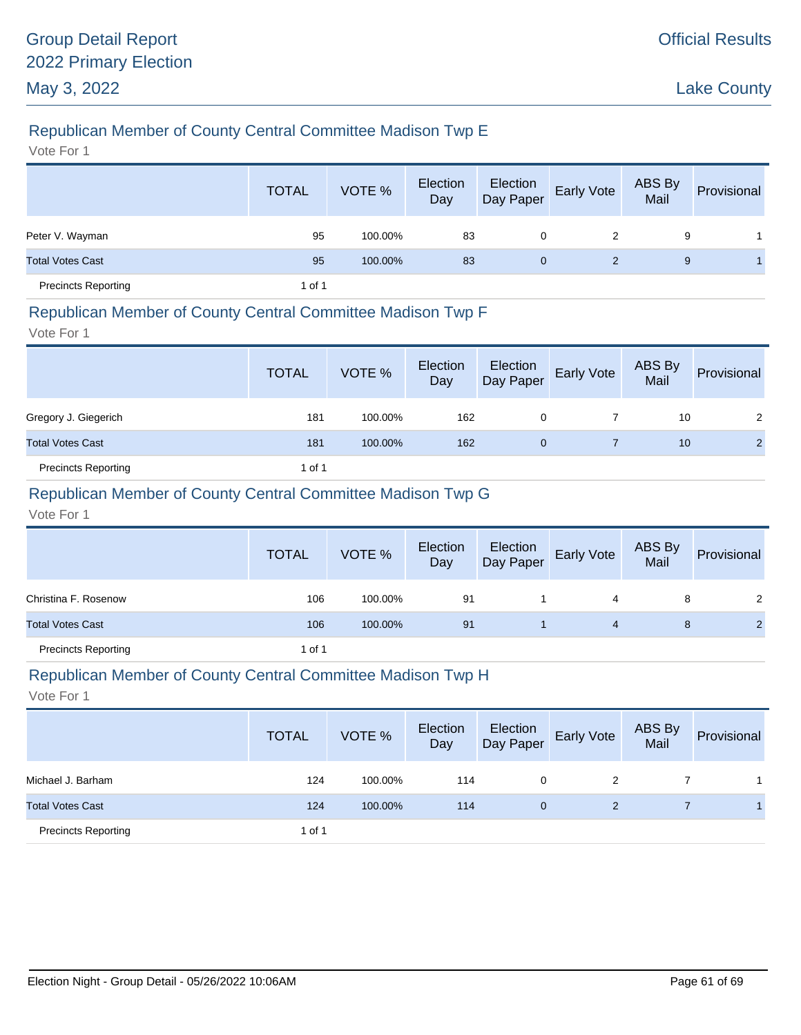# Republican Member of County Central Committee Madison Twp E

Vote For 1

|                            | <b>TOTAL</b> | VOTE %  | Election<br>Day | Election<br>Day Paper | Early Vote | ABS By<br>Mail | Provisional |
|----------------------------|--------------|---------|-----------------|-----------------------|------------|----------------|-------------|
| Peter V. Wayman            | 95           | 100.00% | 83              | 0                     | 2          | 9              |             |
| <b>Total Votes Cast</b>    | 95           | 100.00% | 83              | $\mathbf{0}$          | 2          | 9              |             |
| <b>Precincts Reporting</b> | 1 of 1       |         |                 |                       |            |                |             |

#### Republican Member of County Central Committee Madison Twp F

Vote For 1

|                            | <b>TOTAL</b> | VOTE %  | Election<br>Day | Election<br>Day Paper | Early Vote | ABS By<br>Mail | Provisional    |
|----------------------------|--------------|---------|-----------------|-----------------------|------------|----------------|----------------|
| Gregory J. Giegerich       | 181          | 100.00% | 162             | 0                     |            | 10             | 2              |
| <b>Total Votes Cast</b>    | 181          | 100.00% | 162             | 0                     |            | 10             | $\overline{2}$ |
| <b>Precincts Reporting</b> | 1 of 1       |         |                 |                       |            |                |                |

### Republican Member of County Central Committee Madison Twp G

Vote For 1

|                            | <b>TOTAL</b> | VOTE %  | Election<br>Day | Election<br>Day Paper | <b>Early Vote</b> | ABS By<br>Mail | Provisional    |
|----------------------------|--------------|---------|-----------------|-----------------------|-------------------|----------------|----------------|
| Christina F. Rosenow       | 106          | 100.00% | 91              |                       | 4                 | 8              | 2              |
| <b>Total Votes Cast</b>    | 106          | 100.00% | 91              |                       | 4                 | 8              | $\overline{2}$ |
| <b>Precincts Reporting</b> | 1 of 1       |         |                 |                       |                   |                |                |

#### Republican Member of County Central Committee Madison Twp H

|                            | <b>TOTAL</b> | VOTE %  | Election<br>Day | Election<br>Day Paper | <b>Early Vote</b> | ABS By<br>Mail | Provisional |
|----------------------------|--------------|---------|-----------------|-----------------------|-------------------|----------------|-------------|
| Michael J. Barham          | 124          | 100.00% | 114             | 0                     | 2                 |                |             |
| <b>Total Votes Cast</b>    | 124          | 100.00% | 114             | $\mathbf{0}$          | 2                 |                |             |
| <b>Precincts Reporting</b> | 1 of 1       |         |                 |                       |                   |                |             |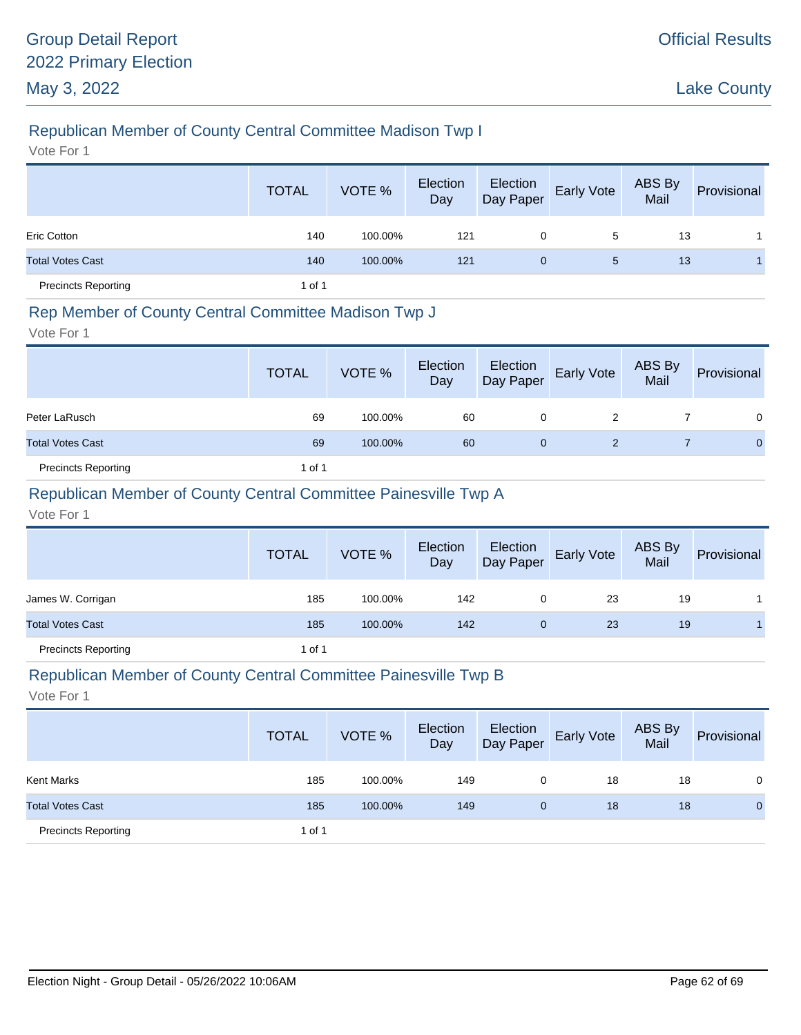# Republican Member of County Central Committee Madison Twp I

Vote For 1

|                            | <b>TOTAL</b> | VOTE %  | Election<br>Day | Election<br>Day Paper | Early Vote | ABS By<br>Mail | Provisional |
|----------------------------|--------------|---------|-----------------|-----------------------|------------|----------------|-------------|
| <b>Eric Cotton</b>         | 140          | 100.00% | 121             | 0                     | 5          | 13             |             |
| <b>Total Votes Cast</b>    | 140          | 100.00% | 121             | $\mathbf{0}$          | 5          | 13             |             |
| <b>Precincts Reporting</b> | 1 of 1       |         |                 |                       |            |                |             |

### Rep Member of County Central Committee Madison Twp J

Vote For 1

|                            | <b>TOTAL</b> | VOTE %  | Election<br>Day | Election<br>Day Paper | Early Vote | ABS By<br>Mail | Provisional  |
|----------------------------|--------------|---------|-----------------|-----------------------|------------|----------------|--------------|
| Peter LaRusch              | 69           | 100.00% | 60              | 0                     | 2          |                | 0            |
| <b>Total Votes Cast</b>    | 69           | 100.00% | 60              | 0                     | 2          |                | $\mathbf{0}$ |
| <b>Precincts Reporting</b> | 1 of 1       |         |                 |                       |            |                |              |

### Republican Member of County Central Committee Painesville Twp A

Vote For 1

|                            | <b>TOTAL</b> | VOTE %  | Election<br>Day | Election<br>Day Paper | <b>Early Vote</b> | ABS By<br>Mail | Provisional |
|----------------------------|--------------|---------|-----------------|-----------------------|-------------------|----------------|-------------|
| James W. Corrigan          | 185          | 100.00% | 142             | 0                     | 23                | 19             |             |
| <b>Total Votes Cast</b>    | 185          | 100.00% | 142             | $\mathbf{0}$          | 23                | 19             |             |
| <b>Precincts Reporting</b> | 1 of 1       |         |                 |                       |                   |                |             |

#### Republican Member of County Central Committee Painesville Twp B

|                            | <b>TOTAL</b> | VOTE %  | Election<br>Day | Election<br>Day Paper | <b>Early Vote</b> | <b>ABS By</b><br>Mail | Provisional  |
|----------------------------|--------------|---------|-----------------|-----------------------|-------------------|-----------------------|--------------|
| Kent Marks                 | 185          | 100.00% | 149             | 0                     | 18                | 18                    | 0            |
| <b>Total Votes Cast</b>    | 185          | 100.00% | 149             | $\mathbf{0}$          | 18                | 18                    | $\mathbf{0}$ |
| <b>Precincts Reporting</b> | 1 of 1       |         |                 |                       |                   |                       |              |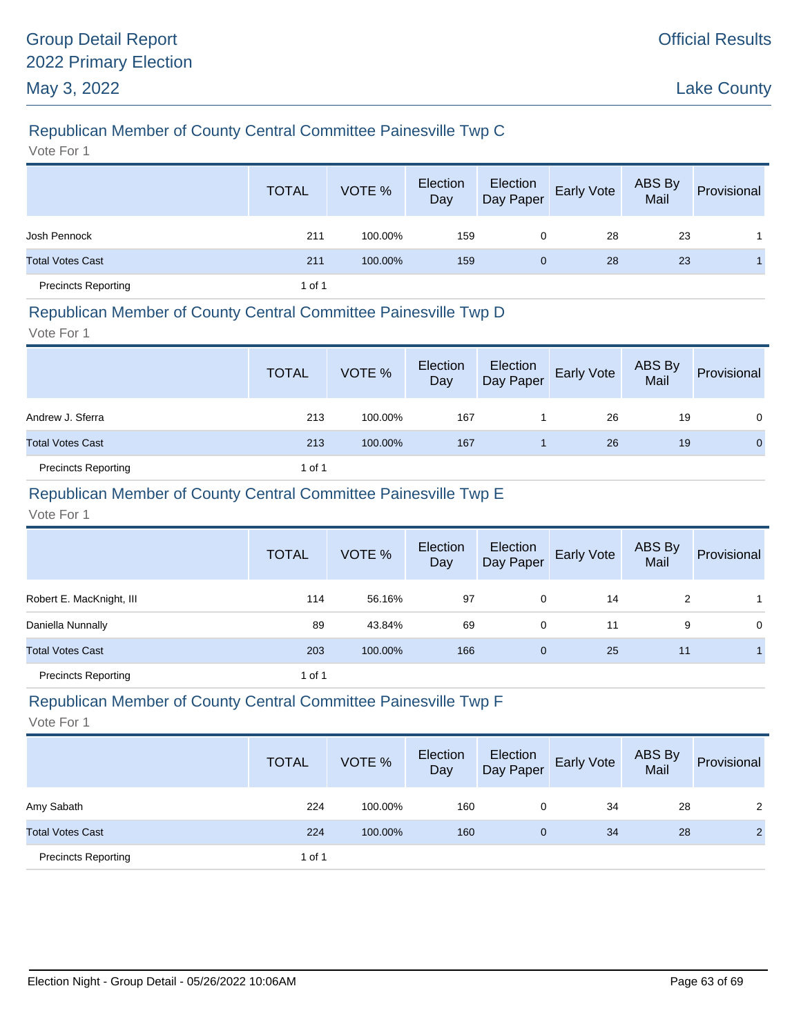# Republican Member of County Central Committee Painesville Twp C

Vote For 1

|                            | <b>TOTAL</b> | VOTE %  | Election<br>Day | Election<br>Day Paper | Early Vote | ABS By<br>Mail | Provisional |
|----------------------------|--------------|---------|-----------------|-----------------------|------------|----------------|-------------|
| Josh Pennock               | 211          | 100.00% | 159             | 0                     | 28         | 23             |             |
| <b>Total Votes Cast</b>    | 211          | 100.00% | 159             | $\mathbf{0}$          | 28         | 23             |             |
| <b>Precincts Reporting</b> | 1 of 1       |         |                 |                       |            |                |             |

#### Republican Member of County Central Committee Painesville Twp D

Vote For 1

|                            | <b>TOTAL</b> | VOTE %  | Election<br>Day | Election<br>Day Paper | Early Vote | ABS By<br>Mail | Provisional  |
|----------------------------|--------------|---------|-----------------|-----------------------|------------|----------------|--------------|
| Andrew J. Sferra           | 213          | 100.00% | 167             |                       | 26         | 19             | $\Omega$     |
| <b>Total Votes Cast</b>    | 213          | 100.00% | 167             |                       | 26         | 19             | $\mathbf{0}$ |
| <b>Precincts Reporting</b> | 1 of 1       |         |                 |                       |            |                |              |

### Republican Member of County Central Committee Painesville Twp E

Vote For 1

|                            | <b>TOTAL</b> | VOTE %  | Election<br>Day | Election<br>Day Paper | Early Vote | ABS By<br>Mail | Provisional |
|----------------------------|--------------|---------|-----------------|-----------------------|------------|----------------|-------------|
| Robert E. MacKnight, III   | 114          | 56.16%  | 97              | 0                     | 14         | 2              |             |
| Daniella Nunnally          | 89           | 43.84%  | 69              | 0                     | 11         | 9              | 0           |
| <b>Total Votes Cast</b>    | 203          | 100.00% | 166             | $\mathbf{0}$          | 25         | 11             |             |
| <b>Precincts Reporting</b> | 1 of 1       |         |                 |                       |            |                |             |

# Republican Member of County Central Committee Painesville Twp F

|                            | <b>TOTAL</b> | VOTE %  | Election<br>Day | Election<br>Day Paper | <b>Early Vote</b> | ABS By<br>Mail | Provisional    |
|----------------------------|--------------|---------|-----------------|-----------------------|-------------------|----------------|----------------|
| Amy Sabath                 | 224          | 100.00% | 160             | 0                     | 34                | 28             | 2              |
| <b>Total Votes Cast</b>    | 224          | 100.00% | 160             | 0                     | 34                | 28             | $\overline{2}$ |
| <b>Precincts Reporting</b> | 1 of 1       |         |                 |                       |                   |                |                |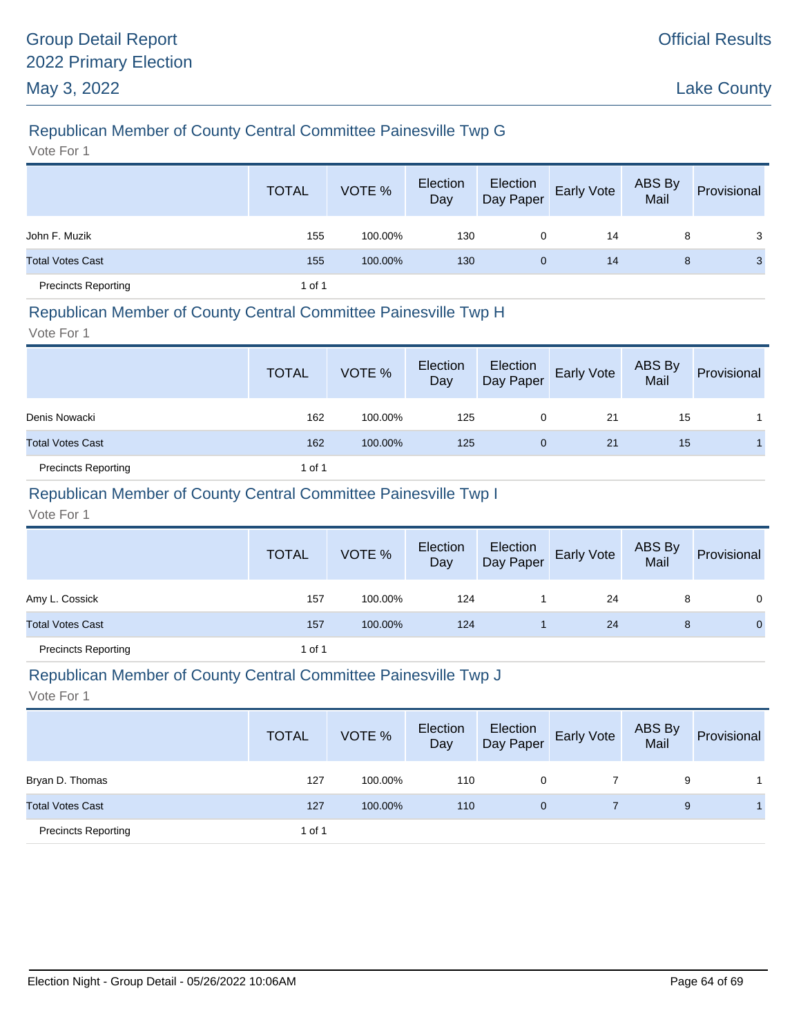# Republican Member of County Central Committee Painesville Twp G

Vote For 1

|                            | <b>TOTAL</b> | VOTE %  | Election<br>Day | Election<br>Day Paper | Early Vote | ABS By<br>Mail | Provisional |
|----------------------------|--------------|---------|-----------------|-----------------------|------------|----------------|-------------|
| John F. Muzik              | 155          | 100.00% | 130             | 0                     | 14         | 8              | 3           |
| <b>Total Votes Cast</b>    | 155          | 100.00% | 130             | 0                     | 14         | 8              | 3           |
| <b>Precincts Reporting</b> | 1 of 1       |         |                 |                       |            |                |             |

#### Republican Member of County Central Committee Painesville Twp H

Vote For 1

|                            | <b>TOTAL</b> | VOTE %  | Election<br>Day | Election<br>Day Paper | Early Vote | ABS By<br>Mail | Provisional |
|----------------------------|--------------|---------|-----------------|-----------------------|------------|----------------|-------------|
| Denis Nowacki              | 162          | 100.00% | 125             | 0                     | -21        | 15             |             |
| <b>Total Votes Cast</b>    | 162          | 100.00% | 125             | 0                     | 21         | 15             |             |
| <b>Precincts Reporting</b> | 1 of 1       |         |                 |                       |            |                |             |

### Republican Member of County Central Committee Painesville Twp I

Vote For 1

|                            | <b>TOTAL</b> | VOTE %  | Election<br>Day | Election<br>Day Paper | <b>Early Vote</b> | ABS By<br>Mail | Provisional    |
|----------------------------|--------------|---------|-----------------|-----------------------|-------------------|----------------|----------------|
| Amy L. Cossick             | 157          | 100.00% | 124             |                       | 24                | 8              | $\mathbf{0}$   |
| <b>Total Votes Cast</b>    | 157          | 100.00% | 124             |                       | 24                | 8              | $\overline{0}$ |
| <b>Precincts Reporting</b> | 1 of 1       |         |                 |                       |                   |                |                |

#### Republican Member of County Central Committee Painesville Twp J

|                            | <b>TOTAL</b> | VOTE %  | Election<br>Day | Election<br>Day Paper | <b>Early Vote</b> | ABS By<br>Mail | Provisional |
|----------------------------|--------------|---------|-----------------|-----------------------|-------------------|----------------|-------------|
| Bryan D. Thomas            | 127          | 100.00% | 110             | 0                     |                   | 9              |             |
| <b>Total Votes Cast</b>    | 127          | 100.00% | 110             | $\mathbf{0}$          |                   | 9              |             |
| <b>Precincts Reporting</b> | 1 of 1       |         |                 |                       |                   |                |             |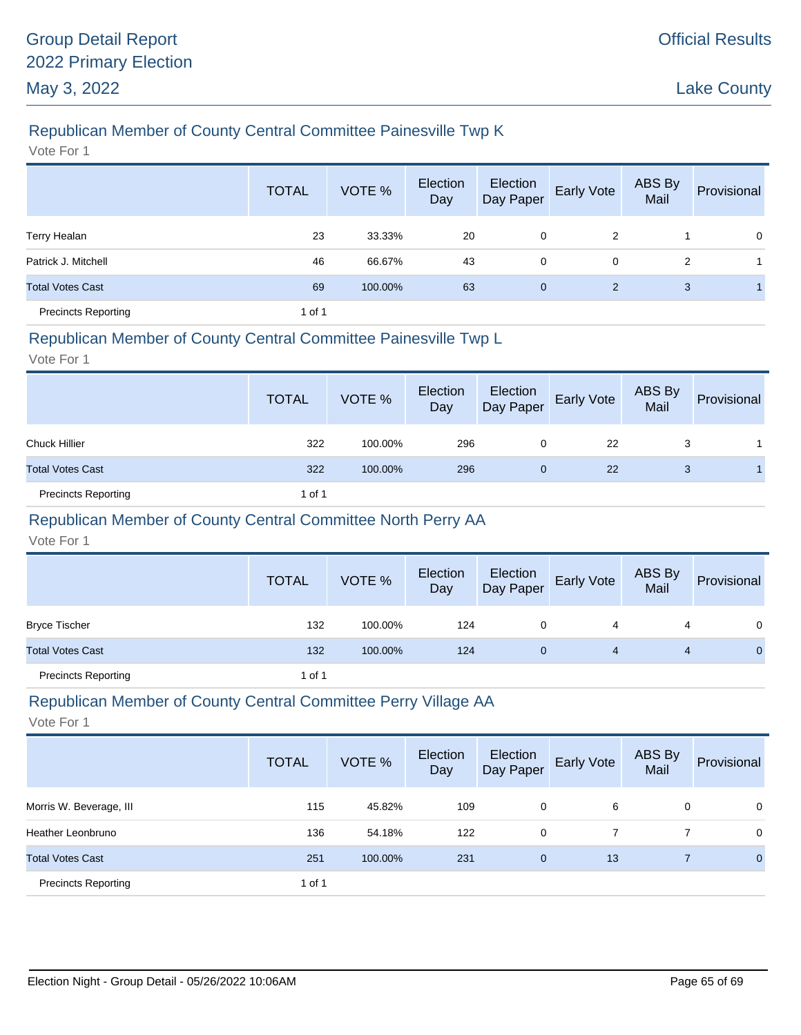# Republican Member of County Central Committee Painesville Twp K

Vote For 1

|                            | <b>TOTAL</b> | VOTE %  | Election<br>Day | Election<br>Day Paper | Early Vote | ABS By<br>Mail | Provisional |
|----------------------------|--------------|---------|-----------------|-----------------------|------------|----------------|-------------|
| <b>Terry Healan</b>        | 23           | 33.33%  | 20              | 0                     | 2          |                | $\mathbf 0$ |
| Patrick J. Mitchell        | 46           | 66.67%  | 43              | 0                     | 0          | 2              |             |
| <b>Total Votes Cast</b>    | 69           | 100.00% | 63              | $\mathbf{0}$          | 2          | 3              |             |
| <b>Precincts Reporting</b> | 1 of 1       |         |                 |                       |            |                |             |

#### Republican Member of County Central Committee Painesville Twp L

Vote For 1

|                            | <b>TOTAL</b> | VOTE %  | Election<br>Day | Election<br>Day Paper | Early Vote | ABS By<br>Mail | Provisional |
|----------------------------|--------------|---------|-----------------|-----------------------|------------|----------------|-------------|
| <b>Chuck Hillier</b>       | 322          | 100.00% | 296             | 0                     | 22         | 3              |             |
| <b>Total Votes Cast</b>    | 322          | 100.00% | 296             | $\mathbf{0}$          | 22         | 3              |             |
| <b>Precincts Reporting</b> | 1 of 1       |         |                 |                       |            |                |             |

# Republican Member of County Central Committee North Perry AA

Vote For 1

|                            | <b>TOTAL</b> | VOTE %  | Election<br>Day | Election<br>Day Paper | <b>Early Vote</b> | ABS By<br>Mail | Provisional |
|----------------------------|--------------|---------|-----------------|-----------------------|-------------------|----------------|-------------|
| <b>Bryce Tischer</b>       | 132          | 100.00% | 124             | 0                     | 4                 |                | $\Omega$    |
| <b>Total Votes Cast</b>    | 132          | 100.00% | 124             | 0                     | 4                 |                | 0           |
| <b>Precincts Reporting</b> | 1 of 1       |         |                 |                       |                   |                |             |

# Republican Member of County Central Committee Perry Village AA

|                            | <b>TOTAL</b> | VOTE %  | Election<br>Day | Election<br>Day Paper | Early Vote | ABS By<br>Mail | Provisional    |
|----------------------------|--------------|---------|-----------------|-----------------------|------------|----------------|----------------|
| Morris W. Beverage, III    | 115          | 45.82%  | 109             | 0                     | 6          | 0              | $\mathbf{0}$   |
| Heather Leonbruno          | 136          | 54.18%  | 122             | 0                     |            |                | $\mathbf{0}$   |
| <b>Total Votes Cast</b>    | 251          | 100.00% | 231             | $\mathbf{0}$          | 13         |                | $\overline{0}$ |
| <b>Precincts Reporting</b> | 1 of 1       |         |                 |                       |            |                |                |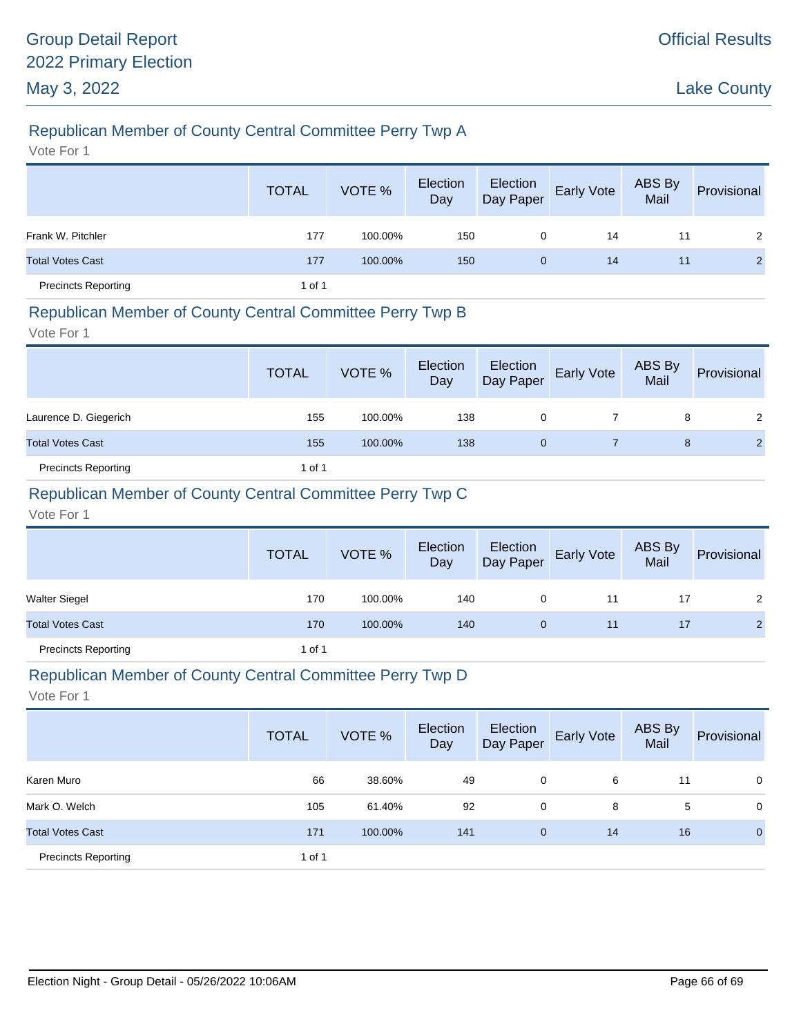# Republican Member of County Central Committee Perry Twp A

Vote For 1

|                            | <b>TOTAL</b> | VOTE %  | Election<br>Day | Election<br>Day Paper | Early Vote | ABS By<br>Mail | Provisional    |
|----------------------------|--------------|---------|-----------------|-----------------------|------------|----------------|----------------|
| Frank W. Pitchler          | 177          | 100.00% | 150             | 0                     | 14         | 11             | 2              |
| <b>Total Votes Cast</b>    | 177          | 100.00% | 150             | $\mathbf{0}$          | 14         | 11             | $\overline{2}$ |
| <b>Precincts Reporting</b> | 1 of 1       |         |                 |                       |            |                |                |

### Republican Member of County Central Committee Perry Twp B

Vote For 1

|                            | <b>TOTAL</b> | VOTE %  | Election<br>Day | Election<br>Day Paper | <b>Early Vote</b> | ABS By<br>Mail | Provisional    |
|----------------------------|--------------|---------|-----------------|-----------------------|-------------------|----------------|----------------|
| Laurence D. Giegerich      | 155          | 100.00% | 138             | 0                     |                   | 8              | $\mathbf{2}$   |
| <b>Total Votes Cast</b>    | 155          | 100.00% | 138             | 0                     |                   | 8              | $\overline{2}$ |
| <b>Precincts Reporting</b> | 1 of 1       |         |                 |                       |                   |                |                |

# Republican Member of County Central Committee Perry Twp C

Vote For 1

|                            | <b>TOTAL</b> | VOTE %  | Election<br>Day | Election<br>Day Paper | <b>Early Vote</b> | <b>ABS By</b><br>Mail | Provisional    |
|----------------------------|--------------|---------|-----------------|-----------------------|-------------------|-----------------------|----------------|
| <b>Walter Siegel</b>       | 170          | 100.00% | 140             | 0                     | 11                | 17                    | 2              |
| <b>Total Votes Cast</b>    | 170          | 100.00% | 140             | $\mathbf{0}$          | 11                | 17                    | $\overline{2}$ |
| <b>Precincts Reporting</b> | 1 of 1       |         |                 |                       |                   |                       |                |

#### Republican Member of County Central Committee Perry Twp D

|                            | <b>TOTAL</b> | VOTE %  | Election<br>Day | Election<br>Day Paper | Early Vote | ABS By<br>Mail | Provisional    |
|----------------------------|--------------|---------|-----------------|-----------------------|------------|----------------|----------------|
| Karen Muro                 | 66           | 38.60%  | 49              | 0                     | 6          | 11             | 0              |
| Mark O. Welch              | 105          | 61.40%  | 92              | 0                     | 8          | 5              | $\mathbf 0$    |
| <b>Total Votes Cast</b>    | 171          | 100.00% | 141             | $\mathbf{0}$          | 14         | 16             | $\overline{0}$ |
| <b>Precincts Reporting</b> | 1 of 1       |         |                 |                       |            |                |                |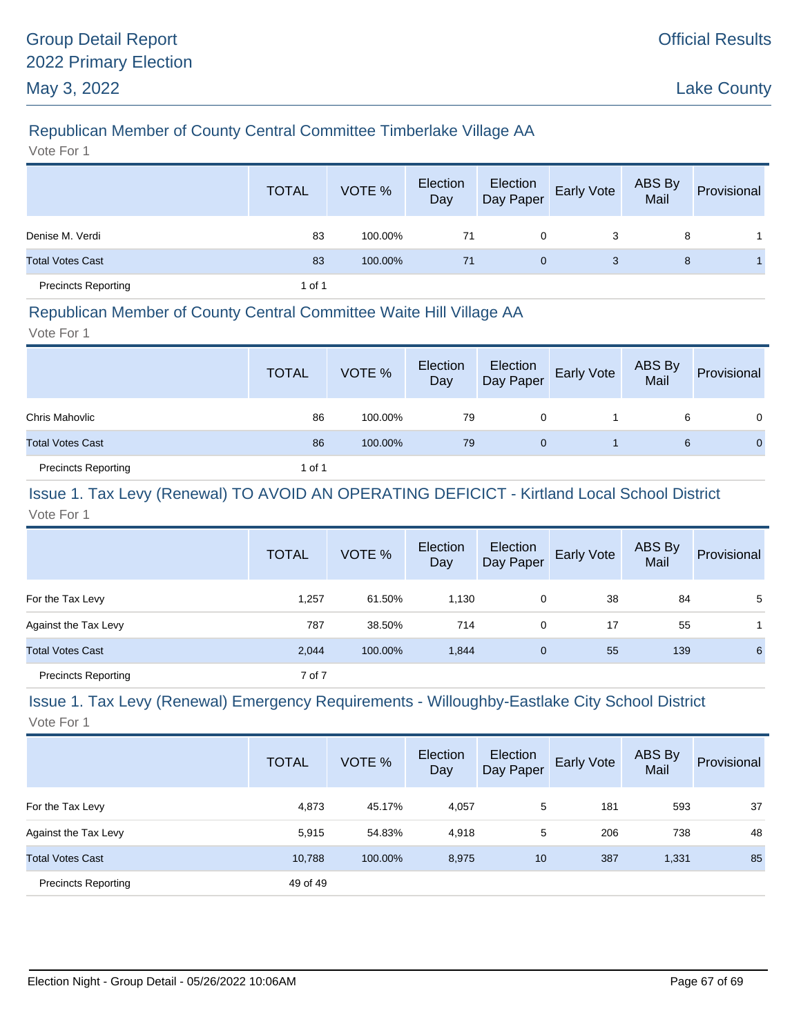# Republican Member of County Central Committee Timberlake Village AA

Vote For 1

|                            | <b>TOTAL</b> | VOTE %  | Election<br>Day | Election<br>Day Paper | <b>Early Vote</b> | ABS By<br>Mail | Provisional |
|----------------------------|--------------|---------|-----------------|-----------------------|-------------------|----------------|-------------|
| Denise M. Verdi            | 83           | 100.00% | 71              | 0                     | 3                 | 8              |             |
| <b>Total Votes Cast</b>    | 83           | 100.00% | 71              | $\mathbf{0}$          | 3                 | 8              |             |
| <b>Precincts Reporting</b> | 1 of 1       |         |                 |                       |                   |                |             |

#### Republican Member of County Central Committee Waite Hill Village AA

Vote For 1

|                            | <b>TOTAL</b> | VOTE %  | Election<br>Day | Election<br>Day Paper | <b>Early Vote</b> | ABS By<br>Mail | Provisional  |
|----------------------------|--------------|---------|-----------------|-----------------------|-------------------|----------------|--------------|
| Chris Mahovlic             | 86           | 100.00% | 79              | 0                     |                   | 6              | $\Omega$     |
| <b>Total Votes Cast</b>    | 86           | 100.00% | 79              | 0                     |                   | 6              | $\mathbf{0}$ |
| <b>Precincts Reporting</b> | 1 of 1       |         |                 |                       |                   |                |              |

#### Issue 1. Tax Levy (Renewal) TO AVOID AN OPERATING DEFICICT - Kirtland Local School District Vote For 1

|                            | <b>TOTAL</b> | VOTE %  | Election<br>Day | Election<br>Day Paper | <b>Early Vote</b> | ABS By<br>Mail | Provisional |
|----------------------------|--------------|---------|-----------------|-----------------------|-------------------|----------------|-------------|
| For the Tax Levy           | 1,257        | 61.50%  | 1,130           | 0                     | 38                | 84             | 5           |
| Against the Tax Levy       | 787          | 38.50%  | 714             | 0                     | 17                | 55             |             |
| <b>Total Votes Cast</b>    | 2,044        | 100.00% | 1,844           | $\mathbf 0$           | 55                | 139            | 6           |
| <b>Precincts Reporting</b> | 7 of 7       |         |                 |                       |                   |                |             |

# Issue 1. Tax Levy (Renewal) Emergency Requirements - Willoughby-Eastlake City School District

|                            | <b>TOTAL</b> | VOTE %  | Election<br>Day | Election<br>Day Paper | Early Vote | ABS By<br>Mail | Provisional |
|----------------------------|--------------|---------|-----------------|-----------------------|------------|----------------|-------------|
| For the Tax Levy           | 4,873        | 45.17%  | 4,057           | 5                     | 181        | 593            | 37          |
| Against the Tax Levy       | 5,915        | 54.83%  | 4,918           | 5                     | 206        | 738            | 48          |
| <b>Total Votes Cast</b>    | 10,788       | 100.00% | 8,975           | 10                    | 387        | 1,331          | 85          |
| <b>Precincts Reporting</b> | 49 of 49     |         |                 |                       |            |                |             |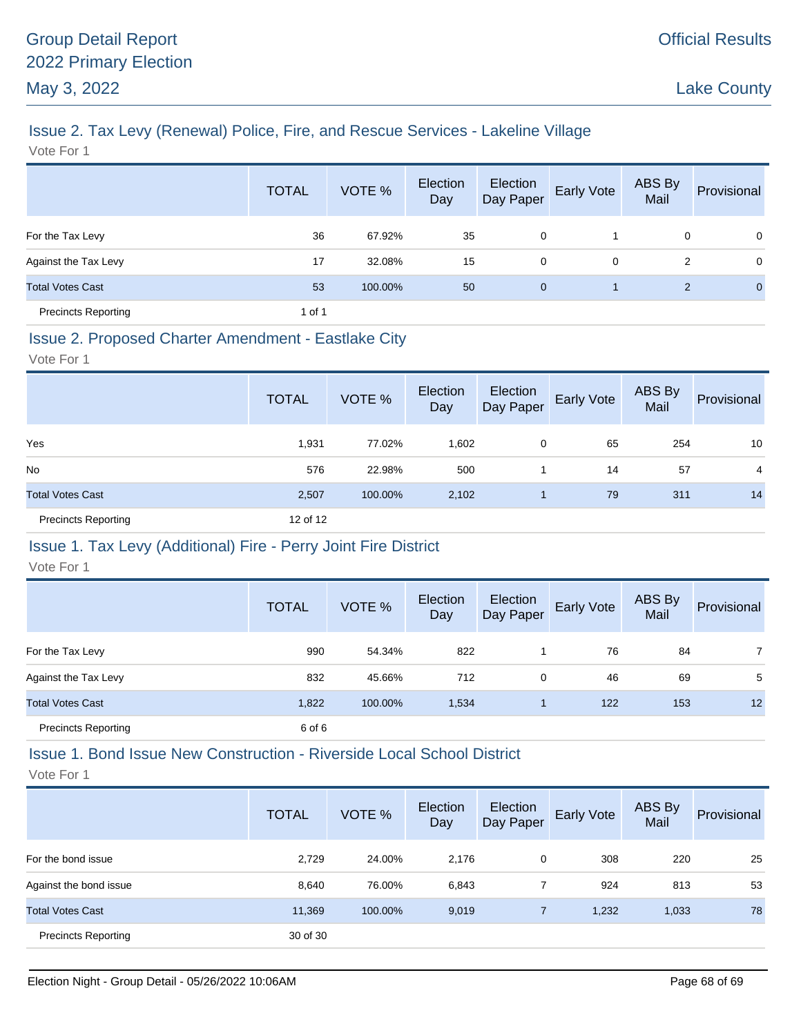# Issue 2. Tax Levy (Renewal) Police, Fire, and Rescue Services - Lakeline Village

Vote For 1

|                            | <b>TOTAL</b> | VOTE %  | Election<br>Day | Election<br>Day Paper | Early Vote | ABS By<br>Mail | Provisional    |
|----------------------------|--------------|---------|-----------------|-----------------------|------------|----------------|----------------|
| For the Tax Levy           | 36           | 67.92%  | 35              | 0                     |            | 0              | $\mathbf 0$    |
| Against the Tax Levy       | 17           | 32.08%  | 15              | 0                     | 0          | 2              | $\mathbf 0$    |
| <b>Total Votes Cast</b>    | 53           | 100.00% | 50              | $\overline{0}$        |            | $\overline{2}$ | $\overline{0}$ |
| <b>Precincts Reporting</b> | 1 of 1       |         |                 |                       |            |                |                |

#### Issue 2. Proposed Charter Amendment - Eastlake City

Vote For 1

|                            | <b>TOTAL</b> | VOTE %  | Election<br>Day | Election<br>Day Paper | Early Vote | ABS By<br>Mail | Provisional    |
|----------------------------|--------------|---------|-----------------|-----------------------|------------|----------------|----------------|
| Yes                        | 1,931        | 77.02%  | 1,602           | 0                     | 65         | 254            | 10             |
| <b>No</b>                  | 576          | 22.98%  | 500             |                       | 14         | 57             | $\overline{4}$ |
| <b>Total Votes Cast</b>    | 2,507        | 100.00% | 2,102           |                       | 79         | 311            | 14             |
| <b>Precincts Reporting</b> | 12 of 12     |         |                 |                       |            |                |                |

#### Issue 1. Tax Levy (Additional) Fire - Perry Joint Fire District

Vote For 1

|                            | <b>TOTAL</b> | VOTE %  | Election<br>Day | Election<br>Day Paper | <b>Early Vote</b> | ABS By<br>Mail | Provisional    |
|----------------------------|--------------|---------|-----------------|-----------------------|-------------------|----------------|----------------|
| For the Tax Levy           | 990          | 54.34%  | 822             |                       | 76                | 84             | $\overline{7}$ |
| Against the Tax Levy       | 832          | 45.66%  | 712             | 0                     | 46                | 69             | 5              |
| <b>Total Votes Cast</b>    | 1,822        | 100.00% | 1,534           |                       | 122               | 153            | 12             |
| <b>Precincts Reporting</b> | 6 of 6       |         |                 |                       |                   |                |                |

#### Issue 1. Bond Issue New Construction - Riverside Local School District

|                            | <b>TOTAL</b> | VOTE %  | Election<br>Day | Election<br>Day Paper | <b>Early Vote</b> | ABS By<br>Mail | Provisional |
|----------------------------|--------------|---------|-----------------|-----------------------|-------------------|----------------|-------------|
| For the bond issue         | 2,729        | 24.00%  | 2,176           | 0                     | 308               | 220            | 25          |
| Against the bond issue     | 8,640        | 76.00%  | 6,843           |                       | 924               | 813            | 53          |
| <b>Total Votes Cast</b>    | 11,369       | 100.00% | 9,019           | $\overline{7}$        | 1,232             | 1,033          | 78          |
| <b>Precincts Reporting</b> | 30 of 30     |         |                 |                       |                   |                |             |